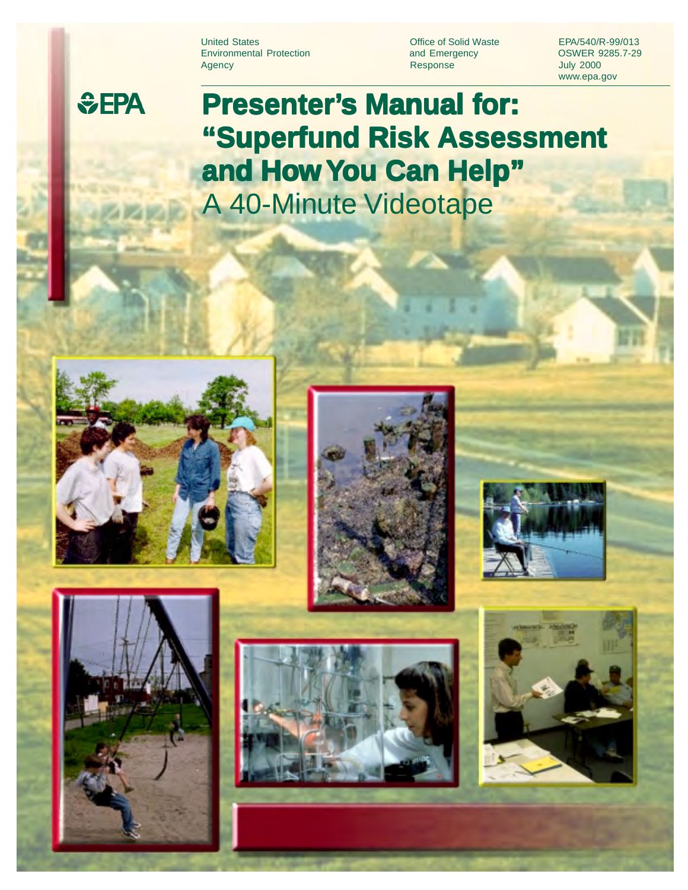United States Office of Solid Waste EPA/540/R-99/013 Environmental Protection and Emergency OSWER 9285.7-29 Agency **Response** July 2000

www.epa.gov

## **Presenter's Manual for: "Superfund Risk Assessment Risk Assessment "Superfund Risk Assessment and How You Can Help" ou Can Help" You Can Help"**  A 40-Minute Videotape



*<u><del>*</del>**PA**</u>









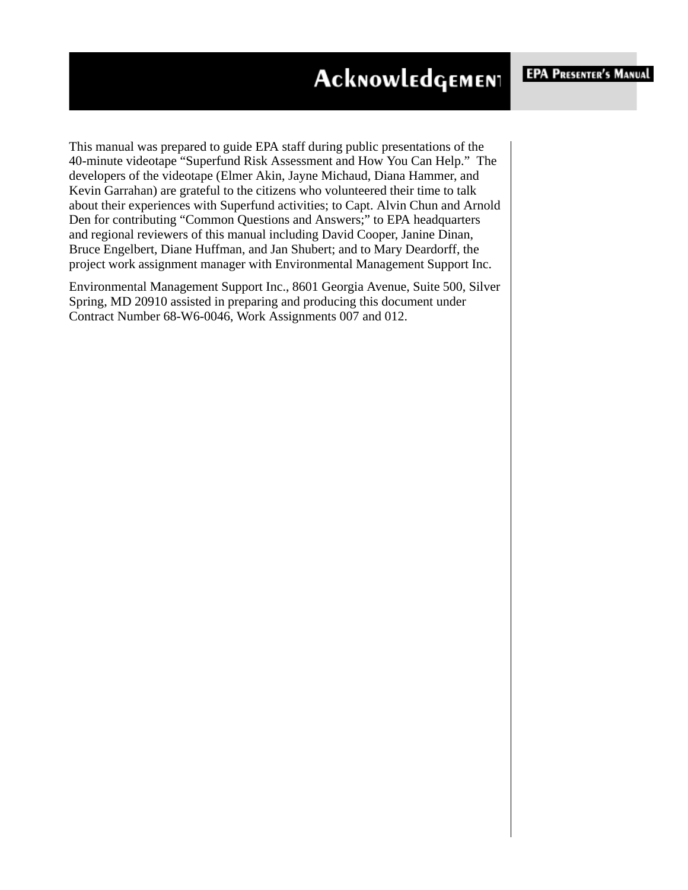This manual was prepared to guide EPA staff during public presentations of the 40-minute videotape "Superfund Risk Assessment and How You Can Help." The developers of the videotape (Elmer Akin, Jayne Michaud, Diana Hammer, and Kevin Garrahan) are grateful to the citizens who volunteered their time to talk about their experiences with Superfund activities; to Capt. Alvin Chun and Arnold Den for contributing "Common Questions and Answers;" to EPA headquarters and regional reviewers of this manual including David Cooper, Janine Dinan, Bruce Engelbert, Diane Huffman, and Jan Shubert; and to Mary Deardorff, the project work assignment manager with Environmental Management Support Inc.

Environmental Management Support Inc., 8601 Georgia Avenue, Suite 500, Silver Spring, MD 20910 assisted in preparing and producing this document under Contract Number 68-W6-0046, Work Assignments 007 and 012.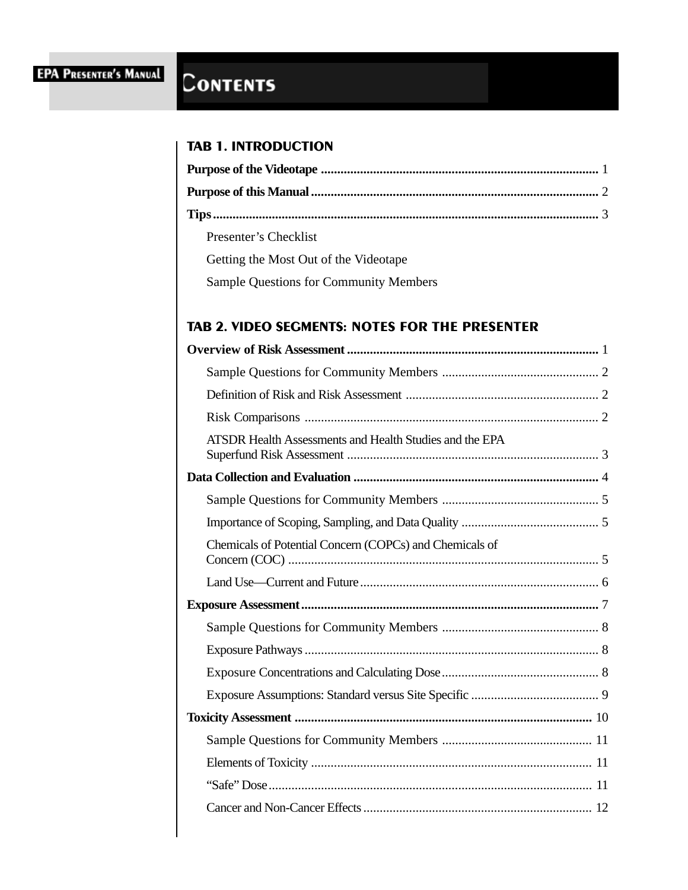### **EPA PRESENTER'S MANUAL**

### CONTENTS

#### TAB 1. INTRODUCTION

| Presenter's Checklist                         |  |
|-----------------------------------------------|--|
| Getting the Most Out of the Videotape         |  |
| <b>Sample Questions for Community Members</b> |  |

### TAB 2. VIDEO SECMENTS: NOTES FOR THE PRESENTER

| <b>ATSDR Health Assessments and Health Studies and the EPA</b> |
|----------------------------------------------------------------|
|                                                                |
|                                                                |
|                                                                |
| Chemicals of Potential Concern (COPCs) and Chemicals of        |
|                                                                |
|                                                                |
|                                                                |
|                                                                |
|                                                                |
|                                                                |
|                                                                |
|                                                                |
|                                                                |
|                                                                |
|                                                                |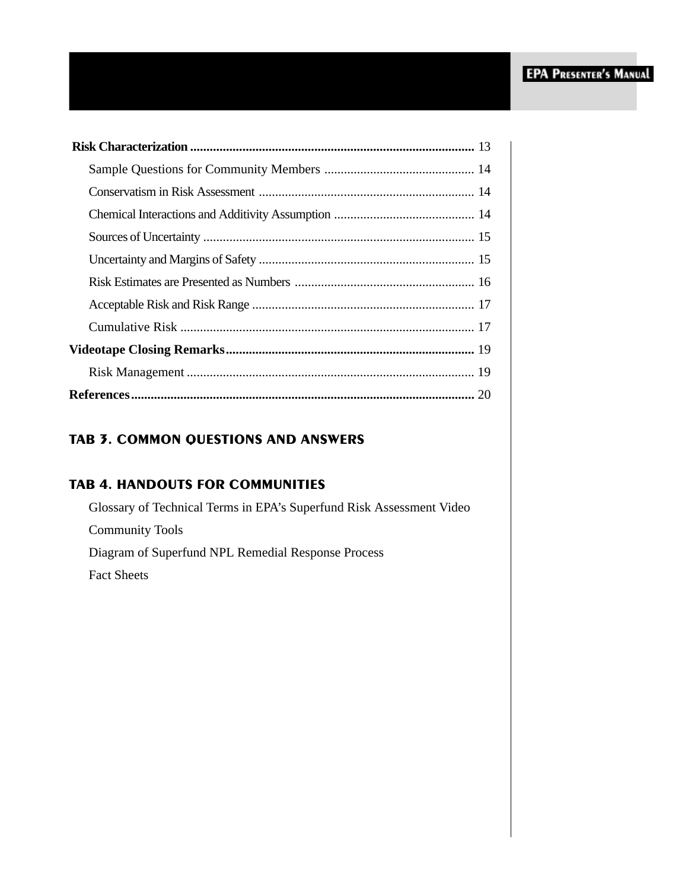### **TAB 3. COMMON QUESTIONS AND ANSWERS**

#### **TAB 4. HANDOUTS FOR COMMUNITIES**

Glossary of Technical Terms in EPA's Superfund Risk Assessment Video **Community Tools** Diagram of Superfund NPL Remedial Response Process **Fact Sheets**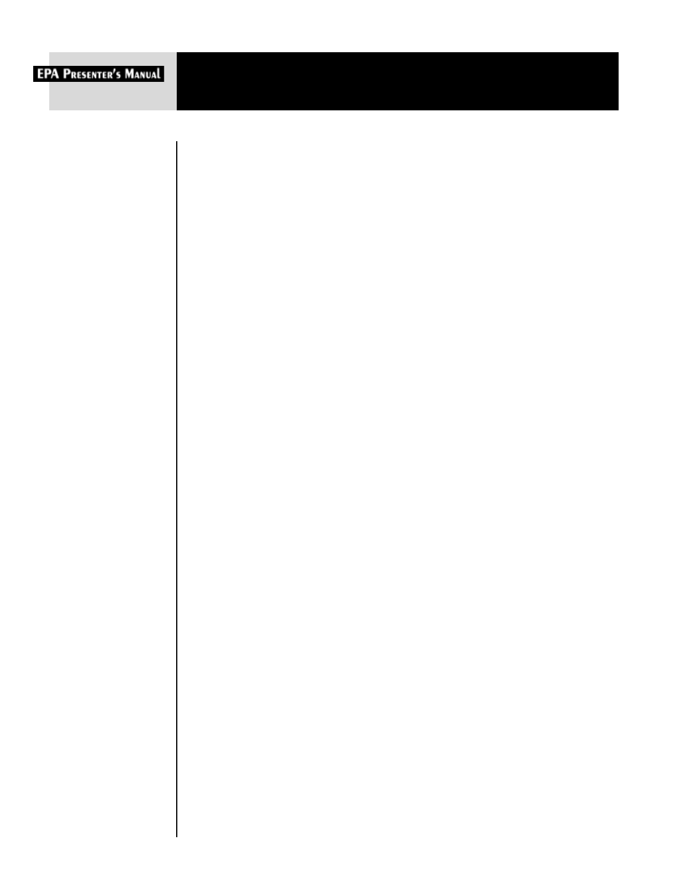### **EPA PRESENTER'S MANUAL**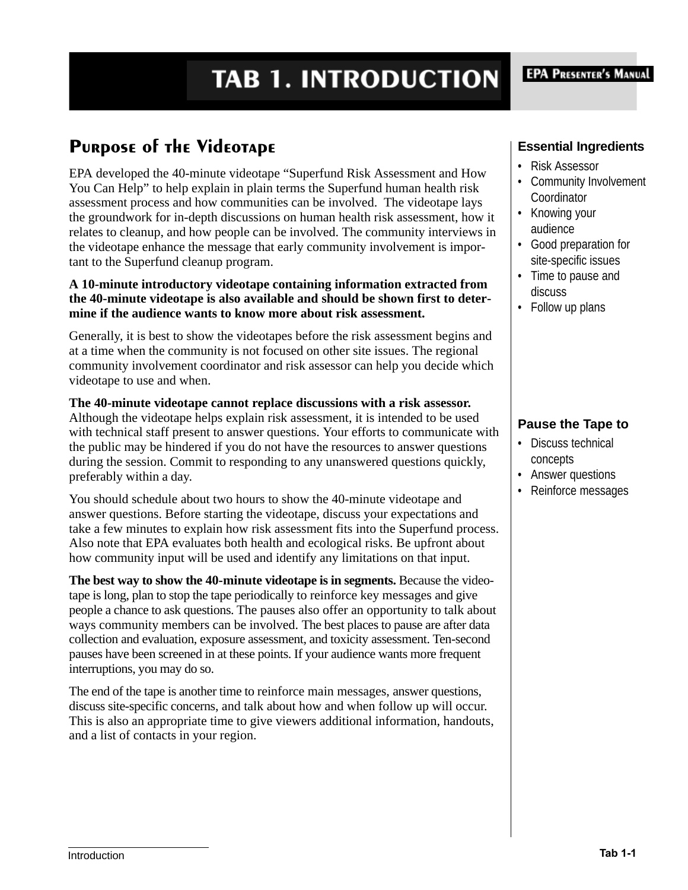## **TAB 1. INTRODUCTION**

#### **EPA PRESENTER'S MANUAL**

### PURPOSE Of THE VideOTAPE

EPA developed the 40-minute videotape "Superfund Risk Assessment and How You Can Help" to help explain in plain terms the Superfund human health risk assessment process and how communities can be involved. The videotape lays the groundwork for in-depth discussions on human health risk assessment, how it relates to cleanup, and how people can be involved. The community interviews in the videotape enhance the message that early community involvement is important to the Superfund cleanup program.

#### **A 10-minute introductory videotape containing information extracted from the 40-minute videotape is also available and should be shown first to determine if the audience wants to know more about risk assessment.**

Generally, it is best to show the videotapes before the risk assessment begins and at a time when the community is not focused on other site issues. The regional community involvement coordinator and risk assessor can help you decide which videotape to use and when.

**The 40-minute videotape cannot replace discussions with a risk assessor.**  Although the videotape helps explain risk assessment, it is intended to be used with technical staff present to answer questions. Your efforts to communicate with the public may be hindered if you do not have the resources to answer questions during the session. Commit to responding to any unanswered questions quickly, preferably within a day.

You should schedule about two hours to show the 40-minute videotape and answer questions. Before starting the videotape, discuss your expectations and take a few minutes to explain how risk assessment fits into the Superfund process. Also note that EPA evaluates both health and ecological risks. Be upfront about how community input will be used and identify any limitations on that input.

**The best way to show the 40-minute videotape is in segments.** Because the videotape is long, plan to stop the tape periodically to reinforce key messages and give people a chance to ask questions. The pauses also offer an opportunity to talk about ways community members can be involved. The best places to pause are after data collection and evaluation, exposure assessment, and toxicity assessment. Ten-second pauses have been screened in at these points. If your audience wants more frequent interruptions, you may do so.

The end of the tape is another time to reinforce main messages, answer questions, discuss site-specific concerns, and talk about how and when follow up will occur. This is also an appropriate time to give viewers additional information, handouts, and a list of contacts in your region.

#### **Essential Ingredients**

- Risk Assessor
- Community Involvement Coordinator
- Knowing your audience
- Good preparation for site-specific issues
- Time to pause and discuss
- Follow up plans

#### **Pause the Tape to**

- Discuss technical concepts
- Answer questions
- Reinforce messages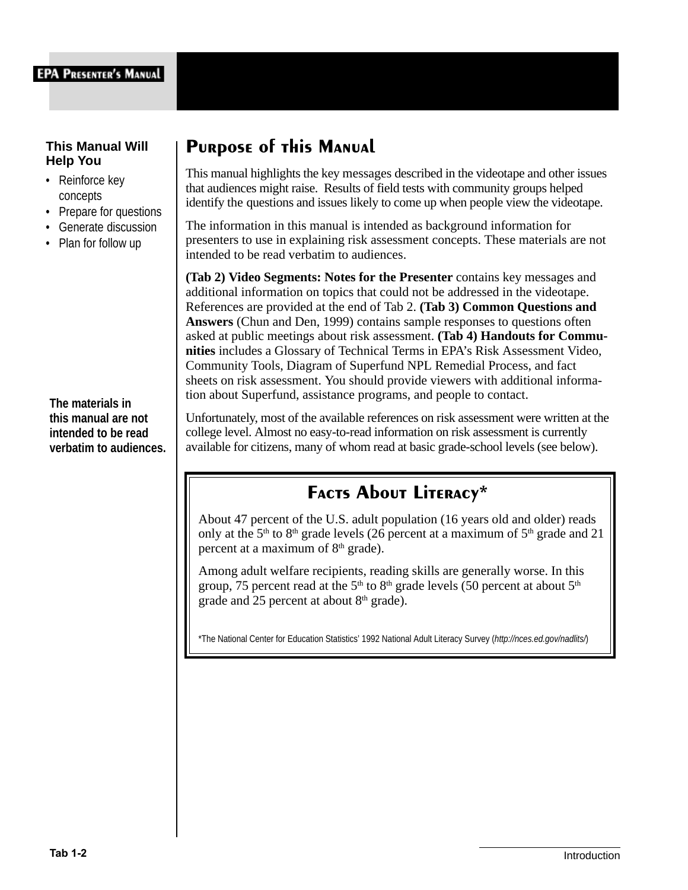#### **This Manual Will Help You**

- Reinforce key concepts
- Prepare for questions
- Generate discussion
- Plan for follow up

#### **The materials in this manual are not intended to be read verbatim to audiences.**

### PURPOSE Of This MANUAL

This manual highlights the key messages described in the videotape and other issues that audiences might raise. Results of field tests with community groups helped identify the questions and issues likely to come up when people view the videotape.

The information in this manual is intended as background information for presenters to use in explaining risk assessment concepts. These materials are not intended to be read verbatim to audiences.

**(Tab 2) Video Segments: Notes for the Presenter** contains key messages and additional information on topics that could not be addressed in the videotape. References are provided at the end of Tab 2. **(Tab 3) Common Questions and Answers** (Chun and Den, 1999) contains sample responses to questions often asked at public meetings about risk assessment. **(Tab 4) Handouts for Communities** includes a Glossary of Technical Terms in EPA's Risk Assessment Video, Community Tools, Diagram of Superfund NPL Remedial Process, and fact sheets on risk assessment. You should provide viewers with additional information about Superfund, assistance programs, and people to contact.

Unfortunately, most of the available references on risk assessment were written at the college level. Almost no easy-to-read information on risk assessment is currently available for citizens, many of whom read at basic grade-school levels (see below).

### FACTS About Literacy\*

About 47 percent of the U.S. adult population (16 years old and older) reads only at the  $5<sup>th</sup>$  to  $8<sup>th</sup>$  grade levels (26 percent at a maximum of  $5<sup>th</sup>$  grade and 21 percent at a maximum of  $8<sup>th</sup>$  grade).

Among adult welfare recipients, reading skills are generally worse. In this group, 75 percent read at the  $5<sup>th</sup>$  to  $8<sup>th</sup>$  grade levels (50 percent at about  $5<sup>th</sup>$ grade and 25 percent at about  $8<sup>th</sup>$  grade).

\*The National Center for Education Statistics' 1992 National Adult Literacy Survey (*http://nces.ed.gov/nadlits/*)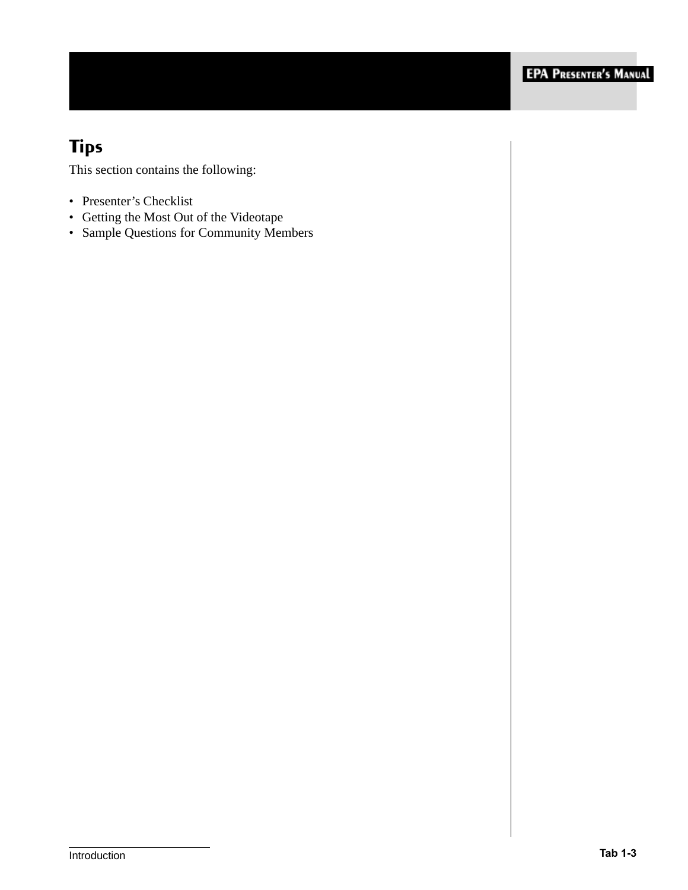### **EPA PRESENTER'S MANUAL**

### **Tips**

This section contains the following:

- Presenter's Checklist
- 
- Getting the Most Out of the Videotape<br>• Sample Questions for Community Members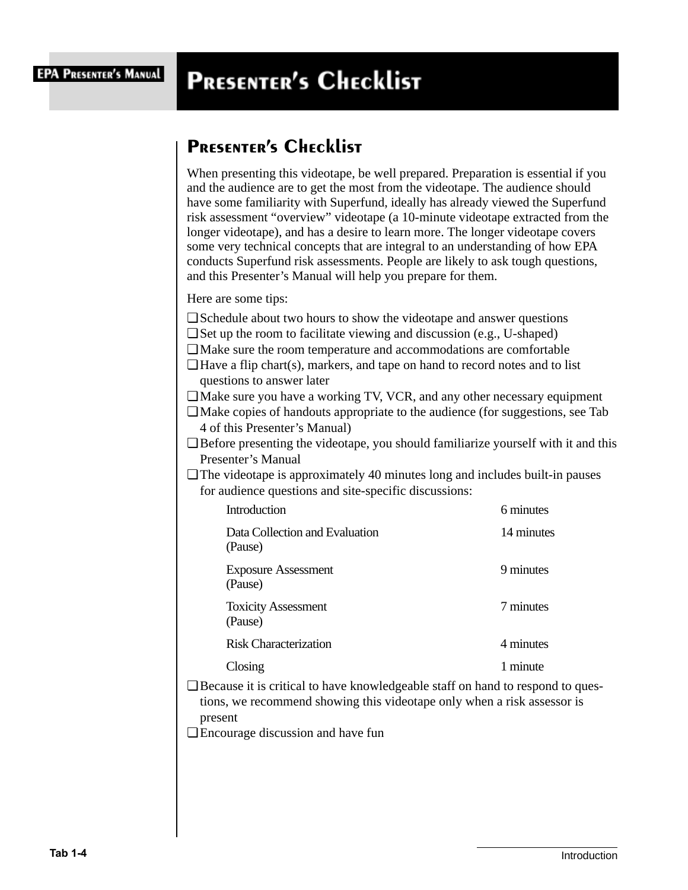### PRESENTER'S CHECKLIST

When presenting this videotape, be well prepared. Preparation is essential if you and the audience are to get the most from the videotape. The audience should have some familiarity with Superfund, ideally has already viewed the Superfund risk assessment "overview" videotape (a 10-minute videotape extracted from the longer videotape), and has a desire to learn more. The longer videotape covers some very technical concepts that are integral to an understanding of how EPA conducts Superfund risk assessments. People are likely to ask tough questions, and this Presenter's Manual will help you prepare for them.

Here are some tips:

- ❏ Schedule about two hours to show the videotape and answer questions
- ❏ Set up the room to facilitate viewing and discussion (e.g., U-shaped)
- ❏ Make sure the room temperature and accommodations are comfortable
- $\Box$  Have a flip chart(s), markers, and tape on hand to record notes and to list questions to answer later
- ❏ Make sure you have a working TV, VCR, and any other necessary equipment
- ❏ Make copies of handouts appropriate to the audience (for suggestions, see Tab 4 of this Presenter's Manual)
- ❏ Before presenting the videotape, you should familiarize yourself with it and this Presenter's Manual
- ❏ The videotape is approximately 40 minutes long and includes built-in pauses for audience questions and site-specific discussions:

| Introduction                              | 6 minutes  |
|-------------------------------------------|------------|
| Data Collection and Evaluation<br>(Pause) | 14 minutes |
| <b>Exposure Assessment</b><br>(Pause)     | 9 minutes  |
| <b>Toxicity Assessment</b><br>(Pause)     | 7 minutes  |
| Risk Characterization                     | 4 minutes  |
| $\Box$ losing                             | minute     |

- ❏ Because it is critical to have knowledgeable staff on hand to respond to questions, we recommend showing this videotape only when a risk assessor is present
- ❏ Encourage discussion and have fun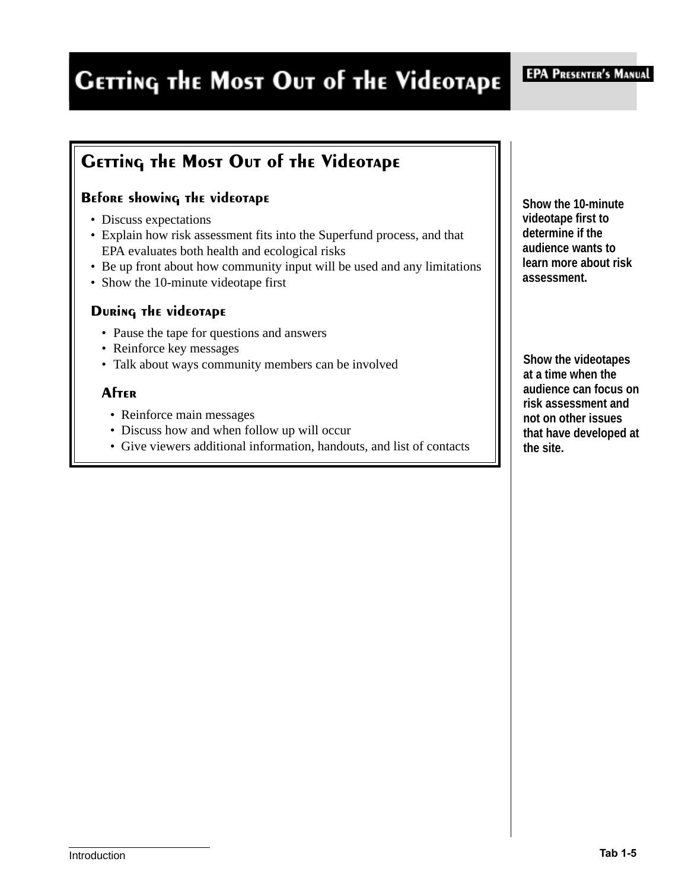### **CETTING THE MOST OUT of THE VIDEOTAPE**

### **GETTING THE MOST OUT OF THE VIDEOTAPE**

#### **Before showing the videotape**

- Discuss expectations
- Explain how risk assessment fits into the Superfund process, and that EPA evaluates both health and ecological risks
- Be up front about how community input will be used and any limitations
- Show the 10-minute videotape first

#### DURING THE VIDEOTAPE

- Pause the tape for questions and answers
- Reinforce key messages
- Talk about ways community members can be involved

#### **After**

- Reinforce main messages
- Discuss how and when follow up will occur
- Give viewers additional information, handouts, and list of contacts

Show the 10-minute videotape first to determine if the audience wants to learn more about risk assessment.

Show the videotapes at a time when the audience can focus on risk assessment and not on other issues that have developed at the site.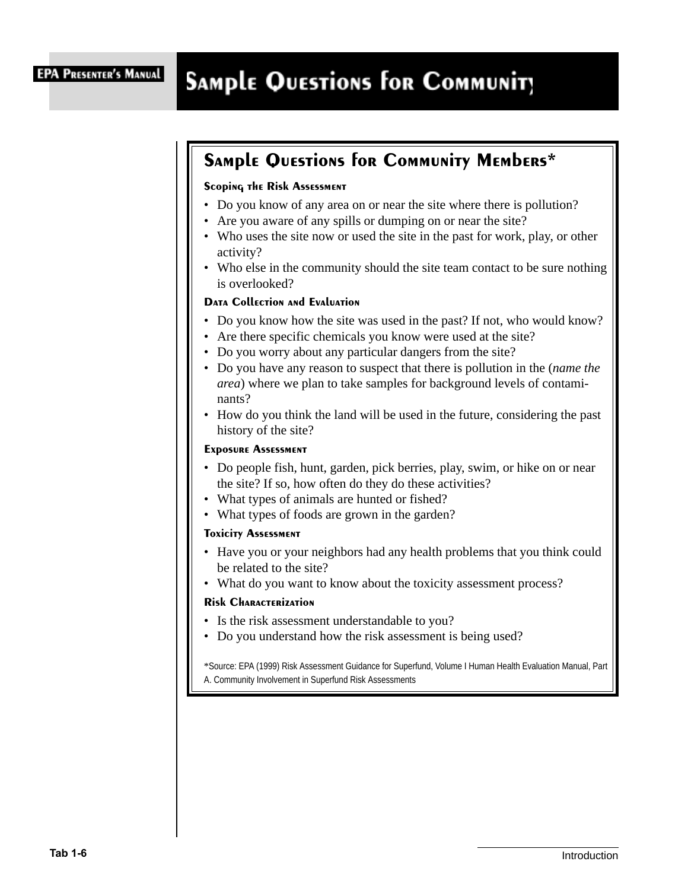### **SAMPLE QUESTIONS FOR COMMUNITY MEMBERS\***

#### **Scoping the Risk Assessment**

- Do you know of any area on or near the site where there is pollution?
- Are you aware of any spills or dumping on or near the site?
- Who uses the site now or used the site in the past for work, play, or other activity?
- Who else in the community should the site team contact to be sure nothing is overlooked?

#### **DATA Collection And Evaluation**

- Do you know how the site was used in the past? If not, who would know?
- Are there specific chemicals you know were used at the site?
- Do you worry about any particular dangers from the site?
- Do you have any reason to suspect that there is pollution in the (*name the area*) where we plan to take samples for background levels of contaminants?
- How do you think the land will be used in the future, considering the past history of the site?

#### **EXPOSURE ASSESSMENT**

- Do people fish, hunt, garden, pick berries, play, swim, or hike on or near the site? If so, how often do they do these activities?
- What types of animals are hunted or fished?
- What types of foods are grown in the garden?

#### **Toxicity Assessment**

- Have you or your neighbors had any health problems that you think could be related to the site?
- What do you want to know about the toxicity assessment process?

#### **Risk CHARACTERIZATION**

- Is the risk assessment understandable to you?
- Do you understand how the risk assessment is being used?

\*Source: EPA (1999) Risk Assessment Guidance for Superfund, Volume I Human Health Evaluation Manual, Part A. Community Involvement in Superfund Risk Assessments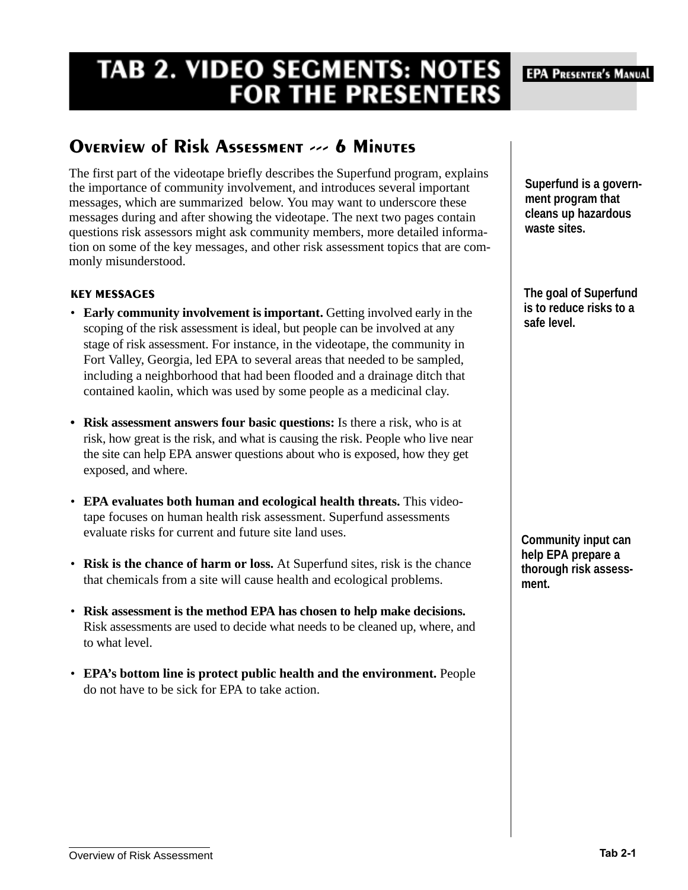### **TAB 2. VIDEO SEGMENTS: NOTES FOR THE PRESENTERS**

### OVERVIEW of Risk Assessment ... 6 Minutes

The first part of the videotape briefly describes the Superfund program, explains the importance of community involvement, and introduces several important messages, which are summarized below. You may want to underscore these messages during and after showing the videotape. The next two pages contain questions risk assessors might ask community members, more detailed information on some of the key messages, and other risk assessment topics that are commonly misunderstood.

#### **KEY MESSAGES**

- Early community involvement is important. Getting involved early in the scoping of the risk assessment is ideal, but people can be involved at any stage of risk assessment. For instance, in the videotape, the community in Fort Valley, Georgia, led EPA to several areas that needed to be sampled, including a neighborhood that had been flooded and a drainage ditch that contained kaolin, which was used by some people as a medicinal clay.
- **• Risk assessment answers four basic questions:** Is there a risk, who is at risk, how great is the risk, and what is causing the risk. People who live near the site can help EPA answer questions about who is exposed, how they get exposed, and where.
- • **EPA evaluates both human and ecological health threats.** This videotape focuses on human health risk assessment. Superfund assessments evaluate risks for current and future site land uses.
- **Risk is the chance of harm or loss.** At Superfund sites, risk is the chance that chemicals from a site will cause health and ecological problems.
- • **Risk assessment is the method EPA has chosen to help make decisions.**  Risk assessments are used to decide what needs to be cleaned up, where, and to what level.
- • **EPA's bottom line is protect public health and the environment.** People do not have to be sick for EPA to take action.

**Superfund is a government program that cleans up hazardous waste sites.** 

**The goal of Superfund is to reduce risks to a safe level.** 

**Community input can help EPA prepare a thorough risk assessment.**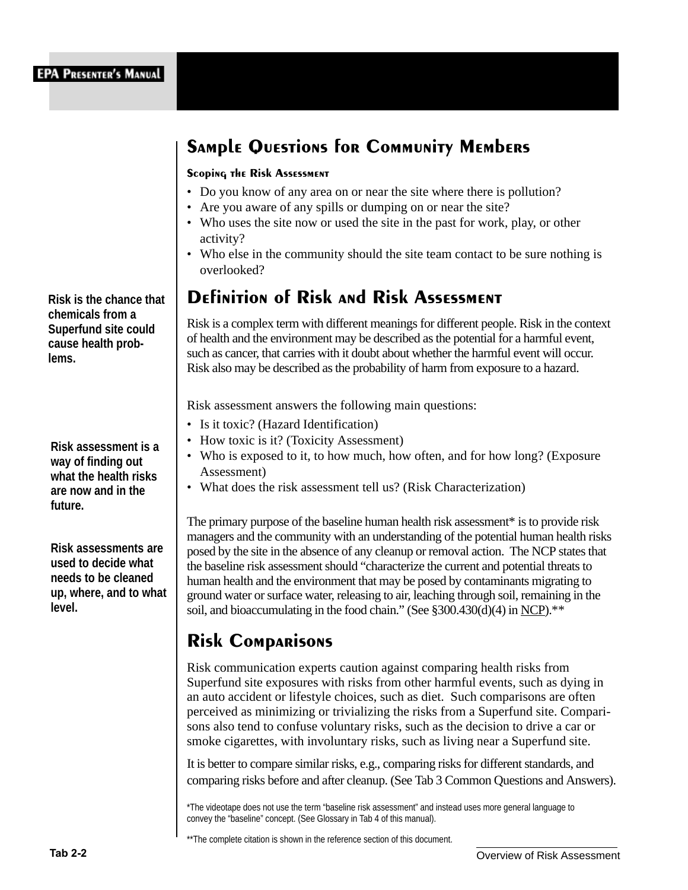Risk is the chance that chemicals from a Superfund site could cause health problems.

Risk assessment is a way of finding out what the health risks are now and in the future

**Risk assessments are** used to decide what needs to be cleaned up, where, and to what level.

### **SAMPLE QUESTIONS FOR COMMUNITY MEMBERS**

#### **Scoping The Risk Assessment**

- Do you know of any area on or near the site where there is pollution?
- Are you aware of any spills or dumping on or near the site?
- Who uses the site now or used the site in the past for work, play, or other activity?
- Who else in the community should the site team contact to be sure nothing is overlooked?

### **Definition of Risk and Risk Assessment**

Risk is a complex term with different meanings for different people. Risk in the context of health and the environment may be described as the potential for a harmful event, such as cancer, that carries with it doubt about whether the harmful event will occur. Risk also may be described as the probability of harm from exposure to a hazard.

Risk assessment answers the following main questions:

- Is it toxic? (Hazard Identification)
- How toxic is it? (Toxicity Assessment)
- Who is exposed to it, to how much, how often, and for how long? (Exposure Assessment)
- What does the risk assessment tell us? (Risk Characterization)

The primary purpose of the baseline human health risk assessment\* is to provide risk managers and the community with an understanding of the potential human health risks posed by the site in the absence of any cleanup or removal action. The NCP states that the baseline risk assessment should "characterize the current and potential threats to human health and the environment that may be posed by contaminants migrating to ground water or surface water, releasing to air, leaching through soil, remaining in the soil, and bioaccumulating in the food chain." (See §300.430(d)(4) in NCP).\*\*

### **Risk Comparisons**

Risk communication experts caution against comparing health risks from Superfund site exposures with risks from other harmful events, such as dying in an auto accident or lifestyle choices, such as diet. Such comparisons are often perceived as minimizing or trivializing the risks from a Superfund site. Comparisons also tend to confuse voluntary risks, such as the decision to drive a car or smoke cigarettes, with involuntary risks, such as living near a Superfund site.

It is better to compare similar risks, e.g., comparing risks for different standards, and comparing risks before and after cleanup. (See Tab 3 Common Questions and Answers).

\*The videotape does not use the term "baseline risk assessment" and instead uses more general language to convey the "baseline" concept. (See Glossary in Tab 4 of this manual).

\*\* The complete citation is shown in the reference section of this document.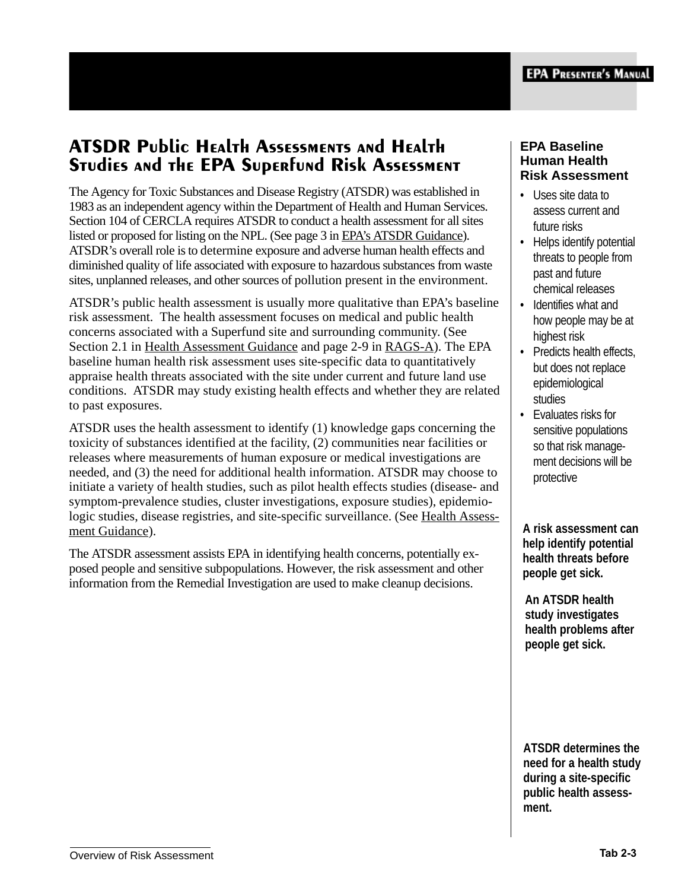### **ATSDR Public HEALTH ASSESSMENTS AND HEALTH STUDIES AND THE EPA SUPERFUND RISK ASSESSMENT**

The Agency for Toxic Substances and Disease Registry (ATSDR) was established in 1983 as an independent agency within the Department of Health and Human Services. Section 104 of CERCLA requires ATSDR to conduct a health assessment for all sites listed or proposed for listing on the NPL. (See page 3 in EPA's ATSDR Guidance). ATSDR's overall role is to determine exposure and adverse human health effects and diminished quality of life associated with exposure to hazardous substances from waste sites, unplanned releases, and other sources of pollution present in the environment.

ATSDR's public health assessment is usually more qualitative than EPA's baseline risk assessment. The health assessment focuses on medical and public health concerns associated with a Superfund site and surrounding community. (See Section 2.1 in Health Assessment Guidance and page 2-9 in RAGS-A). The EPA baseline human health risk assessment uses site-specific data to quantitatively appraise health threats associated with the site under current and future land use conditions. ATSDR may study existing health effects and whether they are related to past exposures.

ATSDR uses the health assessment to identify  $(1)$  knowledge gaps concerning the toxicity of substances identified at the facility, (2) communities near facilities or releases where measurements of human exposure or medical investigations are needed, and (3) the need for additional health information. ATSDR may choose to initiate a variety of health studies, such as pilot health effects studies (disease- and symptom-prevalence studies, cluster investigations, exposure studies), epidemiologic studies, disease registries, and site-specific surveillance. (See Health Assessment Guidance).

The ATSDR assessment assists EPA in identifying health concerns, potentially exposed people and sensitive subpopulations. However, the risk assessment and other information from the Remedial Investigation are used to make cleanup decisions.

#### **EPA Baseline Human Health Risk Assessment**

- Uses site data to assess current and future risks
- Helps identify potential threats to people from past and future chemical releases
- Identifies what and how people may be at highest risk
- Predicts health effects. but does not replace epidemiological studies
- Evaluates risks for sensitive populations so that risk management decisions will be protective

A risk assessment can help identify potential health threats before people get sick.

**An ATSDR health** study investigates health problems after people get sick.

**ATSDR determines the** need for a health study during a site-specific public health assessment.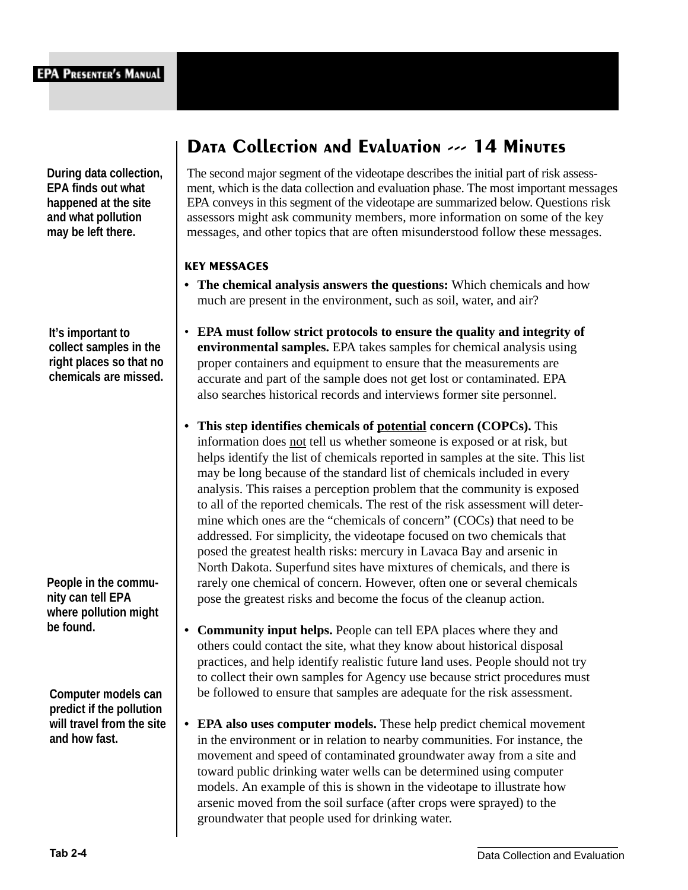#### **EPA PRESENTER'S MANUAL**

**where pollution might** 

**predict if the pollution** 

### DATA Collection and Evaluation  $\sim$  14 Minutes

**During data collection, The second major segment of the videotape describes the initial part of risk assess-EPA finds out what** ment, which is the data collection and evaluation phase. The most important messages **happened at the site EPA** conveys in this segment of the videotape are summarized below. Questions risk **and what pollution** assessors might ask community members, more information on some of the key **may be left there. ignum** messages, and other topics that are often misunderstood follow these messages.

#### **KEY MESSAGES**

- The chemical analysis answers the questions: Which chemicals and how much are present in the environment, such as soil, water, and air?
- **It's important to EPA must follow strict protocols to ensure the quality and integrity of collect samples in the**  $\parallel$  **environmental samples.** EPA takes samples for chemical analysis using **right places so that no** proper containers and equipment to ensure that the measurements are chemicals are missed accurate and part of the sample does not get lost or contaminated. EPA also searches historical records and interviews former site personnel.
- **This step identifies chemicals of potential concern (COPCs).** This information does not tell us whether someone is exposed or at risk, but helps identify the list of chemicals reported in samples at the site. This list may be long because of the standard list of chemicals included in every analysis. This raises a perception problem that the community is exposed to all of the reported chemicals. The rest of the risk assessment will determine which ones are the "chemicals of concern" (COCs) that need to be addressed. For simplicity, the videotape focused on two chemicals that posed the greatest health risks: mercury in Lavaca Bay and arsenic in North Dakota. Superfund sites have mixtures of chemicals, and there is **People in the commu-** rarely one chemical of concern. However, often one or several chemicals **nity can tell EPA** pose the greatest risks and become the focus of the cleanup action.
- **be found. Community input helps.** People can tell EPA places where they and others could contact the site, what they know about historical disposal practices, and help identify realistic future land uses. People should not try to collect their own samples for Agency use because strict procedures must **Computer models can be followed to ensure that samples are adequate for the risk assessment.**
- **will travel from the site EPA also uses computer models.** These help predict chemical movement **and how fast. in the environment or in relation to nearby communities. For instance, the** movement and speed of contaminated groundwater away from a site and toward public drinking water wells can be determined using computer models. An example of this is shown in the videotape to illustrate how arsenic moved from the soil surface (after crops were sprayed) to the groundwater that people used for drinking water.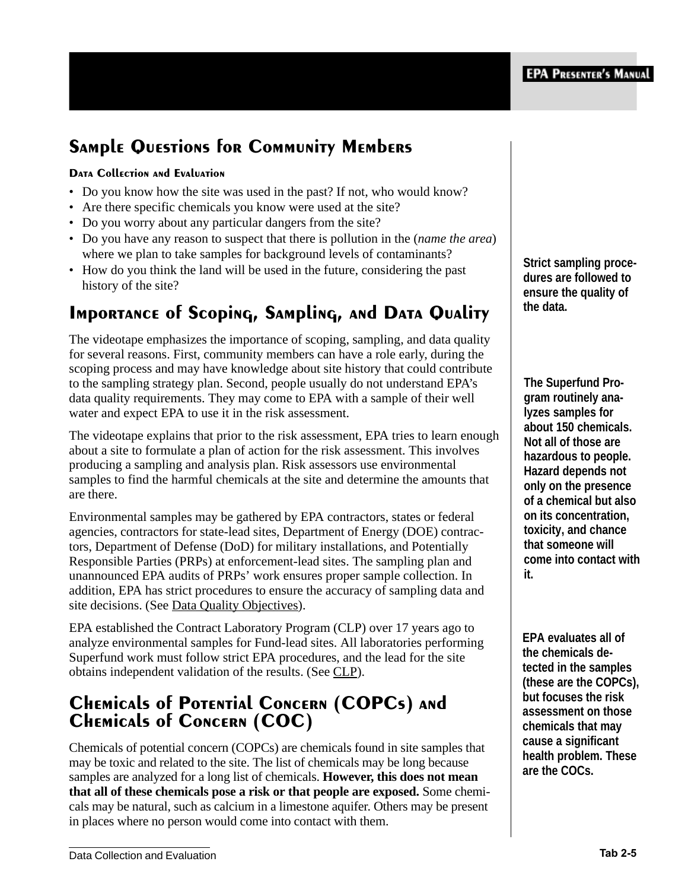### **SAMPLE QUESTIONS FOR COMMUNITY MEMBERS**

#### **DATA Collection and Evaluation**

- Do you know how the site was used in the past? If not, who would know?
- Are there specific chemicals you know were used at the site?
- Do you worry about any particular dangers from the site?
- Do you have any reason to suspect that there is pollution in the (name the area) where we plan to take samples for background levels of contaminants?
- How do you think the land will be used in the future, considering the past history of the site?

### **IMPORTANCE of Scoping, SAMpling, AND DATA QUALITY**

The videotape emphasizes the importance of scoping, sampling, and data quality for several reasons. First, community members can have a role early, during the scoping process and may have knowledge about site history that could contribute to the sampling strategy plan. Second, people usually do not understand EPA's data quality requirements. They may come to EPA with a sample of their well water and expect EPA to use it in the risk assessment.

The videotape explains that prior to the risk assessment, EPA tries to learn enough about a site to formulate a plan of action for the risk assessment. This involves producing a sampling and analysis plan. Risk assessors use environmental samples to find the harmful chemicals at the site and determine the amounts that are there.

Environmental samples may be gathered by EPA contractors, states or federal agencies, contractors for state-lead sites, Department of Energy (DOE) contractors, Department of Defense (DoD) for military installations, and Potentially Responsible Parties (PRPs) at enforcement-lead sites. The sampling plan and unannounced EPA audits of PRPs' work ensures proper sample collection. In addition, EPA has strict procedures to ensure the accuracy of sampling data and site decisions. (See Data Quality Objectives).

EPA established the Contract Laboratory Program (CLP) over 17 years ago to analyze environmental samples for Fund-lead sites. All laboratories performing Superfund work must follow strict EPA procedures, and the lead for the site obtains independent validation of the results. (See CLP).

### **CHEMICALS OF POTENTIAL CONCERN (COPCS) AND CHEMICALS of CONCERN (COC)**

Chemicals of potential concern (COPCs) are chemicals found in site samples that may be toxic and related to the site. The list of chemicals may be long because samples are analyzed for a long list of chemicals. However, this does not mean that all of these chemicals pose a risk or that people are exposed. Some chemicals may be natural, such as calcium in a limestone aquifer. Others may be present in places where no person would come into contact with them.

**Strict sampling proce**dures are followed to ensure the quality of the data.

The Superfund Program routinely analyzes samples for about 150 chemicals. Not all of those are hazardous to people. **Hazard depends not** only on the presence of a chemical but also on its concentration. toxicity, and chance that someone will come into contact with it.

**EPA evaluates all of** the chemicals detected in the samples (these are the COPCs). but focuses the risk assessment on those chemicals that may cause a significant health problem. These are the COCs.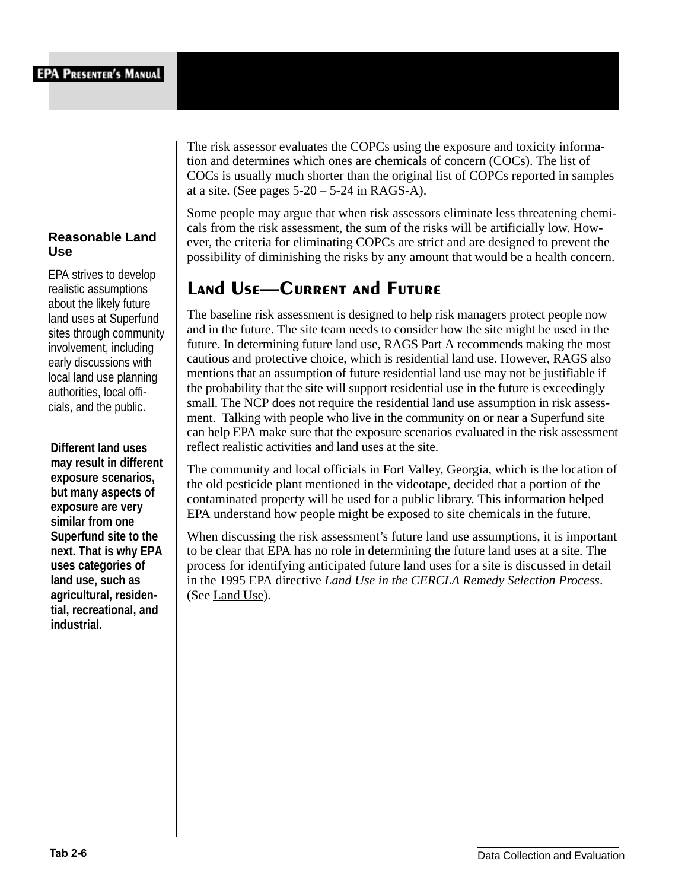#### **Reasonable Land Use**

EPA strives to develop realistic assumptions about the likely future land uses at Superfund sites through community involvement, including early discussions with local land use planning authorities, local officials, and the public.

**Different land uses may result in different exposure scenarios, but many aspects of exposure are very similar from one Superfund site to the next. That is why EPA uses categories of land use, such as agricultural, residential, recreational, and industrial.** 

The risk assessor evaluates the COPCs using the exposure and toxicity information and determines which ones are chemicals of concern (COCs). The list of COCs is usually much shorter than the original list of COPCs reported in samples at a site. (See pages  $5-20 - 5-24$  in RAGS-A).

Some people may argue that when risk assessors eliminate less threatening chemicals from the risk assessment, the sum of the risks will be artificially low. However, the criteria for eliminating COPCs are strict and are designed to prevent the possibility of diminishing the risks by any amount that would be a health concern.

### Land Use-Current and Future

The baseline risk assessment is designed to help risk managers protect people now and in the future. The site team needs to consider how the site might be used in the future. In determining future land use, RAGS Part A recommends making the most cautious and protective choice, which is residential land use. However, RAGS also mentions that an assumption of future residential land use may not be justifiable if the probability that the site will support residential use in the future is exceedingly small. The NCP does not require the residential land use assumption in risk assessment. Talking with people who live in the community on or near a Superfund site can help EPA make sure that the exposure scenarios evaluated in the risk assessment reflect realistic activities and land uses at the site.

The community and local officials in Fort Valley, Georgia, which is the location of the old pesticide plant mentioned in the videotape, decided that a portion of the contaminated property will be used for a public library. This information helped EPA understand how people might be exposed to site chemicals in the future.

When discussing the risk assessment's future land use assumptions, it is important to be clear that EPA has no role in determining the future land uses at a site. The process for identifying anticipated future land uses for a site is discussed in detail in the 1995 EPA directive *Land Use in the CERCLA Remedy Selection Process*. (See Land Use).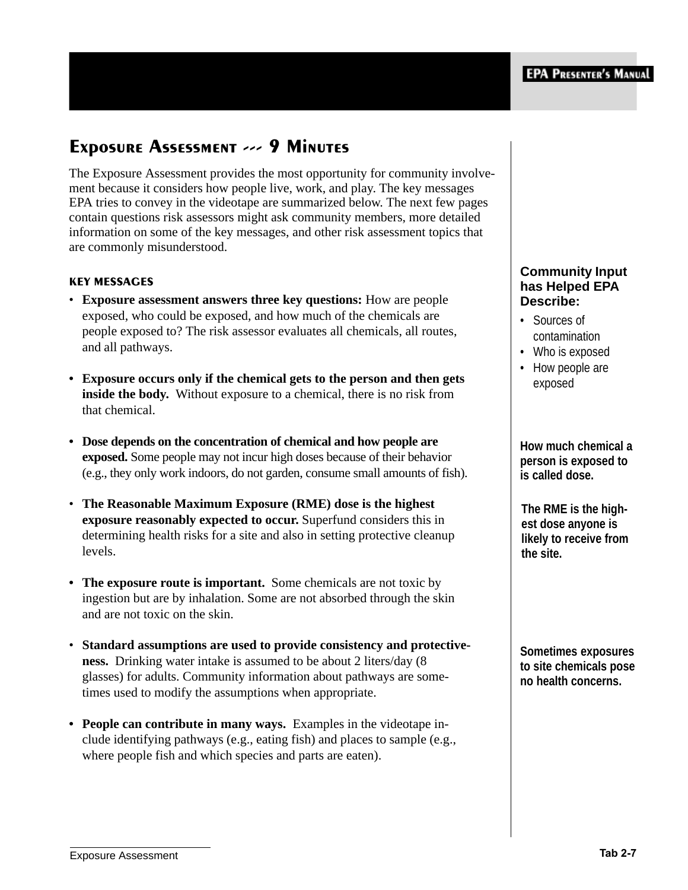### Exposure Assessment ~~ 9 Minutes

The Exposure Assessment provides the most opportunity for community involvement because it considers how people live, work, and play. The key messages EPA tries to convey in the videotape are summarized below. The next few pages contain questions risk assessors might ask community members, more detailed information on some of the key messages, and other risk assessment topics that are commonly misunderstood.

#### **KEY MESSAGES**

- • **Exposure assessment answers three key questions:** How are people exposed, who could be exposed, and how much of the chemicals are people exposed to? The risk assessor evaluates all chemicals, all routes, and all pathways.
- **• Exposure occurs only if the chemical gets to the person and then gets inside the body.** Without exposure to a chemical, there is no risk from that chemical.
- **• Dose depends on the concentration of chemical and how people are exposed.** Some people may not incur high doses because of their behavior (e.g., they only work indoors, do not garden, consume small amounts of fish).
- • **The Reasonable Maximum Exposure (RME) dose is the highest exposure reasonably expected to occur.** Superfund considers this in determining health risks for a site and also in setting protective cleanup levels.
- The exposure route is important. Some chemicals are not toxic by ingestion but are by inhalation. Some are not absorbed through the skin and are not toxic on the skin.
- • **Standard assumptions are used to provide consistency and protectiveness.** Drinking water intake is assumed to be about 2 liters/day (8 glasses) for adults. Community information about pathways are sometimes used to modify the assumptions when appropriate.
- **People can contribute in many ways.** Examples in the videotape include identifying pathways (e.g., eating fish) and places to sample (e.g., where people fish and which species and parts are eaten).

#### **Community Input has Helped EPA Describe:**

- • Sources of contamination
- Who is exposed
- How people are exposed

**How much chemical a person is exposed to is called dose.** 

**The RME is the highest dose anyone is likely to receive from the site.** 

**Sometimes exposures to site chemicals pose no health concerns.**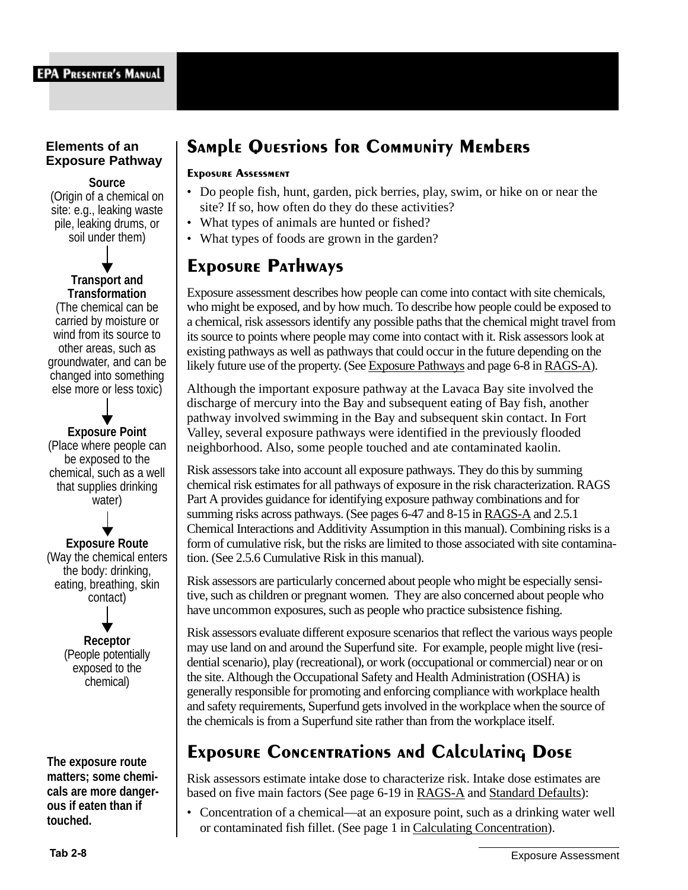#### Elements of an **Exposure Pathway**

#### **Source**

(Origin of a chemical on site: e.g., leaking waste pile, leaking drums, or soil under them)

**Transport and Transformation** (The chemical can be carried by moisture or wind from its source to other areas, such as groundwater, and can be changed into something else more or less toxic)

**Exposure Point** (Place where people can be exposed to the chemical, such as a well that supplies drinking water)

**Exposure Route** (Way the chemical enters the body: drinking, eating, breathing, skin contact)

> Receptor (People potentially exposed to the chemical)

The exposure route matters; some chemicals are more dangerous if eaten than if touched.

### **SAMPLE QUESTIONS FOR COMMUNITY MEMBERS**

#### **EXPOSURE ASSESSMENT**

- Do people fish, hunt, garden, pick berries, play, swim, or hike on or near the site? If so, how often do they do these activities?
- What types of animals are hunted or fished?
- What types of foods are grown in the garden?

### **EXPOSURE PATHWAYS**

Exposure assessment describes how people can come into contact with site chemicals, who might be exposed, and by how much. To describe how people could be exposed to a chemical, risk assessors identify any possible paths that the chemical might travel from its source to points where people may come into contact with it. Risk assessors look at existing pathways as well as pathways that could occur in the future depending on the likely future use of the property. (See Exposure Pathways and page 6-8 in RAGS-A).

Although the important exposure pathway at the Lavaca Bay site involved the discharge of mercury into the Bay and subsequent eating of Bay fish, another pathway involved swimming in the Bay and subsequent skin contact. In Fort Valley, several exposure pathways were identified in the previously flooded neighborhood. Also, some people touched and ate contaminated kaolin.

Risk assessors take into account all exposure pathways. They do this by summing chemical risk estimates for all pathways of exposure in the risk characterization. RAGS Part A provides guidance for identifying exposure pathway combinations and for summing risks across pathways. (See pages 6-47 and 8-15 in RAGS-A and 2.5.1) Chemical Interactions and Additivity Assumption in this manual). Combining risks is a form of cumulative risk, but the risks are limited to those associated with site contamination. (See 2.5.6 Cumulative Risk in this manual).

Risk assessors are particularly concerned about people who might be especially sensitive, such as children or pregnant women. They are also concerned about people who have uncommon exposures, such as people who practice subsistence fishing.

Risk assessors evaluate different exposure scenarios that reflect the various ways people may use land on and around the Superfund site. For example, people might live (residential scenario), play (recreational), or work (occupational or commercial) near or on the site. Although the Occupational Safety and Health Administration (OSHA) is generally responsible for promoting and enforcing compliance with workplace health and safety requirements, Superfund gets involved in the workplace when the source of the chemicals is from a Superfund site rather than from the workplace itself.

### **EXPOSURE CONCENTRATIONS AND CALCULATING DOSE**

Risk assessors estimate intake dose to characterize risk. Intake dose estimates are based on five main factors (See page 6-19 in RAGS-A and Standard Defaults):

• Concentration of a chemical—at an exposure point, such as a drinking water well or contaminated fish fillet. (See page 1 in Calculating Concentration).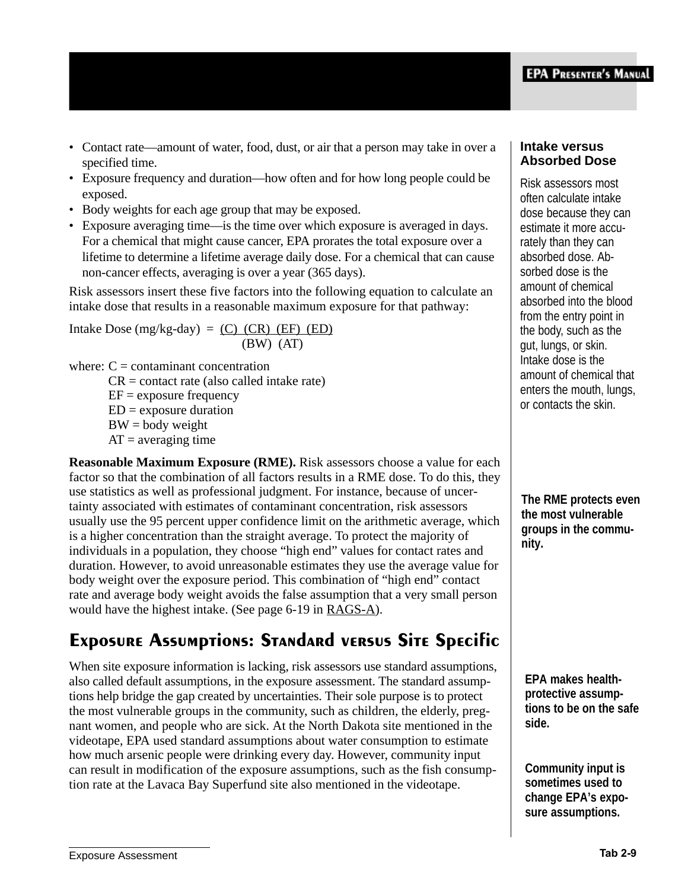### **EPA PRESENTER'S MANUAL**

- Contact rate—amount of water, food, dust, or air that a person may take in over a specified time.
- Exposure frequency and duration—how often and for how long people could be exposed.
- Body weights for each age group that may be exposed.
- Exposure averaging time—is the time over which exposure is averaged in days. For a chemical that might cause cancer, EPA prorates the total exposure over a lifetime to determine a lifetime average daily dose. For a chemical that can cause non-cancer effects, averaging is over a year (365 days).

Risk assessors insert these five factors into the following equation to calculate an intake dose that results in a reasonable maximum exposure for that pathway:

Intake Dose  $(mg/kg-day) = (C) (CR) (EF) (ED)$ (BW) (AT)

where:  $C =$  contaminant concentration

 $CR = \text{contact rate}$  (also called intake rate)

 $EF =$  exposure frequency

 $ED =$  exposure duration

 $BW = body weight$ 

 $AT = \text{averaging time}$ 

**Reasonable Maximum Exposure (RME).** Risk assessors choose a value for each factor so that the combination of all factors results in a RME dose. To do this, they use statistics as well as professional judgment. For instance, because of uncertainty associated with estimates of contaminant concentration, risk assessors usually use the 95 percent upper confidence limit on the arithmetic average, which is a higher concentration than the straight average. To protect the majority of individuals in a population, they choose "high end" values for contact rates and duration. However, to avoid unreasonable estimates they use the average value for body weight over the exposure period. This combination of "high end" contact rate and average body weight avoids the false assumption that a very small person would have the highest intake. (See page 6-19 in RAGS-A).

### Exposure Assumptions: Standard versus Site Specific

When site exposure information is lacking, risk assessors use standard assumptions, also called default assumptions, in the exposure assessment. The standard assumptions help bridge the gap created by uncertainties. Their sole purpose is to protect the most vulnerable groups in the community, such as children, the elderly, pregnant women, and people who are sick. At the North Dakota site mentioned in the videotape, EPA used standard assumptions about water consumption to estimate how much arsenic people were drinking every day. However, community input can result in modification of the exposure assumptions, such as the fish consumption rate at the Lavaca Bay Superfund site also mentioned in the videotape.

#### **Intake versus Absorbed Dose**

Risk assessors most often calculate intake dose because they can estimate it more accurately than they can absorbed dose. Absorbed dose is the amount of chemical absorbed into the blood from the entry point in the body, such as the gut, lungs, or skin. Intake dose is the amount of chemical that enters the mouth, lungs, or contacts the skin.

**The RME protects even the most vulnerable groups in the community.** 

**EPA makes healthprotective assumptions to be on the safe side.** 

**Community input is sometimes used to change EPA's exposure assumptions.**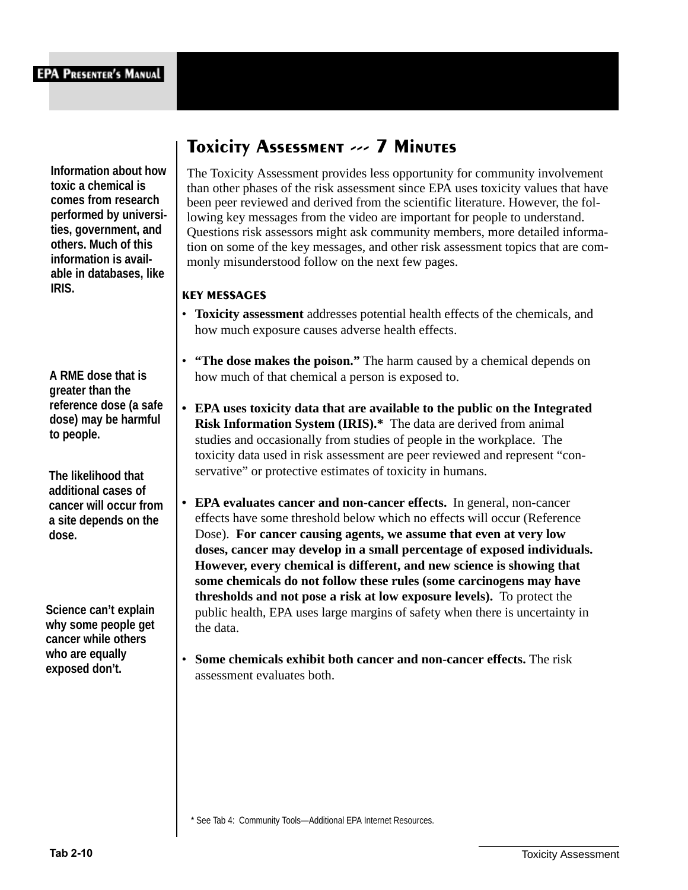**IRIS. WESSAGES** 

**greater than the** 

**additional cases of** 

why some people get  $\int_{\text{the data}}^{\text{t}}$ **cancer while others** 

### Toxicity Assessment ... 7 Minutes

**Information about how** The Toxicity Assessment provides less opportunity for community involvement<br> **Institute of the proper proper proper** of the risk assessment since FPA uses toxicity values that have **toxic a chemical is** than other phases of the risk assessment since EPA uses toxicity values that have<br>comes from research been peer reviewed and derived from the scientific literature. However, the fol**comes from research** been peer reviewed and derived from the scientific literature. However, the fol-<br>**performed by universi-** lowing key messages from the video are important for people to understand. **performed by universi-**<br>**ties, government, and** Questions risk assessors might ask community members, more detailed informa-<br>**others.** Much of this<br>**others**. Much of this **others. Much of this** tion on some of the key messages, and other risk assessment topics that are com-<br>**information is avail-** monly misunderstood follow on the next few pages **information is avail-** monly misunderstood follow on the next few pages.<br>able in databases, like

- • **Toxicity assessment** addresses potential health effects of the chemicals, and how much exposure causes adverse health effects.
- **"The dose makes the poison."** The harm caused by a chemical depends on **A RME dose that is** how much of that chemical a person is exposed to.
- **reference dose (a safe**  $\bullet$  **EPA uses toxicity data that are available to the public on the Integrated dose) may be harmful<br>to people. <b>Risk Information System (IRIS).**\* The data are derived from animal<br>to people. The **to people.** studies and occasionally from studies of people in the workplace. The toxicity data used in risk assessment are peer reviewed and represent "con-**The likelihood that** servative" or protective estimates of toxicity in humans.
- **cancer will occur from EPA evaluates cancer and non-cancer effects.** In general, non-cancer **a site depends on the** effects have some threshold below which no effects will occur (Reference dose. *Conserunting the Dose*. For cancer causing agents, we assume that even at very low **doses, cancer may develop in a small percentage of exposed individuals. However, every chemical is different, and new science is showing that some chemicals do not follow these rules (some carcinogens may have thresholds and not pose a risk at low exposure levels).** To protect the **Science can't explain** <br>public health, EPA uses large margins of safety when there is uncertainty in
- **who are equally Some chemicals exhibit both cancer and non-cancer effects.** The risk **exposed don't.** assessment evaluates both.

\* See Tab 4: Community Tools—Additional EPA Internet Resources.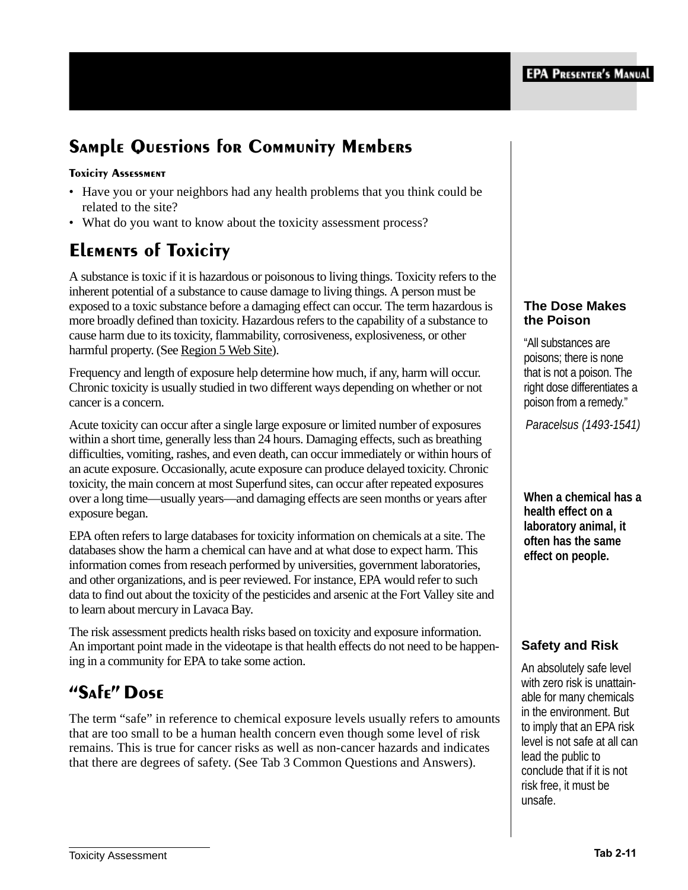### SAMple QUESTIONS FOR COMMUNITY MEMbERS

#### Toxicity Assessment

- Have you or your neighbors had any health problems that you think could be related to the site?
- What do you want to know about the toxicity assessment process?

### **ELEMENTS OF TOXICITY**

A substance is toxic if it is hazardous or poisonous to living things. Toxicity refers to the inherent potential of a substance to cause damage to living things. A person must be exposed to a toxic substance before a damaging effect can occur. The term hazardous is more broadly defined than toxicity. Hazardous refers to the capability of a substance to cause harm due to its toxicity, flammability, corrosiveness, explosiveness, or other harmful property. (See Region 5 Web Site).

Frequency and length of exposure help determine how much, if any, harm will occur. Chronic toxicity is usually studied in two different ways depending on whether or not cancer is a concern.

Acute toxicity can occur after a single large exposure or limited number of exposures within a short time, generally less than 24 hours. Damaging effects, such as breathing difficulties, vomiting, rashes, and even death, can occur immediately or within hours of an acute exposure. Occasionally, acute exposure can produce delayed toxicity. Chronic toxicity, the main concern at most Superfund sites, can occur after repeated exposures over a long time—usually years—and damaging effects are seen months or years after exposure began.

EPA often refers to large databases for toxicity information on chemicals at a site. The databases show the harm a chemical can have and at what dose to expect harm. This information comes from reseach performed by universities, government laboratories, and other organizations, and is peer reviewed. For instance, EPA would refer to such data to find out about the toxicity of the pesticides and arsenic at the Fort Valley site and to learn about mercury in Lavaca Bay.

The risk assessment predicts health risks based on toxicity and exposure information. An important point made in the videotape is that health effects do not need to be happening in a community for EPA to take some action.

### "Safe" Dose

The term "safe" in reference to chemical exposure levels usually refers to amounts that are too small to be a human health concern even though some level of risk remains. This is true for cancer risks as well as non-cancer hazards and indicates that there are degrees of safety. (See Tab 3 Common Questions and Answers).

#### **The Dose Makes the Poison**

"All substances are poisons; there is none that is not a poison. The right dose differentiates a poison from a remedy."

*Paracelsus (1493-1541)* 

**When a chemical has a health effect on a laboratory animal, it often has the same effect on people.** 

#### **Safety and Risk**

An absolutely safe level with zero risk is unattainable for many chemicals in the environment. But to imply that an EPA risk level is not safe at all can lead the public to conclude that if it is not risk free, it must be unsafe.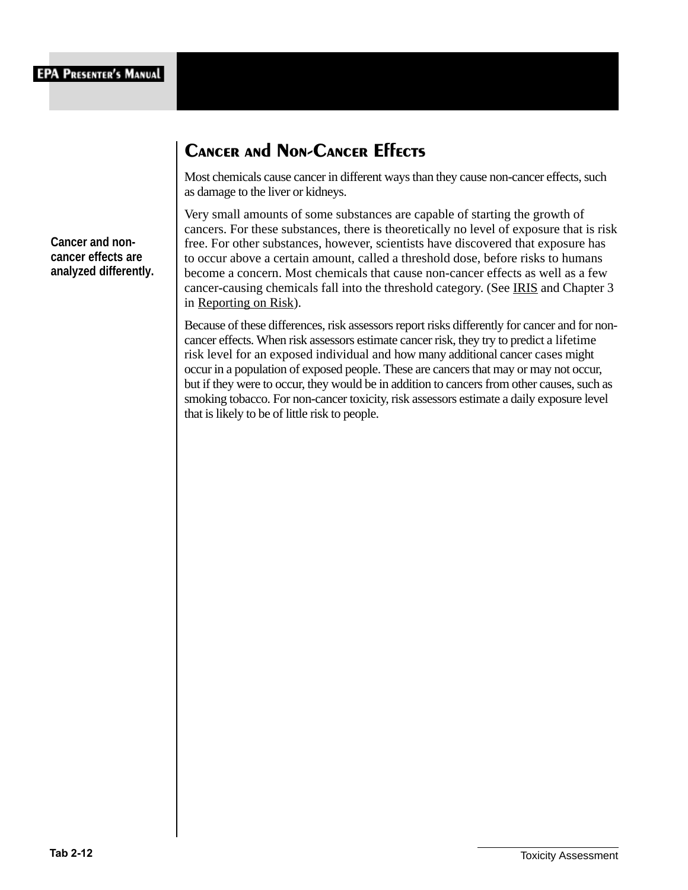### **CANCER AND NON-CANCER Effects**

Most chemicals cause cancer in different ways than they cause non-cancer effects, such as damage to the liver or kidneys.

Very small amounts of some substances are capable of starting the growth of cancers. For these substances, there is theoretically no level of exposure that is risk **Cancer and non-** free. For other substances, however, scientists have discovered that exposure has cancer effects are  $\frac{1}{10}$  to occur above a certain amount, called a threshold dose, before risks to humans **cancer effects are**  $\begin{bmatrix}$  to occur above a certain amount, called a threshold dose, before risks to humans **analyzed differently.** <br>**hecome a concern.** Most chemicals that cause non-cancer effects as well as a few become a concern. Most chemicals that cause non-cancer effects as well as a few cancer-causing chemicals fall into the threshold category. (See IRIS and Chapter 3 in Reporting on Risk).

> Because of these differences, risk assessors report risks differently for cancer and for noncancer effects. When risk assessors estimate cancer risk, they try to predict a lifetime risk level for an exposed individual and how many additional cancer cases might occur in a population of exposed people. These are cancers that may or may not occur, but if they were to occur, they would be in addition to cancers from other causes, such as smoking tobacco. For non-cancer toxicity, risk assessors estimate a daily exposure level that is likely to be of little risk to people.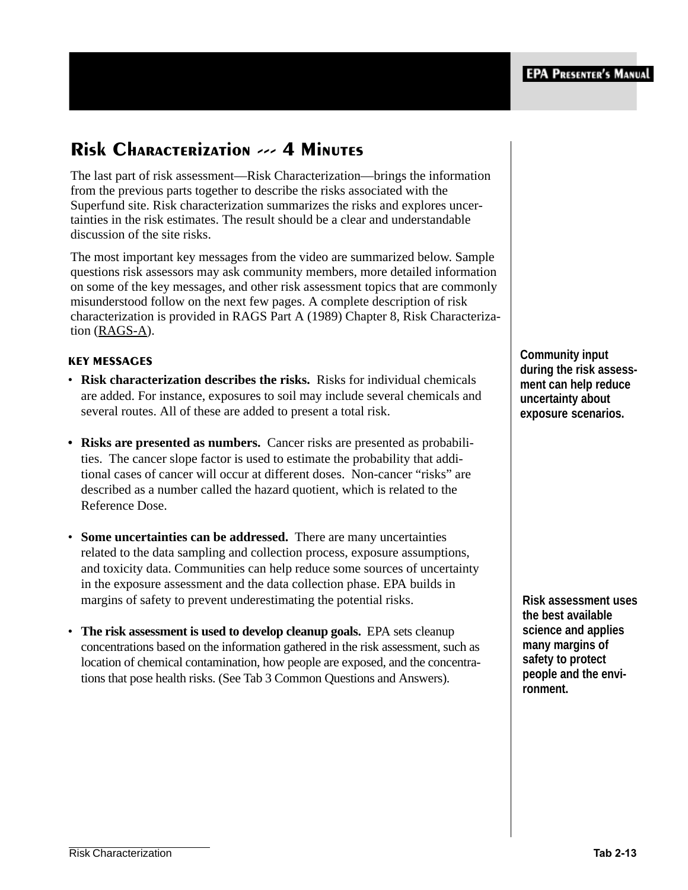### Risk Characterization  $\sim$  4 Minutes

The last part of risk assessment—Risk Characterization—brings the information from the previous parts together to describe the risks associated with the Superfund site. Risk characterization summarizes the risks and explores uncertainties in the risk estimates. The result should be a clear and understandable discussion of the site risks.

The most important key messages from the video are summarized below. Sample questions risk assessors may ask community members, more detailed information on some of the key messages, and other risk assessment topics that are commonly misunderstood follow on the next few pages. A complete description of risk characterization is provided in RAGS Part A (1989) Chapter 8, Risk Characterization (RAGS-A).

- **Risk characterization describes the risks.** Risks for individual chemicals **ment can help red** are added. For instance, exposures to soil may include several chemicals and **uncertainty about** several routes. All of these are added to present a total risk. **exposure scenarios.**
- **Risks are presented as numbers.** Cancer risks are presented as probabilities. The cancer slope factor is used to estimate the probability that additional cases of cancer will occur at different doses. Non-cancer "risks" are described as a number called the hazard quotient, which is related to the Reference Dose.
- Some uncertainties can be addressed. There are many uncertainties related to the data sampling and collection process, exposure assumptions, and toxicity data. Communities can help reduce some sources of uncertainty in the exposure assessment and the data collection phase. EPA builds in margins of safety to prevent underestimating the potential risks. **Risk assessment uses**
- **The risk assessment is used to develop cleanup goals.** EPA sets cleanup science and applies concentrations based on the information gathered in the risk assessment such as **many margins of** concentrations based on the information gathered in the risk assessment, such as **many margins of hard in the concentration**  $\alpha$  **concentration c concentration c concentration c concentration c c c c** location of chemical contamination, how people are exposed, and the concentra- **safety to protect**  tions that pose health risks. (See Tab 3 Common Questions and Answers).

**EXECUTE ASSAGES COMMUNITY input 1.1 At 2008 1.1 At 2008 1.1 At 2008 1.1 At 2012 1.1 At 2013 1.1 At 2013 1.1 At 2013 1.1 At 2013 1.1 At 2014 1.1 At 2014 1.1 At 2014 1.1 At 2014 1.1 At 2014 1.1 At 2014 1.1 At 2014 1.1 At during the risk assess**

> **the best available ronment.**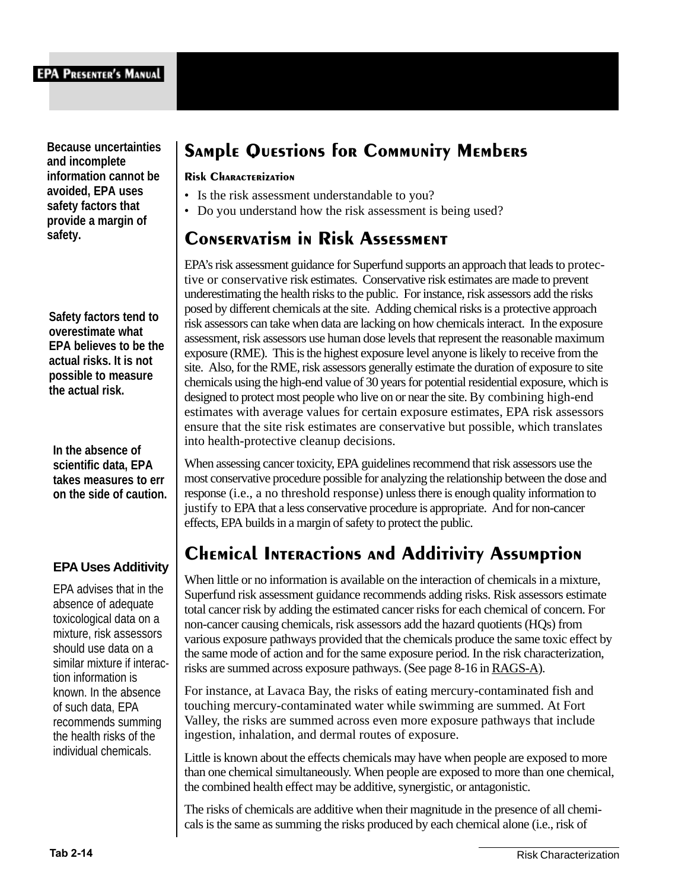#### **EPA PRESENTER'S MANUAL**

**Because uncertainties** and incomplete information cannot be avoided, EPA uses safety factors that provide a margin of safety.

Safety factors tend to overestimate what **EPA believes to be the** actual risks. It is not possible to measure the actual risk.

In the absence of scientific data, EPA takes measures to err on the side of caution.

#### **EPA Uses Additivity**

EPA advises that in the absence of adequate toxicological data on a mixture, risk assessors should use data on a similar mixture if interaction information is known. In the absence of such data, EPA recommends summing the health risks of the individual chemicals.

### **SAMPLE QUESTIONS FOR COMMUNITY MEMBERS**

#### **Risk CHARACTERIZATION**

- Is the risk assessment understandable to you?
- Do you understand how the risk assessment is being used?

### **CONSERVATISM IN RISK ASSESSMENT**

EPA's risk assessment guidance for Superfund supports an approach that leads to protective or conservative risk estimates. Conservative risk estimates are made to prevent underestimating the health risks to the public. For instance, risk assessors add the risks posed by different chemicals at the site. Adding chemical risks is a protective approach risk assessors can take when data are lacking on how chemicals interact. In the exposure assessment, risk assessors use human dose levels that represent the reasonable maximum exposure (RME). This is the highest exposure level anyone is likely to receive from the site. Also, for the RME, risk assessors generally estimate the duration of exposure to site chemicals using the high-end value of 30 years for potential residential exposure, which is designed to protect most people who live on or near the site. By combining high-end estimates with average values for certain exposure estimates, EPA risk assessors ensure that the site risk estimates are conservative but possible, which translates into health-protective cleanup decisions.

When assessing cancer toxicity, EPA guidelines recommend that risk assessors use the most conservative procedure possible for analyzing the relationship between the dose and response (i.e., a no threshold response) unless there is enough quality information to justify to EPA that a less conservative procedure is appropriate. And for non-cancer effects, EPA builds in a margin of safety to protect the public.

### **CHEMICAL INTERACTIONS AND Additivity Assumption**

When little or no information is available on the interaction of chemicals in a mixture, Superfund risk assessment guidance recommends adding risks. Risk assessors estimate total cancer risk by adding the estimated cancer risks for each chemical of concern. For non-cancer causing chemicals, risk assessors add the hazard quotients (HQs) from various exposure pathways provided that the chemicals produce the same toxic effect by the same mode of action and for the same exposure period. In the risk characterization, risks are summed across exposure pathways. (See page 8-16 in RAGS-A).

For instance, at Lavaca Bay, the risks of eating mercury-contaminated fish and touching mercury-contaminated water while swimming are summed. At Fort Valley, the risks are summed across even more exposure pathways that include ingestion, inhalation, and dermal routes of exposure.

Little is known about the effects chemicals may have when people are exposed to more than one chemical simultaneously. When people are exposed to more than one chemical, the combined health effect may be additive, synergistic, or antagonistic.

The risks of chemicals are additive when their magnitude in the presence of all chemicals is the same as summing the risks produced by each chemical alone (i.e., risk of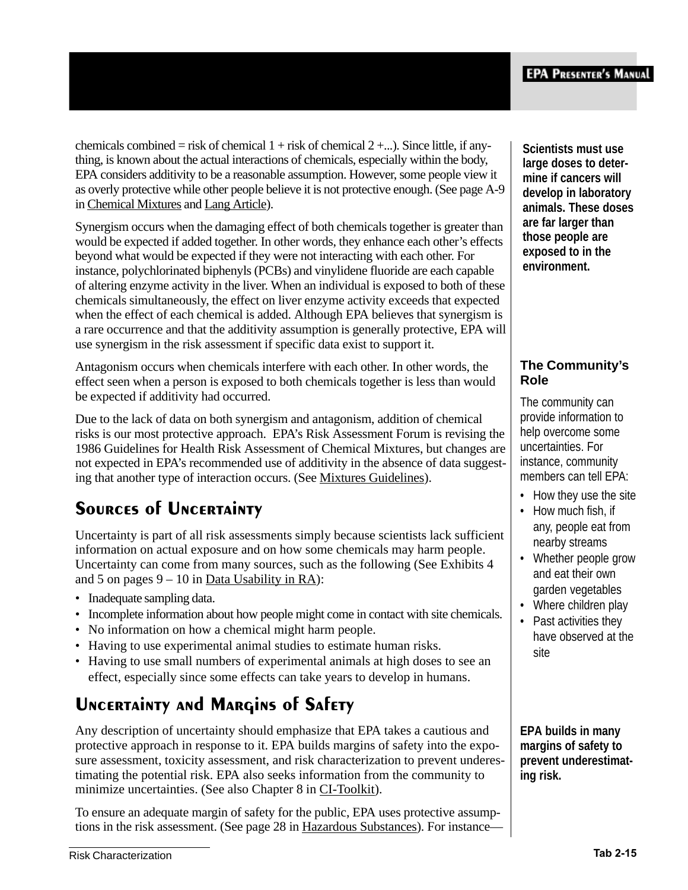chemicals combined = risk of chemical  $1 +$  risk of chemical  $2 + ...$ ). Since little, if anything, is known about the actual interactions of chemicals, especially within the body, EPA considers additivity to be a reasonable assumption. However, some people view it as overly protective while other people believe it is not protective enough. (See page A-9 in Chemical Mixtures and Lang Article).

Synergism occurs when the damaging effect of both chemicals together is greater than would be expected if added together. In other words, they enhance each other's effects beyond what would be expected if they were not interacting with each other. For instance, polychlorinated biphenyls (PCBs) and vinylidene fluoride are each capable of altering enzyme activity in the liver. When an individual is exposed to both of these chemicals simultaneously, the effect on liver enzyme activity exceeds that expected when the effect of each chemical is added. Although EPA believes that synergism is a rare occurrence and that the additivity assumption is generally protective, EPA will use synergism in the risk assessment if specific data exist to support it.

Antagonism occurs when chemicals interfere with each other. In other words, the effect seen when a person is exposed to both chemicals together is less than would be expected if additivity had occurred.

Due to the lack of data on both synergism and antagonism, addition of chemical risks is our most protective approach. EPA's Risk Assessment Forum is revising the 1986 Guidelines for Health Risk Assessment of Chemical Mixtures, but changes are not expected in EPA's recommended use of additivity in the absence of data suggesting that another type of interaction occurs. (See Mixtures Guidelines).

### SOURCES OF UNCERTAINTY

Uncertainty is part of all risk assessments simply because scientists lack sufficient information on actual exposure and on how some chemicals may harm people. Uncertainty can come from many sources, such as the following (See Exhibits 4 and 5 on pages  $9 - 10$  in Data Usability in RA):

- Inadequate sampling data.
- Incomplete information about how people might come in contact with site chemicals.
- No information on how a chemical might harm people.
- Having to use experimental animal studies to estimate human risks.
- Having to use small numbers of experimental animals at high doses to see an effect, especially since some effects can take years to develop in humans.

### UNCERTAINTY AND MARGINS of SAFETY

Any description of uncertainty should emphasize that EPA takes a cautious and protective approach in response to it. EPA builds margins of safety into the exposure assessment, toxicity assessment, and risk characterization to prevent underestimating the potential risk. EPA also seeks information from the community to minimize uncertainties. (See also Chapter 8 in CI-Toolkit).

To ensure an adequate margin of safety for the public, EPA uses protective assumptions in the risk assessment. (See page 28 in Hazardous Substances). For instance**Scientists must use large doses to determine if cancers will develop in laboratory animals. These doses are far larger than those people are exposed to in the environment.** 

#### **The Community's Role**

The community can provide information to help overcome some uncertainties. For instance, community members can tell EPA:

- How they use the site
- How much fish, if any, people eat from nearby streams
- Whether people grow and eat their own garden vegetables
- Where children play
- Past activities they have observed at the site

**EPA builds in many margins of safety to prevent underestimating risk.**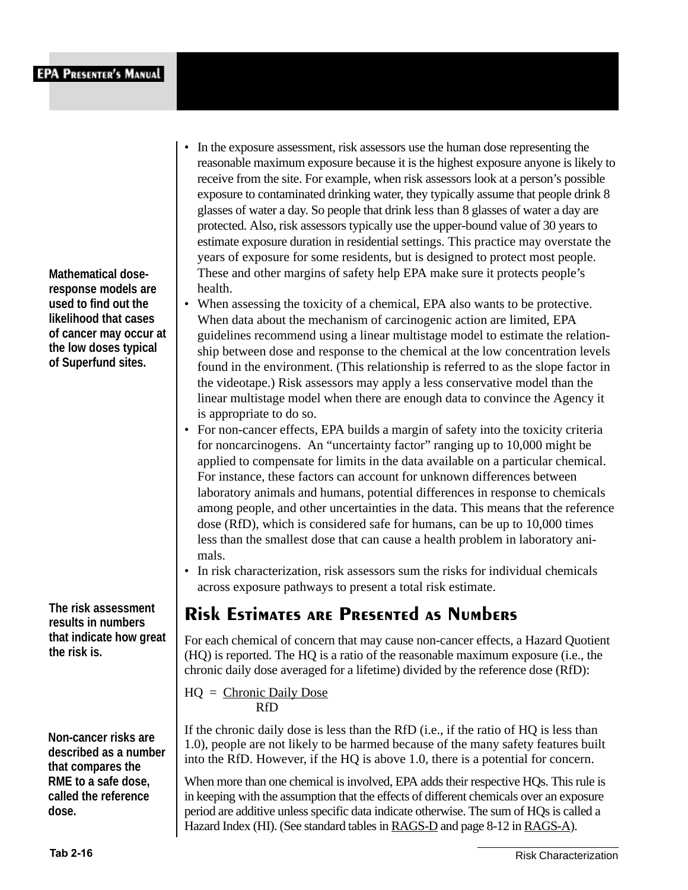**response models are** | health.

- In the exposure assessment, risk assessors use the human dose representing the reasonable maximum exposure because it is the highest exposure anyone is likely to receive from the site. For example, when risk assessors look at a person's possible exposure to contaminated drinking water, they typically assume that people drink 8 glasses of water a day. So people that drink less than 8 glasses of water a day are protected. Also, risk assessors typically use the upper-bound value of 30 years to estimate exposure duration in residential settings. This practice may overstate the years of exposure for some residents, but is designed to protect most people. Mathematical dose-<br>
These and other margins of safety help EPA make sure it protects people's
- **used to find out the**  When assessing the toxicity of a chemical, EPA also wants to be protective. **likelihood that cases** | When data about the mechanism of carcinogenic action are limited, EPA **of cancer may occur at**  $\qquad$  guidelines recommend using a linear multistage model to estimate the relation**the low doses typical** ship between dose and response to the chemical at the low concentration levels **of Superfund sites.**  $\begin{vmatrix} \text{found in the environment.} \\ \text{This relationship is referred to as the slope factor in } \end{vmatrix}$ the videotape.) Risk assessors may apply a less conservative model than the linear multistage model when there are enough data to convince the Agency it is appropriate to do so.
	- • For non-cancer effects, EPA builds a margin of safety into the toxicity criteria for noncarcinogens. An "uncertainty factor" ranging up to 10,000 might be applied to compensate for limits in the data available on a particular chemical. For instance, these factors can account for unknown differences between laboratory animals and humans, potential differences in response to chemicals among people, and other uncertainties in the data. This means that the reference dose (RfD), which is considered safe for humans, can be up to 10,000 times less than the smallest dose that can cause a health problem in laboratory animals.
	- In risk characterization, risk assessors sum the risks for individual chemicals across exposure pathways to present a total risk estimate.

# The risk assessment<br>results in numbers<br>that indicate how great<br> $\left\{\n \begin{array}{c}\n \text{Risk}\n \text{Estimate}\n \end{array}\n \right\}$

**that indicate how great For each chemical of concern that may cause non-cancer effects, a Hazard Quotient <b>the risk is.** (HQ) is reported. The HQ is a ratio of the reasonable maximum exposure (i.e., the chronic daily dose averaged for a lifetime) divided by the reference dose (RfD):

> HQ = Chronic Daily Dose RfD

**Non-cancer risks are** If the chronic daily dose is less than the RfD (i.e., if the ratio of HQ is less than **described as a number** 1.0), people are not likely to be harmed because of the many safety features built that compares the **interpolate into the RfD.** However, if the HQ is above 1.0, there is a potential for concern.

**RME to a safe dose,** When more than one chemical is involved, EPA adds their respective HQs. This rule is **called the reference** in keeping with the assumption that the effects of different chemicals over an exposure **dose. period are additive unless specific data indicate otherwise. The sum of HQs is called a** Hazard Index (HI). (See standard tables in RAGS-D and page 8-12 in RAGS-A).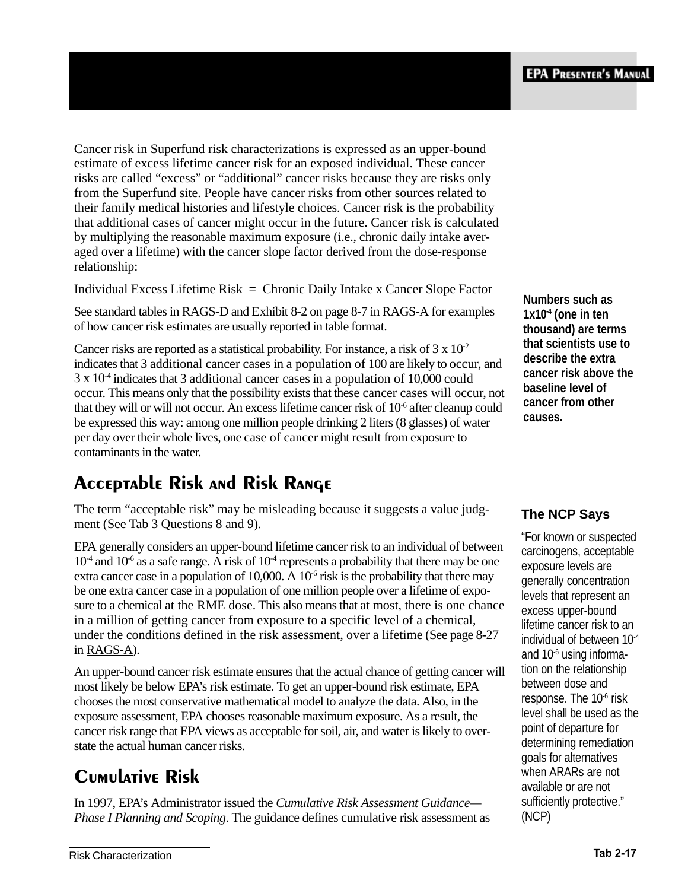Cancer risk in Superfund risk characterizations is expressed as an upper-bound estimate of excess lifetime cancer risk for an exposed individual. These cancer risks are called "excess" or "additional" cancer risks because they are risks only from the Superfund site. People have cancer risks from other sources related to their family medical histories and lifestyle choices. Cancer risk is the probability that additional cases of cancer might occur in the future. Cancer risk is calculated by multiplying the reasonable maximum exposure (i.e., chronic daily intake averaged over a lifetime) with the cancer slope factor derived from the dose-response relationship:

Individual Excess Lifetime Risk = Chronic Daily Intake x Cancer Slope Factor

See standard tables in RAGS-D and Exhibit 8-2 on page 8-7 in RAGS-A for examples of how cancer risk estimates are usually reported in table format.

Cancer risks are reported as a statistical probability. For instance, a risk of  $3 \times 10^{-2}$ indicates that 3 additional cancer cases in a population of 100 are likely to occur, and **describe the extra**   $3 \times 10^{-4}$  indicates that 3 additional cancer cases in a population of  $10,000$  could **cancer risk above the above the** <br>**cancer This manner calculate the population with the best fluor cancer acceptively could baseline** occur. This means only that the possibility exists that these cancer cases will occur, not **baseline level of** the thourill cancer of **baseline** level **of** the **baseline** level **of**  $\frac{1}{2}$  **cancer from other** that they will or will not occur. An excess lifetime cancer risk of 10<sup>-6</sup> after cleanup could be expressed this way: among one million people drinking 2 liters (8 glasses) of water per day over their whole lives, one case of cancer might result from exposure to contaminants in the water.

### ACCEPTAble Risk and Risk Range

The term "acceptable risk" may be misleading because it suggests a value judgment (See Tab 3 Questions 8 and 9).

EPA generally considers an upper-bound lifetime cancer risk to an individual of between  $10^4$  and  $10^6$  as a safe range. A risk of  $10^4$  represents a probability that there may be one extra cancer case in a population In a million of getting cancer from exposure to a specific level of a chemical,<br>under the conditions defined in the risk assessment, over a lifetime (See page 8-27<br>individual of between 10<sup>-4</sup><br>and 10<sup>-6</sup> using informa

An upper-bound cancer risk estimate ensures that the actual chance of getting cancer will  $\begin{bmatrix} \text{tion on the relationship} \\ \text{both one of the following EPA} \end{bmatrix}$ most likely be below EPA's risk estimate. To get an upper-bound risk estimate, EPA chooses the most conservative mathematical model to analyze the data. Also, in the exposure assessment, EPA chooses reasonable maximum exposure. As a result, the cancer risk range that EPA views as acceptable for soil, air, and water is likely to overstate the actual human cancer risks.

### CUMULATIVE Risk

In 1997, EPA's Administrator issued the *Cumulative Risk Assessment Guidance— Phase I Planning and Scoping*. The guidance defines cumulative risk assessment as **Numbers such as 1x10-4 (one in ten thousand) are terms that scientists use to causes.** 

#### **The NCP Says**

and  $10<sup>-6</sup>$  using informaresponse. The 10<sup>-6</sup> risk level shall be used as the point of departure for determining remediation goals for alternatives when ARARs are not available or are not sufficiently protective." (NCP)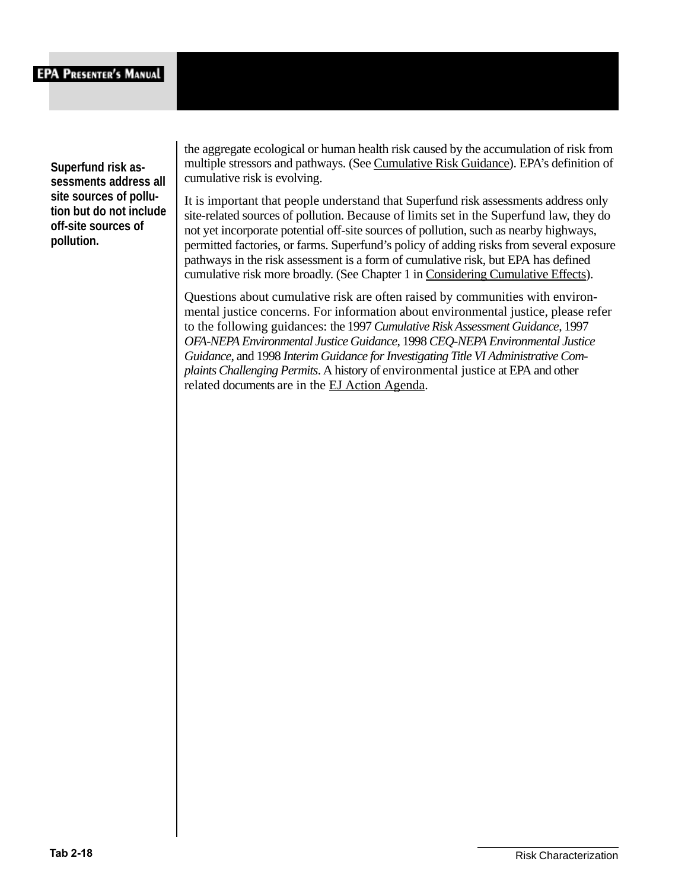### **EPA PRESENTER'S MANUAL**

**Superfund risk assessments address all site sources of pollution but do not include off-site sources of pollution.** 

the aggregate ecological or human health risk caused by the accumulation of risk from multiple stressors and pathways. (See Cumulative Risk Guidance). EPA's definition of cumulative risk is evolving.

It is important that people understand that Superfund risk assessments address only site-related sources of pollution. Because of limits set in the Superfund law, they do not yet incorporate potential off-site sources of pollution, such as nearby highways, permitted factories, or farms. Superfund's policy of adding risks from several exposure pathways in the risk assessment is a form of cumulative risk, but EPA has defined cumulative risk more broadly. (See Chapter 1 in Considering Cumulative Effects).

Questions about cumulative risk are often raised by communities with environmental justice concerns. For information about environmental justice, please refer to the following guidances: the 1997 *Cumulative Risk Assessment Guidance*, 1997 *OFA-NEPA Environmental Justice Guidance*, 1998 *CEQ-NEPA Environmental Justice Guidance*, and 1998 *Interim Guidance for Investigating Title VI Administrative Complaints Challenging Permits*. A history of environmental justice at EPA and other related documents are in the EJ Action Agenda.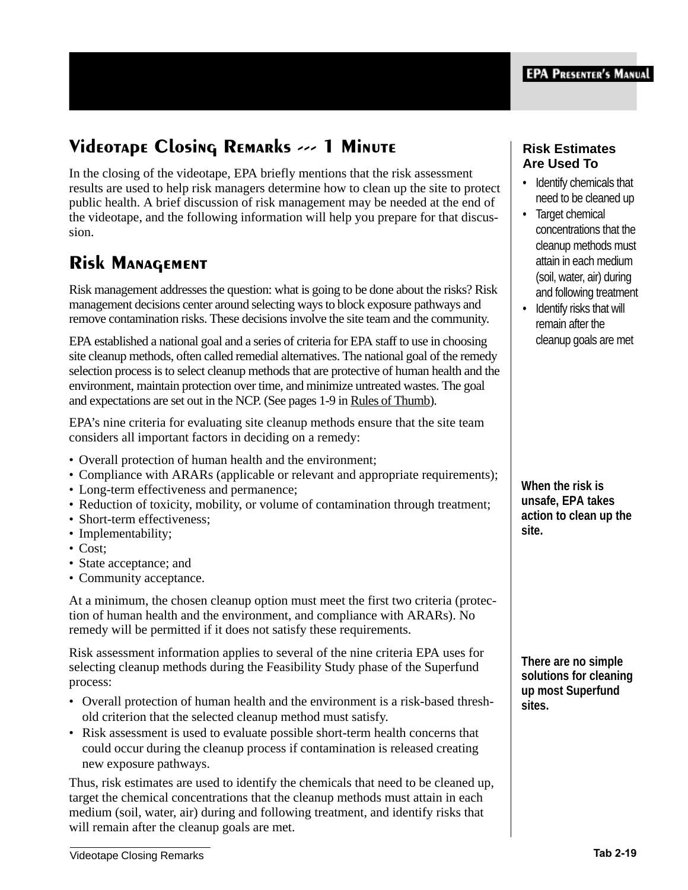### Videotape Closing Remarks  $\sim$  1 Minute

In the closing of the videotape, EPA briefly mentions that the risk assessment results are used to help risk managers determine how to clean up the site to protect public health. A brief discussion of risk management may be needed at the end of the videotape, and the following information will help you prepare for that discussion.

### Risk MANAGEMENT

Risk management addresses the question: what is going to be done about the risks? Risk management decisions center around selecting ways to block exposure pathways and remove contamination risks. These decisions involve the site team and the community.

EPA established a national goal and a series of criteria for EPA staff to use in choosing site cleanup methods, often called remedial alternatives. The national goal of the remedy selection process is to select cleanup methods that are protective of human health and the environment, maintain protection over time, and minimize untreated wastes. The goal and expectations are set out in the NCP. (See pages 1-9 in Rules of Thumb).

EPA's nine criteria for evaluating site cleanup methods ensure that the site team considers all important factors in deciding on a remedy:

- Overall protection of human health and the environment;
- Compliance with ARARs (applicable or relevant and appropriate requirements);
- Long-term effectiveness and permanence;
- Reduction of toxicity, mobility, or volume of contamination through treatment;
- Short-term effectiveness:
- Implementability;
- Cost;
- State acceptance; and
- Community acceptance.

At a minimum, the chosen cleanup option must meet the first two criteria (protection of human health and the environment, and compliance with ARARs). No remedy will be permitted if it does not satisfy these requirements.

Risk assessment information applies to several of the nine criteria EPA uses for selecting cleanup methods during the Feasibility Study phase of the Superfund process:

- • Overall protection of human health and the environment is a risk-based threshold criterion that the selected cleanup method must satisfy.
- Risk assessment is used to evaluate possible short-term health concerns that could occur during the cleanup process if contamination is released creating new exposure pathways.

Thus, risk estimates are used to identify the chemicals that need to be cleaned up, target the chemical concentrations that the cleanup methods must attain in each medium (soil, water, air) during and following treatment, and identify risks that will remain after the cleanup goals are met.

#### **Risk Estimates Are Used To**

- • Identify chemicals that need to be cleaned up
- Target chemical concentrations that the cleanup methods must attain in each medium (soil, water, air) during and following treatment
- Identify risks that will remain after the cleanup goals are met

**When the risk is unsafe, EPA takes action to clean up the site.** 

**There are no simple solutions for cleaning up most Superfund sites.**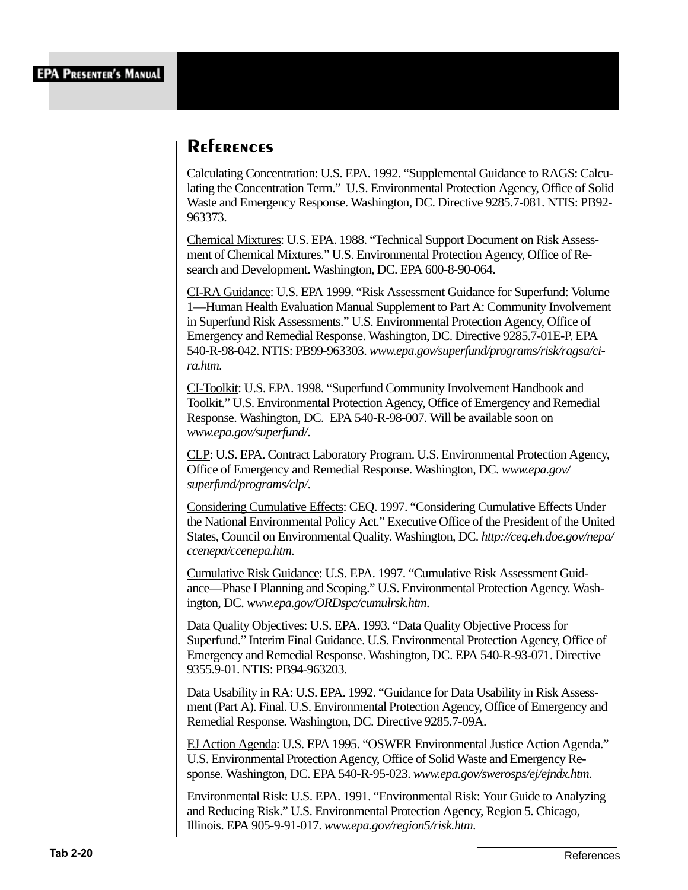### REFERENCES

Calculating Concentration: U.S. EPA. 1992. "Supplemental Guidance to RAGS: Calculating the Concentration Term." U.S. Environmental Protection Agency, Office of Solid Waste and Emergency Response. Washington, DC. Directive 9285.7-081. NTIS: PB92- 963373.

Chemical Mixtures: U.S. EPA. 1988. "Technical Support Document on Risk Assessment of Chemical Mixtures." U.S. Environmental Protection Agency, Office of Research and Development. Washington, DC. EPA 600-8-90-064.

CI-RA Guidance: U.S. EPA 1999. "Risk Assessment Guidance for Superfund: Volume 1—Human Health Evaluation Manual Supplement to Part A: Community Involvement in Superfund Risk Assessments." U.S. Environmental Protection Agency, Office of Emergency and Remedial Response. Washington, DC. Directive 9285.7-01E-P. EPA 540-R-98-042. NTIS: PB99-963303. *www.epa.gov/superfund/programs/risk/ragsa/cira.htm*.

CI-Toolkit: U.S. EPA. 1998. "Superfund Community Involvement Handbook and Toolkit." U.S. Environmental Protection Agency, Office of Emergency and Remedial Response. Washington, DC. EPA 540-R-98-007. Will be available soon on *www.epa.gov/superfund/*.

CLP: U.S. EPA. Contract Laboratory Program. U.S. Environmental Protection Agency, Office of Emergency and Remedial Response. Washington, DC. *www.epa.gov/ superfund/programs/clp/*.

Considering Cumulative Effects: CEQ. 1997. "Considering Cumulative Effects Under the National Environmental Policy Act." Executive Office of the President of the United States, Council on Environmental Quality. Washington, DC. *http://ceq.eh.doe.gov/nepa/ ccenepa/ccenepa.htm*.

Cumulative Risk Guidance: U.S. EPA. 1997. "Cumulative Risk Assessment Guidance—Phase I Planning and Scoping." U.S. Environmental Protection Agency. Washington, DC. *www.epa.gov/ORDspc/cumulrsk.htm*.

Data Quality Objectives: U.S. EPA. 1993. "Data Quality Objective Process for Superfund." Interim Final Guidance. U.S. Environmental Protection Agency, Office of Emergency and Remedial Response. Washington, DC. EPA 540-R-93-071. Directive 9355.9-01. NTIS: PB94-963203.

Data Usability in RA: U.S. EPA. 1992. "Guidance for Data Usability in Risk Assessment (Part A). Final. U.S. Environmental Protection Agency, Office of Emergency and Remedial Response. Washington, DC. Directive 9285.7-09A.

EJ Action Agenda: U.S. EPA 1995. "OSWER Environmental Justice Action Agenda." U.S. Environmental Protection Agency, Office of Solid Waste and Emergency Response. Washington, DC. EPA 540-R-95-023. *www.epa.gov/swerosps/ej/ejndx.htm*.

Environmental Risk: U.S. EPA. 1991. "Environmental Risk: Your Guide to Analyzing and Reducing Risk." U.S. Environmental Protection Agency, Region 5. Chicago, Illinois. EPA 905-9-91-017. *www.epa.gov/region5/risk.htm*.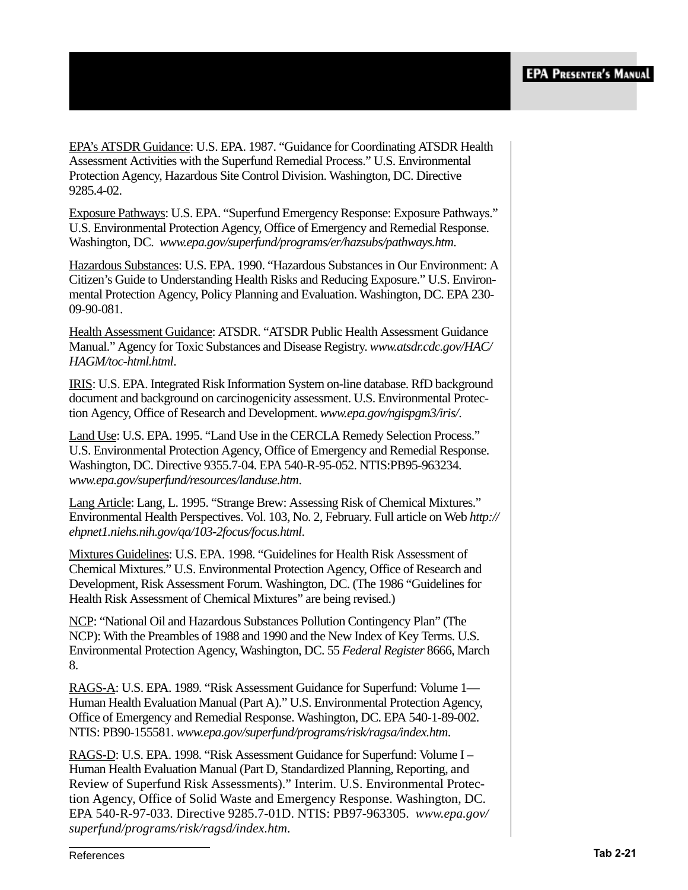EPA's ATSDR Guidance: U.S. EPA. 1987. "Guidance for Coordinating ATSDR Health Assessment Activities with the Superfund Remedial Process." U.S. Environmental Protection Agency, Hazardous Site Control Division. Washington, DC. Directive 9285.4-02.

Exposure Pathways: U.S. EPA. "Superfund Emergency Response: Exposure Pathways." U.S. Environmental Protection Agency, Office of Emergency and Remedial Response. Washington, DC. *www.epa.gov/superfund/programs/er/hazsubs/pathways.htm*.

Hazardous Substances: U.S. EPA. 1990. "Hazardous Substances in Our Environment: A Citizen's Guide to Understanding Health Risks and Reducing Exposure." U.S. Environmental Protection Agency, Policy Planning and Evaluation. Washington, DC. EPA 230- 09-90-081.

Health Assessment Guidance: ATSDR. "ATSDR Public Health Assessment Guidance Manual." Agency for Toxic Substances and Disease Registry. *www.atsdr.cdc.gov/HAC/ HAGM/toc-html.html*.

IRIS: U.S. EPA. Integrated Risk Information System on-line database. RfD background document and background on carcinogenicity assessment. U.S. Environmental Protection Agency, Office of Research and Development. *www.epa.gov/ngispgm3/iris/*.

Land Use: U.S. EPA. 1995. "Land Use in the CERCLA Remedy Selection Process." U.S. Environmental Protection Agency, Office of Emergency and Remedial Response. Washington, DC. Directive 9355.7-04. EPA 540-R-95-052. NTIS:PB95-963234. *www.epa.gov/superfund/resources/landuse.htm*.

Lang Article: Lang, L. 1995. "Strange Brew: Assessing Risk of Chemical Mixtures." Environmental Health Perspectives. Vol. 103, No. 2, February. Full article on Web *http:// ehpnet1.niehs.nih.gov/qa/103-2focus/focus.html*.

Mixtures Guidelines: U.S. EPA. 1998. "Guidelines for Health Risk Assessment of Chemical Mixtures." U.S. Environmental Protection Agency, Office of Research and Development, Risk Assessment Forum. Washington, DC. (The 1986 "Guidelines for Health Risk Assessment of Chemical Mixtures" are being revised.)

NCP: "National Oil and Hazardous Substances Pollution Contingency Plan" (The NCP): With the Preambles of 1988 and 1990 and the New Index of Key Terms. U.S. Environmental Protection Agency, Washington, DC. 55 *Federal Register* 8666, March 8.

RAGS-A: U.S. EPA. 1989. "Risk Assessment Guidance for Superfund: Volume 1— Human Health Evaluation Manual (Part A)." U.S. Environmental Protection Agency, Office of Emergency and Remedial Response. Washington, DC. EPA 540-1-89-002. NTIS: PB90-155581. *www.epa.gov/superfund/programs/risk/ragsa/index.htm*.

RAGS-D: U.S. EPA. 1998. "Risk Assessment Guidance for Superfund: Volume I – Human Health Evaluation Manual (Part D, Standardized Planning, Reporting, and Review of Superfund Risk Assessments)." Interim. U.S. Environmental Protection Agency, Office of Solid Waste and Emergency Response. Washington, DC. EPA 540-R-97-033. Directive 9285.7-01D. NTIS: PB97-963305. *www.epa.gov/ superfund/programs/risk/ragsd/index.htm*.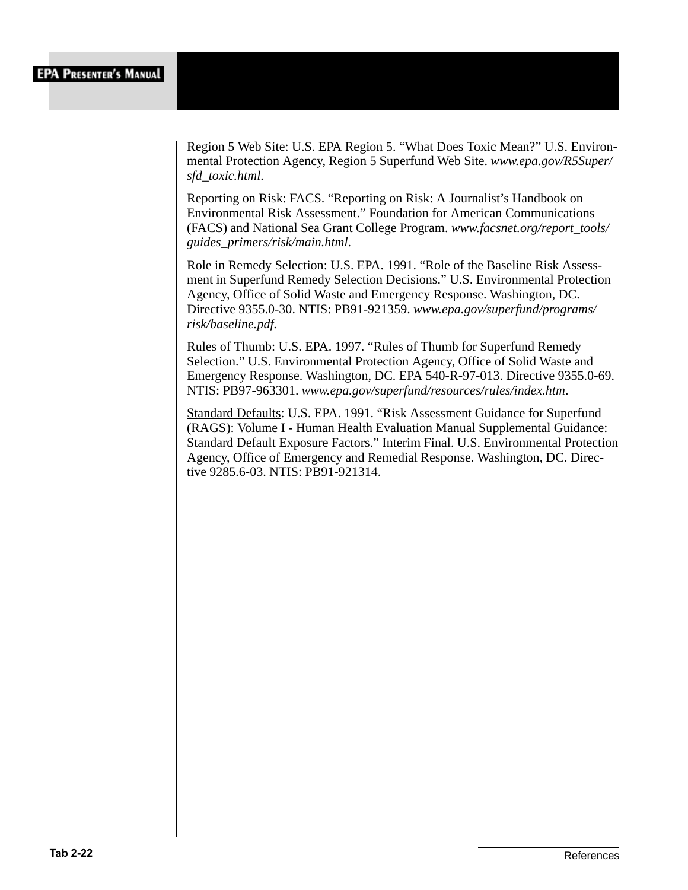Region 5 Web Site: U.S. EPA Region 5. "What Does Toxic Mean?" U.S. Environmental Protection Agency, Region 5 Superfund Web Site. *www.epa.gov/R5Super/ sfd\_toxic.html*.

Reporting on Risk: FACS. "Reporting on Risk: A Journalist's Handbook on Environmental Risk Assessment." Foundation for American Communications (FACS) and National Sea Grant College Program. *www.facsnet.org/report\_tools/ guides\_primers/risk/main.html*.

Role in Remedy Selection: U.S. EPA. 1991. "Role of the Baseline Risk Assessment in Superfund Remedy Selection Decisions." U.S. Environmental Protection Agency, Office of Solid Waste and Emergency Response. Washington, DC. Directive 9355.0-30. NTIS: PB91-921359. *www.epa.gov/superfund/programs/ risk/baseline.pdf*.

Rules of Thumb: U.S. EPA. 1997. "Rules of Thumb for Superfund Remedy Selection." U.S. Environmental Protection Agency, Office of Solid Waste and Emergency Response. Washington, DC. EPA 540-R-97-013. Directive 9355.0-69. NTIS: PB97-963301. *www.epa.gov/superfund/resources/rules/index.htm*.

Standard Defaults: U.S. EPA. 1991. "Risk Assessment Guidance for Superfund (RAGS): Volume I - Human Health Evaluation Manual Supplemental Guidance: Standard Default Exposure Factors." Interim Final. U.S. Environmental Protection Agency, Office of Emergency and Remedial Response. Washington, DC. Directive 9285.6-03. NTIS: PB91-921314.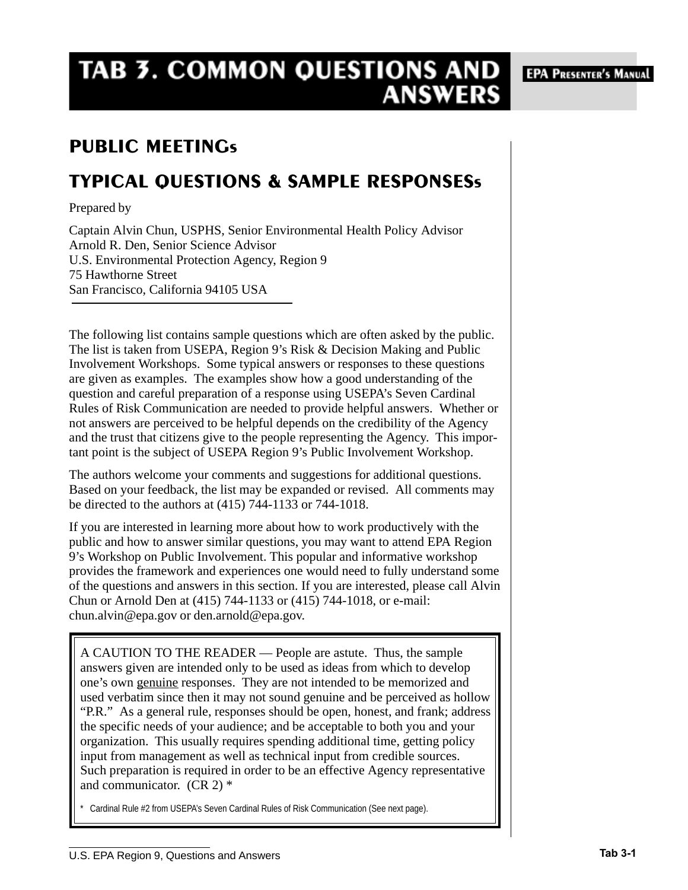### **TAB 3. COMMON QUESTIONS AND** ANSWER

### **PUBLIC MEETINGs**

### TYPICAL QUESTIONS & SAMPLE RESPONSESs

Prepared by

Captain Alvin Chun, USPHS, Senior Environmental Health Policy Advisor Arnold R. Den, Senior Science Advisor U.S. Environmental Protection Agency, Region 9 75 Hawthorne Street San Francisco, California 94105 USA

The following list contains sample questions which are often asked by the public. The list is taken from USEPA, Region 9's Risk & Decision Making and Public Involvement Workshops. Some typical answers or responses to these questions are given as examples. The examples show how a good understanding of the question and careful preparation of a response using USEPA's Seven Cardinal Rules of Risk Communication are needed to provide helpful answers. Whether or not answers are perceived to be helpful depends on the credibility of the Agency and the trust that citizens give to the people representing the Agency. This impor tant point is the subject of USEPA Region 9's Public Involvement Workshop.

The authors welcome your comments and suggestions for additional questions. Based on your feedback, the list may be expanded or revised. All comments may be directed to the authors at (415) 744-1133 or 744-1018.

If you are interested in learning more about how to work productively with the public and how to answer similar questions, you may want to attend EPA Region 9's Workshop on Public Involvement. This popular and informative workshop provides the framework and experiences one would need to fully understand some of the questions and answers in this section. If you are interested, please call Alvin Chun or Arnold Den at (415) 744-1133 or (415) 744-1018, or e-mail: chun.alvin@epa.gov or den.arnold@epa.gov.

A CAUTION TO THE READER — People are astute. Thus, the sample answers given are intended only to be used as ideas from which to develop one's own genuine responses. They are not intended to be memorized and used verbatim since then it may not sound genuine and be perceived as hollow "P.R." As a general rule, responses should be open, honest, and frank; address the specific needs of your audience; and be acceptable to both you and your organization. This usually requires spending additional time, getting policy input from management as well as technical input from credible sources. Such preparation is required in order to be an effective Agency representative and communicator.  $(CR 2)$  \*

Cardinal Rule #2 from USEPA's Seven Cardinal Rules of Risk Communication (See next page).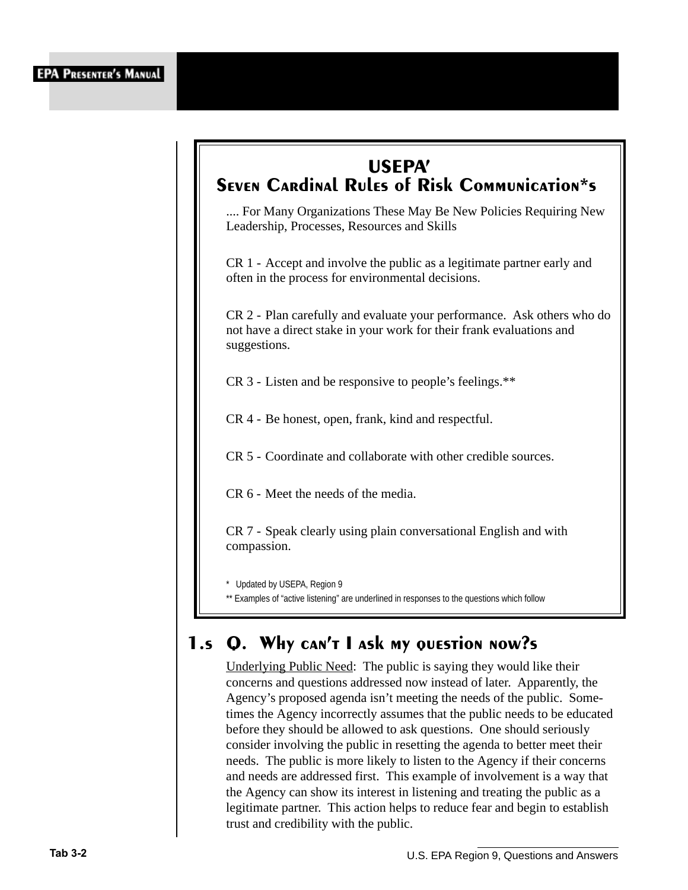### **USEPA' SEVEN CARDINAL RULES of Risk COMMUNICATION\*S**

.... For Many Organizations These May Be New Policies Requiring New Leadership, Processes, Resources and Skills

CR 1 - Accept and involve the public as a legitimate partner early and often in the process for environmental decisions.

CR 2 - Plan carefully and evaluate your performance. Ask others who do not have a direct stake in your work for their frank evaluations and suggestions.

CR 3 - Listen and be responsive to people's feelings.\*\*

CR 4 - Be honest, open, frank, kind and respectful.

CR 5 - Coordinate and collaborate with other credible sources.

CR 6 - Meet the needs of the media.

CR 7 - Speak clearly using plain conversational English and with compassion.

\* Updated by USEPA, Region 9

\*\* Examples of "active listening" are underlined in responses to the questions which follow

#### $1.5$ Q. Why can't I ask my question now?s

Underlying Public Need: The public is saying they would like their concerns and questions addressed now instead of later. Apparently, the Agency's proposed agenda isn't meeting the needs of the public. Sometimes the Agency incorrectly assumes that the public needs to be educated before they should be allowed to ask questions. One should seriously consider involving the public in resetting the agenda to better meet their needs. The public is more likely to listen to the Agency if their concerns and needs are addressed first. This example of involvement is a way that the Agency can show its interest in listening and treating the public as a legitimate partner. This action helps to reduce fear and begin to establish trust and credibility with the public.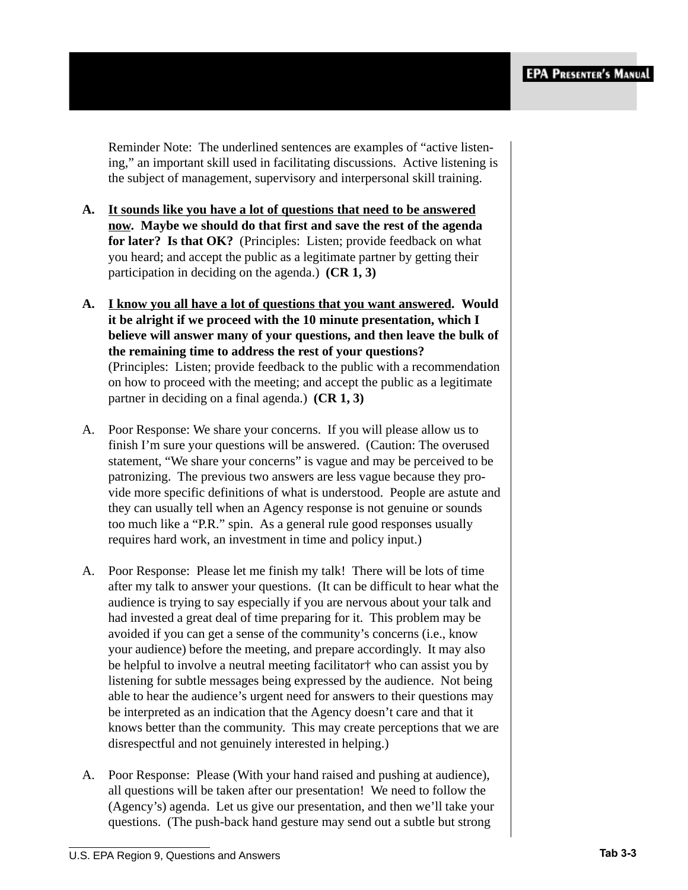Reminder Note: The underlined sentences are examples of "active listening," an important skill used in facilitating discussions. Active listening is the subject of management, supervisory and interpersonal skill training.

- **A. It sounds like you have a lot of questions that need to be answered now. Maybe we should do that first and save the rest of the agenda for later? Is that OK?** (Principles: Listen; provide feedback on what you heard; and accept the public as a legitimate partner by getting their participation in deciding on the agenda.) **(CR 1, 3)**
- **A. I know you all have a lot of questions that you want answered. Would it be alright if we proceed with the 10 minute presentation, which I believe will answer many of your questions, and then leave the bulk of the remaining time to address the rest of your questions?**  (Principles: Listen; provide feedback to the public with a recommendation on how to proceed with the meeting; and accept the public as a legitimate partner in deciding on a final agenda.) **(CR 1, 3)**
- A. Poor Response: We share your concerns. If you will please allow us to finish I'm sure your questions will be answered. (Caution: The overused statement, "We share your concerns" is vague and may be perceived to be patronizing. The previous two answers are less vague because they provide more specific definitions of what is understood. People are astute and they can usually tell when an Agency response is not genuine or sounds too much like a "P.R." spin. As a general rule good responses usually requires hard work, an investment in time and policy input.)
- A. Poor Response: Please let me finish my talk! There will be lots of time after my talk to answer your questions. (It can be difficult to hear what the audience is trying to say especially if you are nervous about your talk and had invested a great deal of time preparing for it. This problem may be avoided if you can get a sense of the community's concerns (i.e., know your audience) before the meeting, and prepare accordingly. It may also be helpful to involve a neutral meeting facilitator† who can assist you by listening for subtle messages being expressed by the audience. Not being able to hear the audience's urgent need for answers to their questions may be interpreted as an indication that the Agency doesn't care and that it knows better than the community. This may create perceptions that we are disrespectful and not genuinely interested in helping.)
- A. Poor Response: Please (With your hand raised and pushing at audience), all questions will be taken after our presentation! We need to follow the (Agency's) agenda. Let us give our presentation, and then we'll take your questions. (The push-back hand gesture may send out a subtle but strong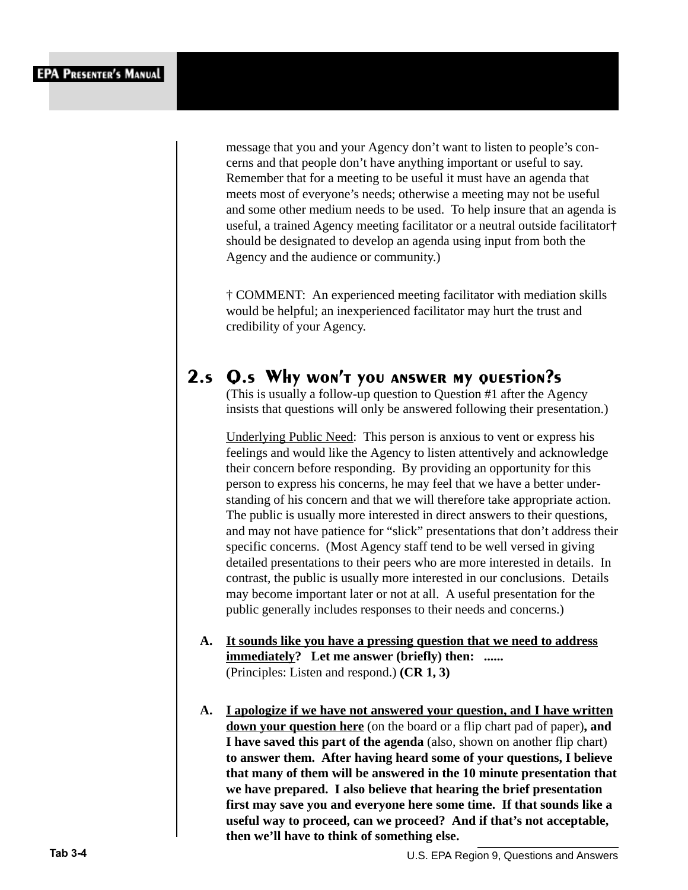message that you and your Agency don't want to listen to people's concerns and that people don't have anything important or useful to say. Remember that for a meeting to be useful it must have an agenda that meets most of everyone's needs; otherwise a meeting may not be useful and some other medium needs to be used. To help insure that an agenda is useful, a trained Agency meeting facilitator or a neutral outside facilitator† should be designated to develop an agenda using input from both the Agency and the audience or community.)

† COMMENT: An experienced meeting facilitator with mediation skills would be helpful; an inexperienced facilitator may hurt the trust and credibility of your Agency.

## 2.5 Q.s Why won't you answer my question?s

(This is usually a follow-up question to Question #1 after the Agency insists that questions will only be answered following their presentation.)

Underlying Public Need: This person is anxious to vent or express his feelings and would like the Agency to listen attentively and acknowledge their concern before responding. By providing an opportunity for this person to express his concerns, he may feel that we have a better understanding of his concern and that we will therefore take appropriate action. The public is usually more interested in direct answers to their questions, and may not have patience for "slick" presentations that don't address their specific concerns. (Most Agency staff tend to be well versed in giving detailed presentations to their peers who are more interested in details. In contrast, the public is usually more interested in our conclusions. Details may become important later or not at all. A useful presentation for the public generally includes responses to their needs and concerns.)

- **A. It sounds like you have a pressing question that we need to address immediately? Let me answer (briefly) then: ......**  (Principles: Listen and respond.) **(CR 1, 3)**
- **A. I apologize if we have not answered your question, and I have written down your question here** (on the board or a flip chart pad of paper)**, and I have saved this part of the agenda** (also, shown on another flip chart) **to answer them. After having heard some of your questions, I believe that many of them will be answered in the 10 minute presentation that we have prepared. I also believe that hearing the brief presentation first may save you and everyone here some time. If that sounds like a useful way to proceed, can we proceed? And if that's not acceptable, then we'll have to think of something else.**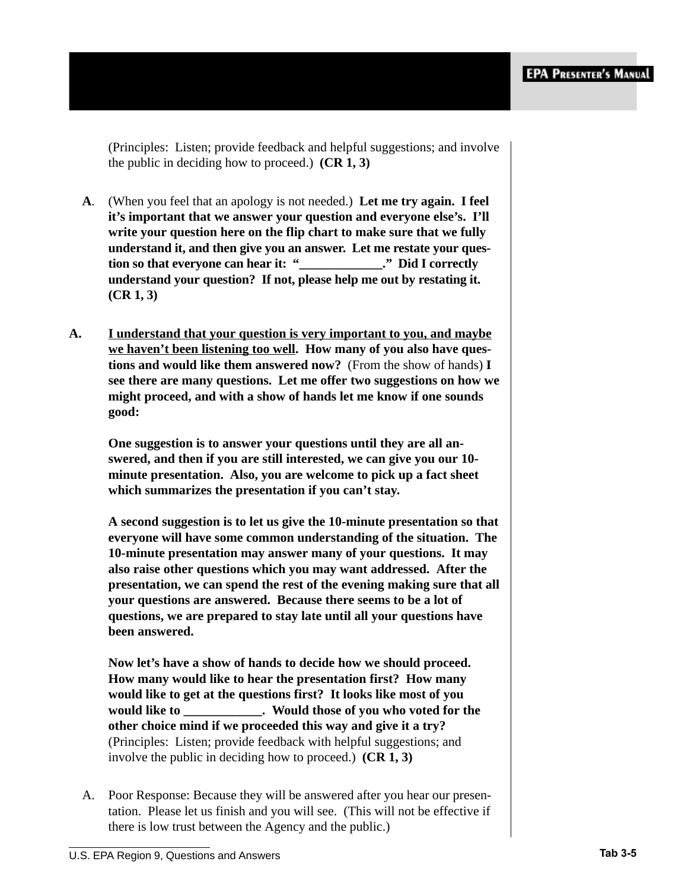(Principles: Listen; provide feedback and helpful suggestions; and involve the public in deciding how to proceed.) **(CR 1, 3)** 

- **A**. (When you feel that an apology is not needed.) **Let me try again. I feel it's important that we answer your question and everyone else's. I'll write your question here on the flip chart to make sure that we fully understand it, and then give you an answer. Let me restate your question so that everyone can hear it: "\_\_\_\_\_\_\_\_\_\_\_\_\_." Did I correctly understand your question? If not, please help me out by restating it. (CR 1, 3)**
- **A. I understand that your question is very important to you, and maybe we haven't been listening too well. How many of you also have questions and would like them answered now?** (From the show of hands) **I see there are many questions. Let me offer two suggestions on how we might proceed, and with a show of hands let me know if one sounds good:**

**One suggestion is to answer your questions until they are all answered, and then if you are still interested, we can give you our 10 minute presentation. Also, you are welcome to pick up a fact sheet which summarizes the presentation if you can't stay.** 

**A second suggestion is to let us give the 10-minute presentation so that everyone will have some common understanding of the situation. The 10-minute presentation may answer many of your questions. It may also raise other questions which you may want addressed. After the presentation, we can spend the rest of the evening making sure that all your questions are answered. Because there seems to be a lot of questions, we are prepared to stay late until all your questions have been answered.** 

**Now let's have a show of hands to decide how we should proceed. How many would like to hear the presentation first? How many would like to get at the questions first? It looks like most of you would like to \_\_\_\_\_\_\_\_\_\_\_\_. Would those of you who voted for the other choice mind if we proceeded this way and give it a try?**  (Principles: Listen; provide feedback with helpful suggestions; and involve the public in deciding how to proceed.) **(CR 1, 3)** 

A. Poor Response: Because they will be answered after you hear our presentation. Please let us finish and you will see. (This will not be effective if there is low trust between the Agency and the public.)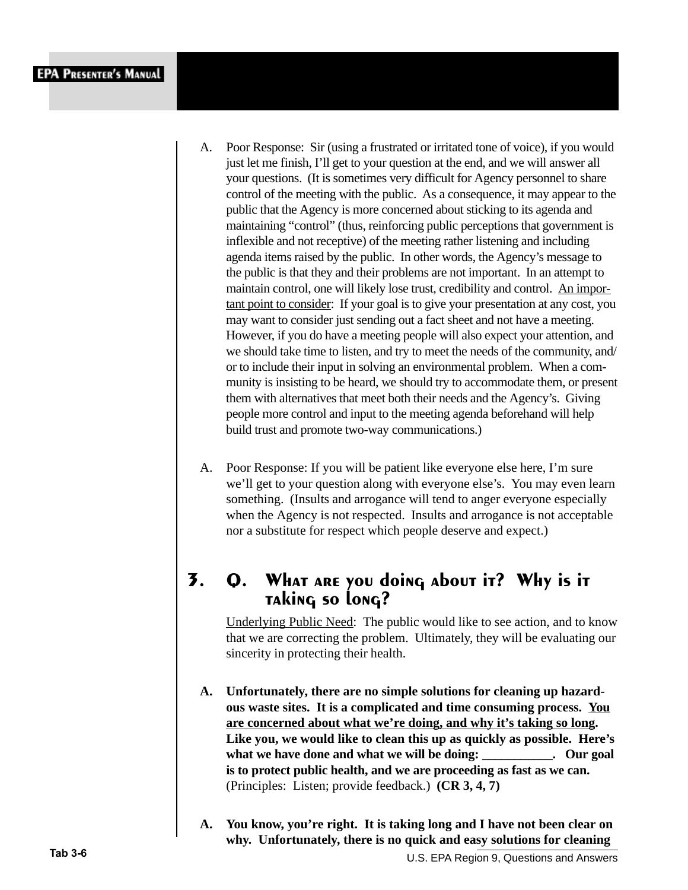- A. Poor Response: Sir (using a frustrated or irritated tone of voice), if you would just let me finish, I'll get to your question at the end, and we will answer all your questions. (It is sometimes very difficult for Agency personnel to share control of the meeting with the public. As a consequence, it may appear to the public that the Agency is more concerned about sticking to its agenda and maintaining "control" (thus, reinforcing public perceptions that government is inflexible and not receptive) of the meeting rather listening and including agenda items raised by the public. In other words, the Agency's message to the public is that they and their problems are not important. In an attempt to maintain control, one will likely lose trust, credibility and control. An important point to consider: If your goal is to give your presentation at any cost, you may want to consider just sending out a fact sheet and not have a meeting. However, if you do have a meeting people will also expect your attention, and we should take time to listen, and try to meet the needs of the community, and/ or to include their input in solving an environmental problem. When a community is insisting to be heard, we should try to accommodate them, or present them with alternatives that meet both their needs and the Agency's. Giving people more control and input to the meeting agenda beforehand will help build trust and promote two-way communications.)
- A. Poor Response: If you will be patient like everyone else here, I'm sure we'll get to your question along with everyone else's. You may even learn something. (Insults and arrogance will tend to anger everyone especially when the Agency is not respected. Insults and arrogance is not acceptable nor a substitute for respect which people deserve and expect.)

## 3. Q. What are you doing about it? Why is it TAKING SO LONG?

Underlying Public Need: The public would like to see action, and to know that we are correcting the problem. Ultimately, they will be evaluating our sincerity in protecting their health.

- A. Unfortunately, there are no simple solutions for cleaning up hazard**ous waste sites. It is a complicated and time consuming process. You are concerned about what we're doing, and why it's taking so long. Like you, we would like to clean this up as quickly as possible. Here's**  what we have done and what we will be doing: <br> **but a**  $\alpha$  **Dur goal**  $\alpha$ **is to protect public health, and we are proceeding as fast as we can.**  (Principles: Listen; provide feedback.) **(CR 3, 4, 7)**
- **A. You know, you're right. It is taking long and I have not been clear on why. Unfortunately, there is no quick and easy solutions for cleaning**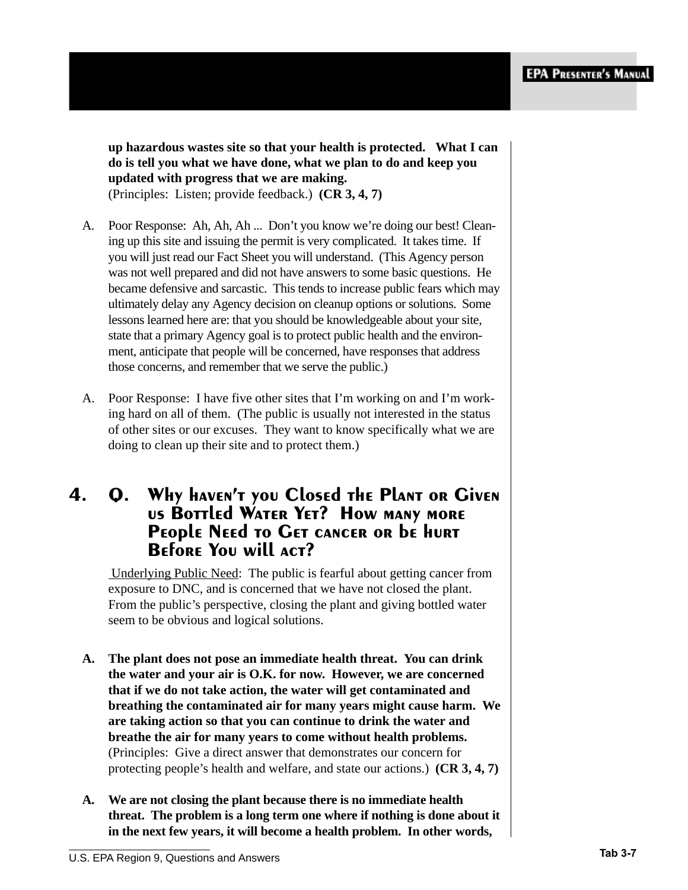up hazardous wastes site so that your health is protected. What I can do is tell you what we have done, what we plan to do and keep you updated with progress that we are making. (Principles: Listen; provide feedback.) (CR 3, 4, 7)

- A. Poor Response: Ah, Ah, Ah ... Don't you know we're doing our best! Cleaning up this site and issuing the permit is very complicated. It takes time. If you will just read our Fact Sheet you will understand. (This Agency person was not well prepared and did not have answers to some basic questions. He became defensive and sarcastic. This tends to increase public fears which may ultimately delay any Agency decision on cleanup options or solutions. Some lessons learned here are: that you should be knowledgeable about your site. state that a primary Agency goal is to protect public health and the environment, anticipate that people will be concerned, have responses that address those concerns, and remember that we serve the public.)
- A. Poor Response: I have five other sites that I'm working on and I'm working hard on all of them. (The public is usually not interested in the status of other sites or our excuses. They want to know specifically what we are doing to clean up their site and to protect them.)

#### Q. Why HAVEN'T YOU Closed The Plant OR GIVEN 4. US BOTTLED WATER YET? HOW MANY MORE **PEODLE NEED TO GET CANCER OR DE HURT BEFORE YOU WILL ACT?**

Underlying Public Need: The public is fearful about getting cancer from exposure to DNC, and is concerned that we have not closed the plant. From the public's perspective, closing the plant and giving bottled water seem to be obvious and logical solutions.

- A. The plant does not pose an immediate health threat. You can drink the water and your air is O.K. for now. However, we are concerned that if we do not take action, the water will get contaminated and breathing the contaminated air for many vears might cause harm. We are taking action so that you can continue to drink the water and breathe the air for many years to come without health problems. (Principles: Give a direct answer that demonstrates our concern for protecting people's health and welfare, and state our actions.)  $(CR 3, 4, 7)$
- A. We are not closing the plant because there is no immediate health threat. The problem is a long term one where if nothing is done about it in the next few years, it will become a health problem. In other words,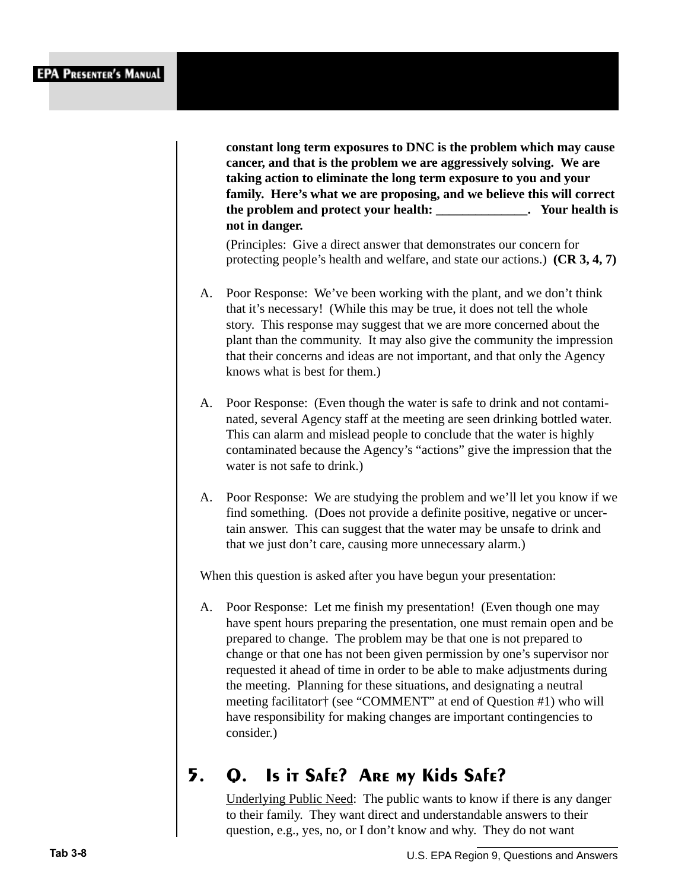**constant long term exposures to DNC is the problem which may cause cancer, and that is the problem we are aggressively solving. We are taking action to eliminate the long term exposure to you and your family. Here's what we are proposing, and we believe this will correct the problem and protect your health: \_\_\_\_\_\_\_\_\_\_\_\_\_\_. Your health is not in danger.** 

(Principles: Give a direct answer that demonstrates our concern for protecting people's health and welfare, and state our actions.) **(CR 3, 4, 7)** 

- A. Poor Response: We've been working with the plant, and we don't think that it's necessary! (While this may be true, it does not tell the whole story. This response may suggest that we are more concerned about the plant than the community. It may also give the community the impression that their concerns and ideas are not important, and that only the Agency knows what is best for them.)
- A. Poor Response: (Even though the water is safe to drink and not contaminated, several Agency staff at the meeting are seen drinking bottled water. This can alarm and mislead people to conclude that the water is highly contaminated because the Agency's "actions" give the impression that the water is not safe to drink.)
- A. Poor Response: We are studying the problem and we'll let you know if we find something. (Does not provide a definite positive, negative or uncertain answer. This can suggest that the water may be unsafe to drink and that we just don't care, causing more unnecessary alarm.)

When this question is asked after you have begun your presentation:

A. Poor Response: Let me finish my presentation! (Even though one may have spent hours preparing the presentation, one must remain open and be prepared to change. The problem may be that one is not prepared to change or that one has not been given permission by one's supervisor nor requested it ahead of time in order to be able to make adjustments during the meeting. Planning for these situations, and designating a neutral meeting facilitator† (see "COMMENT" at end of Question #1) who will have responsibility for making changes are important contingencies to consider.)

## 5. Q. Is it Safe? Are my Kids Safe?

Underlying Public Need: The public wants to know if there is any danger to their family. They want direct and understandable answers to their question, e.g., yes, no, or I don't know and why. They do not want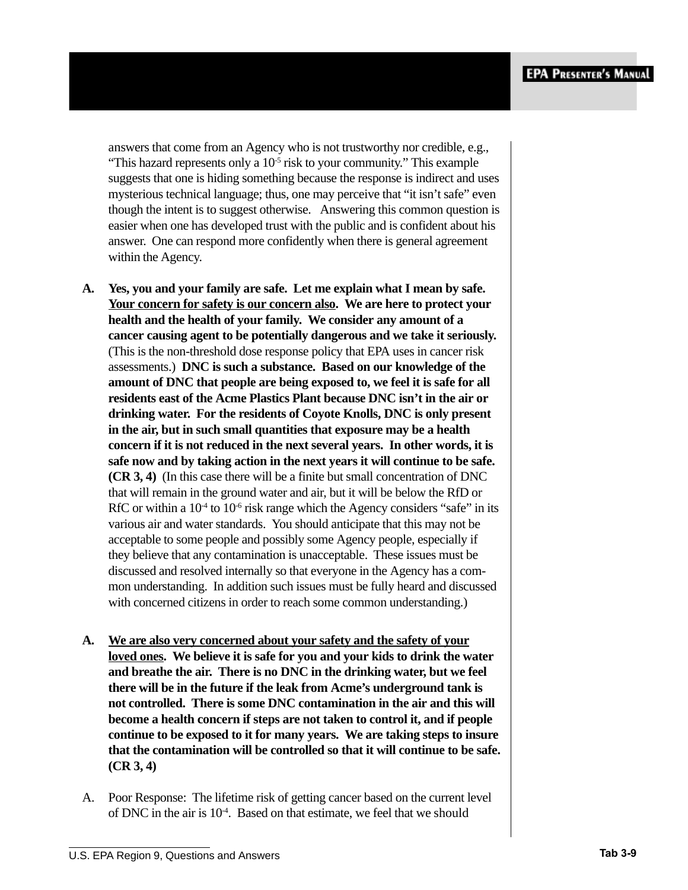answers that come from an Agency who is not trustworthy nor credible, e.g., "This hazard represents only a  $10<sup>5</sup>$  risk to your community." This example suggests that one is hiding something because the response is indirect and uses mysterious technical language; thus, one may perceive that "it isn't safe" even though the intent is to suggest otherwise. Answering this common question is easier when one has developed trust with the public and is confident about his answer. One can respond more confidently when there is general agreement within the Agency.

- **A. Yes, you and your family are safe. Let me explain what I mean by safe. Your concern for safety is our concern also. We are here to protect your health and the health of your family. We consider any amount of a cancer causing agent to be potentially dangerous and we take it seriously.**  (This is the non-threshold dose response policy that EPA uses in cancer risk assessments.) **DNC is such a substance. Based on our knowledge of the amount of DNC that people are being exposed to, we feel it is safe for all residents east of the Acme Plastics Plant because DNC isn't in the air or drinking water. For the residents of Coyote Knolls, DNC is only present in the air, but in such small quantities that exposure may be a health concern if it is not reduced in the next several years. In other words, it is safe now and by taking action in the next years it will continue to be safe. (CR 3, 4)** (In this case there will be a finite but small concentration of DNC that will remain in the ground water and air, but it will be below the RfD or RfC or within a  $10^4$  to  $10^6$  risk range which the Agency considers "safe" in its various air and water standards. You should anticipate that this may not be acceptable to some people and possibly some Agency people, especially if they believe that any contamination is unacceptable. These issues must be discussed and resolved internally so that everyone in the Agency has a common understanding. In addition such issues must be fully heard and discussed with concerned citizens in order to reach some common understanding.)
- **A. We are also very concerned about your safety and the safety of your loved ones. We believe it is safe for you and your kids to drink the water and breathe the air. There is no DNC in the drinking water, but we feel there will be in the future if the leak from Acme's underground tank is not controlled. There is some DNC contamination in the air and this will become a health concern if steps are not taken to control it, and if people continue to be exposed to it for many years. We are taking steps to insure that the contamination will be controlled so that it will continue to be safe. (CR 3, 4)**
- A. Poor Response: The lifetime risk of getting cancer based on the current level of DNC in the air is  $10<sup>4</sup>$ . Based on that estimate, we feel that we should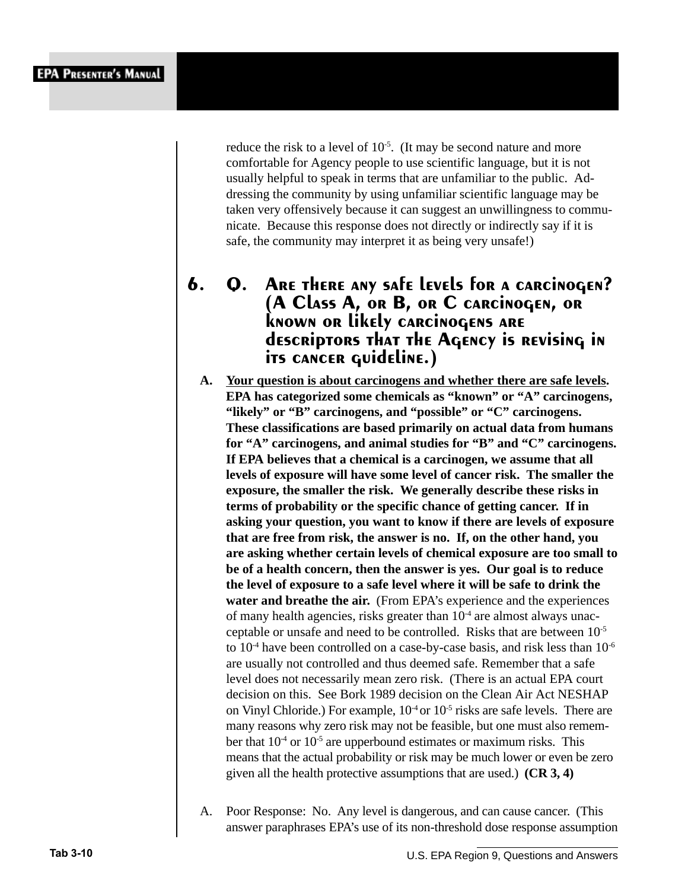reduce the risk to a level of  $10^{-5}$ . (It may be second nature and more comfortable for Agency people to use scientific language, but it is not usually helpful to speak in terms that are unfamiliar to the public. Addressing the community by using unfamiliar scientific language may be taken very offensively because it can suggest an unwillingness to communicate. Because this response does not directly or indirectly say if it is safe, the community may interpret it as being very unsafe!)

#### ARE THERE ANY SAFE LEVELS FOR A CARCINOGEN? 6. O. (A Class A, or B, or C carcinogen, or **KNOWN OR LIKELY CARCINOGENS ARE** descriptors that the AGENCY is revising in its CANCER quideline.)

- Your question is about carcinogens and whether there are safe levels. A. EPA has categorized some chemicals as "known" or "A" carcinogens, "likely" or "B" carcinogens, and "possible" or "C" carcinogens. These classifications are based primarily on actual data from humans for "A" carcinogens, and animal studies for "B" and "C" carcinogens. If EPA believes that a chemical is a carcinogen, we assume that all levels of exposure will have some level of cancer risk. The smaller the exposure, the smaller the risk. We generally describe these risks in terms of probability or the specific chance of getting cancer. If in asking your question, you want to know if there are levels of exposure that are free from risk, the answer is no. If, on the other hand, you are asking whether certain levels of chemical exposure are too small to be of a health concern, then the answer is yes. Our goal is to reduce the level of exposure to a safe level where it will be safe to drink the water and breathe the air. (From EPA's experience and the experiences of many health agencies, risks greater than  $10<sup>-4</sup>$  are almost always unacceptable or unsafe and need to be controlled. Risks that are between 10<sup>-5</sup> to  $10<sup>-4</sup>$  have been controlled on a case-by-case basis, and risk less than  $10<sup>-6</sup>$ are usually not controlled and thus deemed safe. Remember that a safe level does not necessarily mean zero risk. (There is an actual EPA court decision on this. See Bork 1989 decision on the Clean Air Act NESHAP on Vinyl Chloride.) For example,  $10<sup>-4</sup>$  or  $10<sup>-5</sup>$  risks are safe levels. There are many reasons why zero risk may not be feasible, but one must also remember that  $10<sup>4</sup>$  or  $10<sup>5</sup>$  are upperbound estimates or maximum risks. This means that the actual probability or risk may be much lower or even be zero given all the health protective assumptions that are used.)  $(CR 3, 4)$
- Poor Response: No. Any level is dangerous, and can cause cancer. (This А. answer paraphrases EPA's use of its non-threshold dose response assumption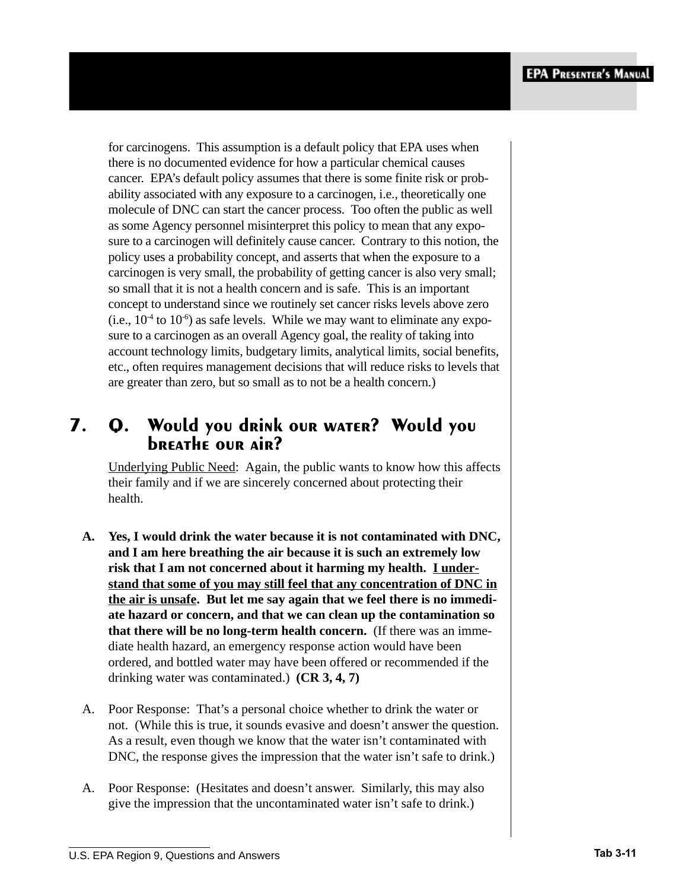for carcinogens. This assumption is a default policy that EPA uses when there is no documented evidence for how a particular chemical causes cancer. EPA's default policy assumes that there is some finite risk or probability associated with any exposure to a carcinogen, i.e., theoretically one molecule of DNC can start the cancer process. Too often the public as well as some Agency personnel misinterpret this policy to mean that any exposure to a carcinogen will definitely cause cancer. Contrary to this notion, the policy uses a probability concept, and asserts that when the exposure to a carcinogen is very small, the probability of getting cancer is also very small; so small that it is not a health concern and is safe. This is an important concept to understand since we routinely set cancer risks levels above zero  $(i.e., 10<sup>-4</sup>$  to  $10<sup>-6</sup>$ ) as safe levels. While we may want to eliminate any exposure to a carcinogen as an overall Agency goal, the reality of taking into account technology limits, budgetary limits, analytical limits, social benefits, etc., often requires management decisions that will reduce risks to levels that are greater than zero, but so small as to not be a health concern.)

## 7. Q. Would you drink our water? Would you **breathe our air?**

Underlying Public Need: Again, the public wants to know how this affects their family and if we are sincerely concerned about protecting their health.

- **A. Yes, I would drink the water because it is not contaminated with DNC, and I am here breathing the air because it is such an extremely low risk that I am not concerned about it harming my health. I understand that some of you may still feel that any concentration of DNC in the air is unsafe. But let me say again that we feel there is no immediate hazard or concern, and that we can clean up the contamination so that there will be no long-term health concern.** (If there was an immediate health hazard, an emergency response action would have been ordered, and bottled water may have been offered or recommended if the drinking water was contaminated.) **(CR 3, 4, 7)**
- A. Poor Response: That's a personal choice whether to drink the water or not. (While this is true, it sounds evasive and doesn't answer the question. As a result, even though we know that the water isn't contaminated with DNC, the response gives the impression that the water isn't safe to drink.)
- A. Poor Response: (Hesitates and doesn't answer. Similarly, this may also give the impression that the uncontaminated water isn't safe to drink.)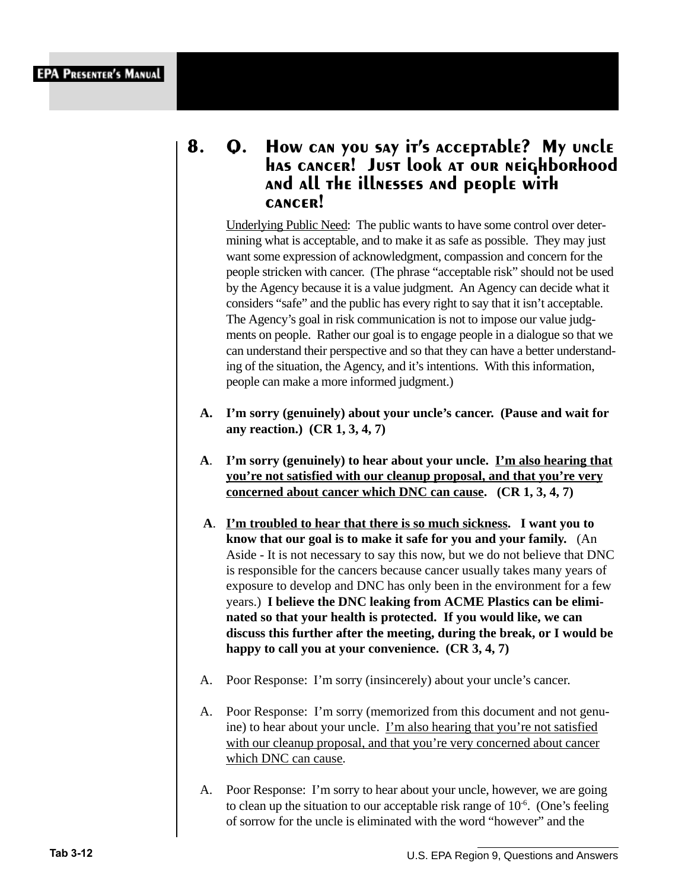#### How can you say it's acceptable? My uncle 8. O. **HAS CANCER!** JUST LOOK AT OUR NEIGHbORHOOD and all the illnesses and people with **CANCER!**

Underlying Public Need: The public wants to have some control over determining what is acceptable, and to make it as safe as possible. They may just want some expression of acknowledgment, compassion and concern for the people stricken with cancer. (The phrase "acceptable risk" should not be used by the Agency because it is a value judgment. An Agency can decide what it considers "safe" and the public has every right to say that it isn't acceptable. The Agency's goal in risk communication is not to impose our value judgments on people. Rather our goal is to engage people in a dialogue so that we can understand their perspective and so that they can have a better understanding of the situation, the Agency, and it's intentions. With this information, people can make a more informed judgment.)

- A. I'm sorry (genuinely) about your uncle's cancer. (Pause and wait for any reaction.)  $(CR 1, 3, 4, 7)$
- I'm sorry (genuinely) to hear about your uncle. I'm also hearing that **A.** you're not satisfied with our cleanup proposal, and that you're very concerned about cancer which DNC can cause.  $(CR 1, 3, 4, 7)$
- A. I'm troubled to hear that there is so much sickness. I want you to know that our goal is to make it safe for you and your family. (An Aside - It is not necessary to say this now, but we do not believe that DNC is responsible for the cancers because cancer usually takes many years of exposure to develop and DNC has only been in the environment for a few years.) I believe the DNC leaking from ACME Plastics can be eliminated so that your health is protected. If you would like, we can discuss this further after the meeting, during the break, or I would be happy to call you at your convenience.  $(CR 3, 4, 7)$
- A. Poor Response: I'm sorry (insincerely) about your uncle's cancer.
- A. Poor Response: I'm sorry (memorized from this document and not genuine) to hear about your uncle. I'm also hearing that you're not satisfied with our cleanup proposal, and that you're very concerned about cancer which DNC can cause.
- Poor Response: I'm sorry to hear about your uncle, however, we are going A. to clean up the situation to our acceptable risk range of  $10<sup>6</sup>$ . (One's feeling of sorrow for the uncle is eliminated with the word "however" and the

U.S. EPA Region 9, Questions and Answers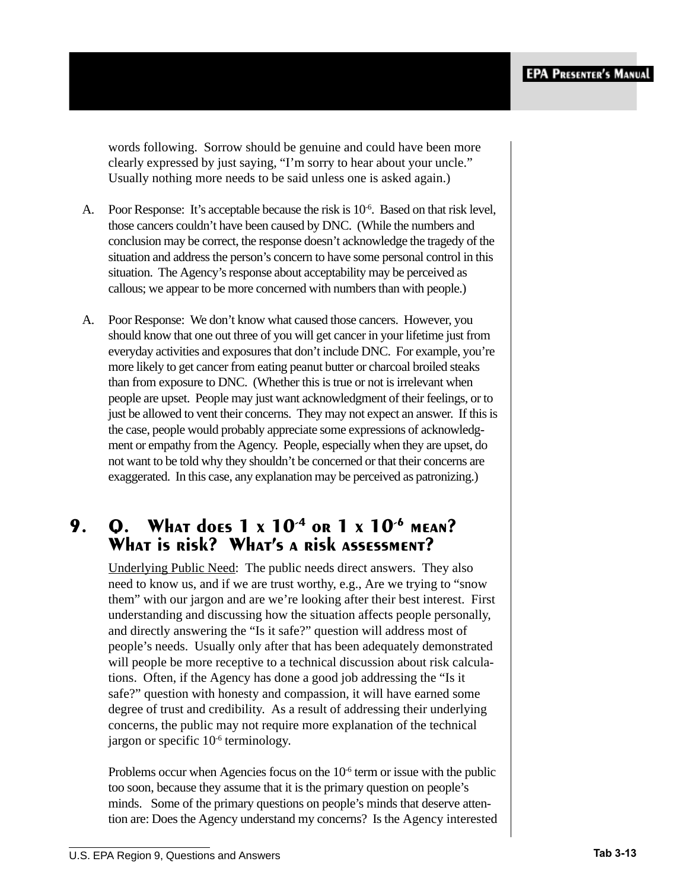words following. Sorrow should be genuine and could have been more clearly expressed by just saying, "I'm sorry to hear about your uncle." Usually nothing more needs to be said unless one is asked again.)

- A. Poor Response: It's acceptable because the risk is  $10<sup>-6</sup>$ . Based on that risk level, those cancers couldn't have been caused by DNC. (While the numbers and conclusion may be correct, the response doesn't acknowledge the tragedy of the situation and address the person's concern to have some personal control in this situation. The Agency's response about acceptability may be perceived as callous; we appear to be more concerned with numbers than with people.)
- A. Poor Response: We don't know what caused those cancers. However, you should know that one out three of you will get cancer in your lifetime just from everyday activities and exposures that don't include DNC. For example, you're more likely to get cancer from eating peanut butter or charcoal broiled steaks than from exposure to DNC. (Whether this is true or not is irrelevant when people are upset. People may just want acknowledgment of their feelings, or to just be allowed to vent their concerns. They may not expect an answer. If this is the case, people would probably appreciate some expressions of acknowledgment or empathy from the Agency. People, especially when they are upset, do not want to be told why they shouldn't be concerned or that their concerns are exaggerated. In this case, any explanation may be perceived as patronizing.)

## 9. Q. What does  $1 \times 10^{-4}$  or  $1 \times 10^{-6}$  mean? WHAT IS RISK? WHAT'S A RISK ASSESSMENT?

Underlying Public Need: The public needs direct answers. They also need to know us, and if we are trust worthy, e.g., Are we trying to "snow them" with our jargon and are we're looking after their best interest. First understanding and discussing how the situation affects people personally, and directly answering the "Is it safe?" question will address most of people's needs. Usually only after that has been adequately demonstrated will people be more receptive to a technical discussion about risk calculations. Often, if the Agency has done a good job addressing the "Is it safe?" question with honesty and compassion, it will have earned some degree of trust and credibility. As a result of addressing their underlying concerns, the public may not require more explanation of the technical jargon or specific 10<sup>-6</sup> terminology.

Problems occur when Agencies focus on the  $10<sup>-6</sup>$  term or issue with the public too soon, because they assume that it is the primary question on people's minds. Some of the primary questions on people's minds that deserve attention are: Does the Agency understand my concerns? Is the Agency interested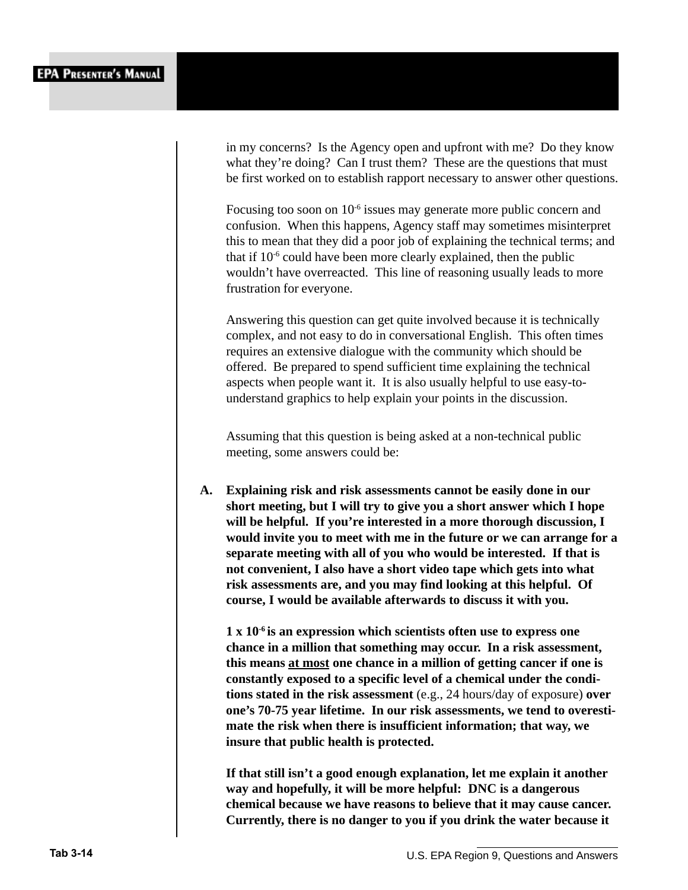in my concerns? Is the Agency open and upfront with me? Do they know what they're doing? Can I trust them? These are the questions that must be first worked on to establish rapport necessary to answer other questions.

Focusing too soon on 10<sup>-6</sup> issues may generate more public concern and confusion. When this happens, Agency staff may sometimes misinterpret this to mean that they did a poor job of explaining the technical terms; and that if 10-6 could have been more clearly explained, then the public wouldn't have overreacted. This line of reasoning usually leads to more frustration for everyone.

Answering this question can get quite involved because it is technically complex, and not easy to do in conversational English. This often times requires an extensive dialogue with the community which should be offered. Be prepared to spend sufficient time explaining the technical aspects when people want it. It is also usually helpful to use easy-tounderstand graphics to help explain your points in the discussion.

Assuming that this question is being asked at a non-technical public meeting, some answers could be:

**A. Explaining risk and risk assessments cannot be easily done in our short meeting, but I will try to give you a short answer which I hope will be helpful. If you're interested in a more thorough discussion, I would invite you to meet with me in the future or we can arrange for a separate meeting with all of you who would be interested. If that is not convenient, I also have a short video tape which gets into what risk assessments are, and you may find looking at this helpful. Of course, I would be available afterwards to discuss it with you.** 

**1 x 10-6 is an expression which scientists often use to express one chance in a million that something may occur. In a risk assessment, this means at most one chance in a million of getting cancer if one is constantly exposed to a specific level of a chemical under the conditions stated in the risk assessment** (e.g., 24 hours/day of exposure) **over one's 70-75 year lifetime. In our risk assessments, we tend to overestimate the risk when there is insufficient information; that way, we insure that public health is protected.** 

**If that still isn't a good enough explanation, let me explain it another way and hopefully, it will be more helpful: DNC is a dangerous chemical because we have reasons to believe that it may cause cancer. Currently, there is no danger to you if you drink the water because it**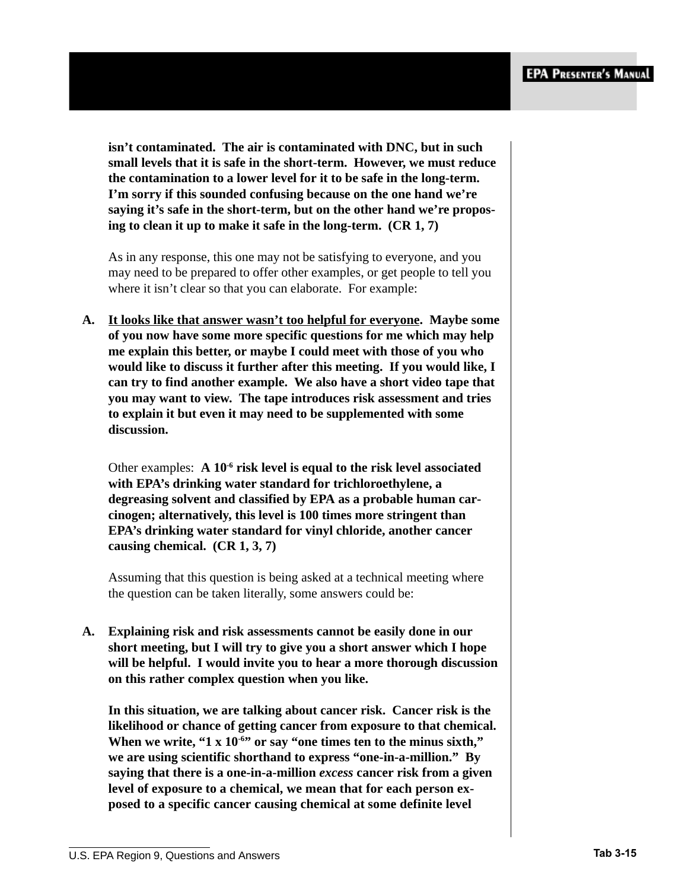**isn't contaminated. The air is contaminated with DNC, but in such small levels that it is safe in the short-term. However, we must reduce the contamination to a lower level for it to be safe in the long-term. I'm sorry if this sounded confusing because on the one hand we're saying it's safe in the short-term, but on the other hand we're proposing to clean it up to make it safe in the long-term. (CR 1, 7)** 

As in any response, this one may not be satisfying to everyone, and you may need to be prepared to offer other examples, or get people to tell you where it isn't clear so that you can elaborate. For example:

**A. It looks like that answer wasn't too helpful for everyone. Maybe some of you now have some more specific questions for me which may help me explain this better, or maybe I could meet with those of you who would like to discuss it further after this meeting. If you would like, I can try to find another example. We also have a short video tape that you may want to view. The tape introduces risk assessment and tries to explain it but even it may need to be supplemented with some discussion.** 

Other examples: A 10<sup>-6</sup> risk level is equal to the risk level associated **with EPA's drinking water standard for trichloroethylene, a degreasing solvent and classified by EPA as a probable human carcinogen; alternatively, this level is 100 times more stringent than EPA's drinking water standard for vinyl chloride, another cancer causing chemical. (CR 1, 3, 7)** 

Assuming that this question is being asked at a technical meeting where the question can be taken literally, some answers could be:

**A. Explaining risk and risk assessments cannot be easily done in our short meeting, but I will try to give you a short answer which I hope will be helpful. I would invite you to hear a more thorough discussion on this rather complex question when you like.** 

**In this situation, we are talking about cancer risk. Cancer risk is the likelihood or chance of getting cancer from exposure to that chemical.**  When we write, "1 x 10<sup>-6"</sup> or say "one times ten to the minus sixth," **we are using scientific shorthand to express "one-in-a-million." By saying that there is a one-in-a-million** *excess* **cancer risk from a given level of exposure to a chemical, we mean that for each person exposed to a specific cancer causing chemical at some definite level**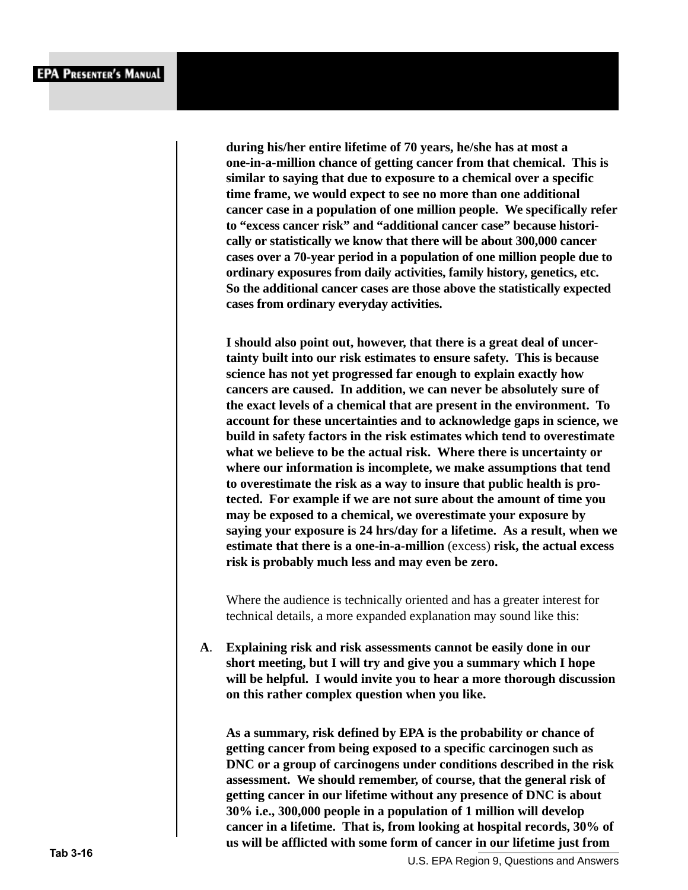**during his/her entire lifetime of 70 years, he/she has at most a one-in-a-million chance of getting cancer from that chemical. This is similar to saying that due to exposure to a chemical over a specific time frame, we would expect to see no more than one additional cancer case in a population of one million people. We specifically refer to "excess cancer risk" and "additional cancer case" because historically or statistically we know that there will be about 300,000 cancer cases over a 70-year period in a population of one million people due to ordinary exposures from daily activities, family history, genetics, etc. So the additional cancer cases are those above the statistically expected cases from ordinary everyday activities.** 

**I should also point out, however, that there is a great deal of uncertainty built into our risk estimates to ensure safety. This is because science has not yet progressed far enough to explain exactly how cancers are caused. In addition, we can never be absolutely sure of the exact levels of a chemical that are present in the environment. To account for these uncertainties and to acknowledge gaps in science, we build in safety factors in the risk estimates which tend to overestimate what we believe to be the actual risk. Where there is uncertainty or where our information is incomplete, we make assumptions that tend to overestimate the risk as a way to insure that public health is protected. For example if we are not sure about the amount of time you may be exposed to a chemical, we overestimate your exposure by saying your exposure is 24 hrs/day for a lifetime. As a result, when we estimate that there is a one-in-a-million** (excess) **risk, the actual excess risk is probably much less and may even be zero.** 

Where the audience is technically oriented and has a greater interest for technical details, a more expanded explanation may sound like this:

**A**. **Explaining risk and risk assessments cannot be easily done in our short meeting, but I will try and give you a summary which I hope will be helpful. I would invite you to hear a more thorough discussion on this rather complex question when you like.** 

**As a summary, risk defined by EPA is the probability or chance of getting cancer from being exposed to a specific carcinogen such as DNC or a group of carcinogens under conditions described in the risk assessment. We should remember, of course, that the general risk of getting cancer in our lifetime without any presence of DNC is about 30% i.e., 300,000 people in a population of 1 million will develop cancer in a lifetime. That is, from looking at hospital records, 30% of us will be afflicted with some form of cancer in our lifetime just from <br>U.S. EPA Region 9, Questions and Answers**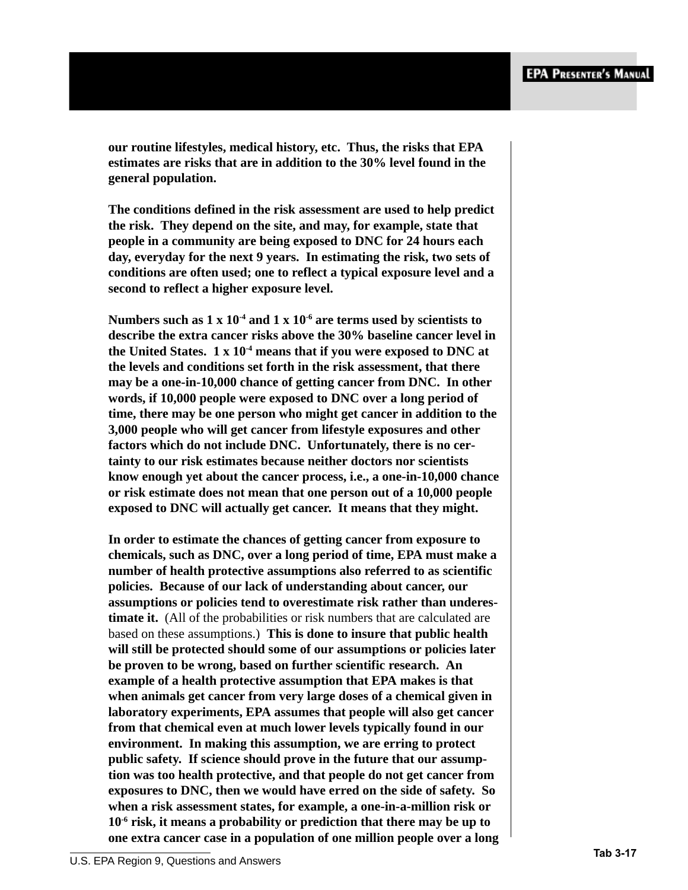**our routine lifestyles, medical history, etc. Thus, the risks that EPA estimates are risks that are in addition to the 30% level found in the general population.** 

**The conditions defined in the risk assessment are used to help predict the risk. They depend on the site, and may, for example, state that people in a community are being exposed to DNC for 24 hours each day, everyday for the next 9 years. In estimating the risk, two sets of conditions are often used; one to reflect a typical exposure level and a second to reflect a higher exposure level.** 

Numbers such as 1 x 10<sup>-4</sup> and 1 x 10<sup>-6</sup> are terms used by scientists to **describe the extra cancer risks above the 30% baseline cancer level in the United States. 1 x 10-4 means that if you were exposed to DNC at the levels and conditions set forth in the risk assessment, that there may be a one-in-10,000 chance of getting cancer from DNC. In other words, if 10,000 people were exposed to DNC over a long period of time, there may be one person who might get cancer in addition to the 3,000 people who will get cancer from lifestyle exposures and other factors which do not include DNC. Unfortunately, there is no certainty to our risk estimates because neither doctors nor scientists know enough yet about the cancer process, i.e., a one-in-10,000 chance or risk estimate does not mean that one person out of a 10,000 people exposed to DNC will actually get cancer. It means that they might.** 

**In order to estimate the chances of getting cancer from exposure to chemicals, such as DNC, over a long period of time, EPA must make a number of health protective assumptions also referred to as scientific policies. Because of our lack of understanding about cancer, our assumptions or policies tend to overestimate risk rather than underestimate it.** (All of the probabilities or risk numbers that are calculated are based on these assumptions.) **This is done to insure that public health will still be protected should some of our assumptions or policies later be proven to be wrong, based on further scientific research. An example of a health protective assumption that EPA makes is that when animals get cancer from very large doses of a chemical given in laboratory experiments, EPA assumes that people will also get cancer from that chemical even at much lower levels typically found in our environment. In making this assumption, we are erring to protect public safety. If science should prove in the future that our assumption was too health protective, and that people do not get cancer from exposures to DNC, then we would have erred on the side of safety. So when a risk assessment states, for example, a one-in-a-million risk or 10-6 risk, it means a probability or prediction that there may be up to one extra cancer case in a population of one million people over a long**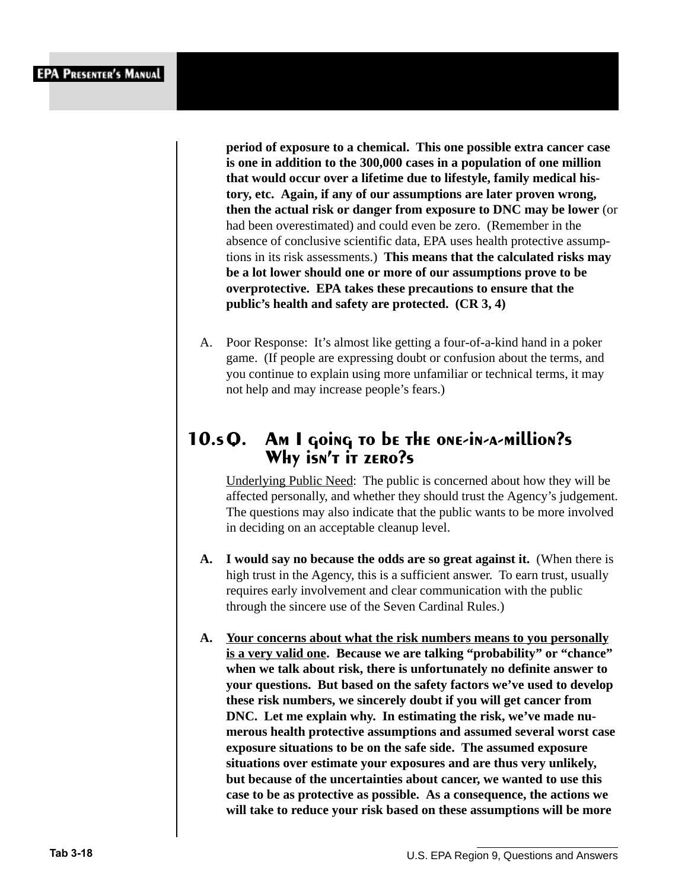**period of exposure to a chemical. This one possible extra cancer case is one in addition to the 300,000 cases in a population of one million that would occur over a lifetime due to lifestyle, family medical history, etc. Again, if any of our assumptions are later proven wrong, then the actual risk or danger from exposure to DNC may be lower** (or had been overestimated) and could even be zero. (Remember in the absence of conclusive scientific data, EPA uses health protective assumptions in its risk assessments.) **This means that the calculated risks may be a lot lower should one or more of our assumptions prove to be overprotective. EPA takes these precautions to ensure that the public's health and safety are protected. (CR 3, 4)** 

A. Poor Response: It's almost like getting a four-of-a-kind hand in a poker game. (If people are expressing doubt or confusion about the terms, and you continue to explain using more unfamiliar or technical terms, it may not help and may increase people's fears.)

## 10.sQ. Am I going to be the one-in-a-million?s Why isn't it zero?s

Underlying Public Need: The public is concerned about how they will be affected personally, and whether they should trust the Agency's judgement. The questions may also indicate that the public wants to be more involved in deciding on an acceptable cleanup level.

- **A. I would say no because the odds are so great against it.** (When there is high trust in the Agency, this is a sufficient answer. To earn trust, usually requires early involvement and clear communication with the public through the sincere use of the Seven Cardinal Rules.)
- **A. Your concerns about what the risk numbers means to you personally is a very valid one. Because we are talking "probability" or "chance" when we talk about risk, there is unfortunately no definite answer to your questions. But based on the safety factors we've used to develop these risk numbers, we sincerely doubt if you will get cancer from DNC. Let me explain why. In estimating the risk, we've made numerous health protective assumptions and assumed several worst case exposure situations to be on the safe side. The assumed exposure situations over estimate your exposures and are thus very unlikely, but because of the uncertainties about cancer, we wanted to use this case to be as protective as possible. As a consequence, the actions we will take to reduce your risk based on these assumptions will be more**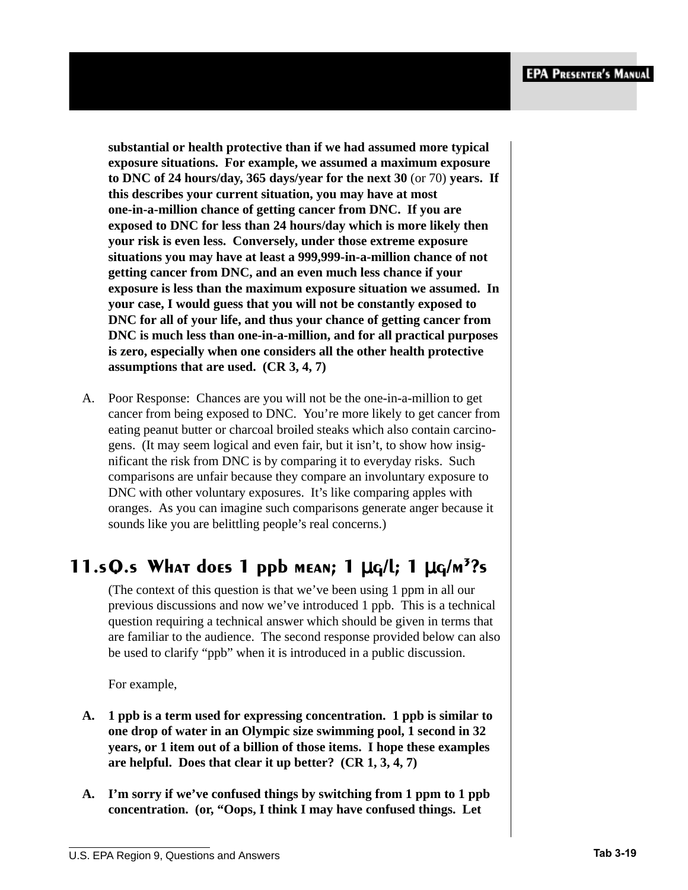**substantial or health protective than if we had assumed more typical exposure situations. For example, we assumed a maximum exposure to DNC of 24 hours/day, 365 days/year for the next 30** (or 70) **years. If this describes your current situation, you may have at most one-in-a-million chance of getting cancer from DNC. If you are exposed to DNC for less than 24 hours/day which is more likely then your risk is even less. Conversely, under those extreme exposure situations you may have at least a 999,999-in-a-million chance of not getting cancer from DNC, and an even much less chance if your exposure is less than the maximum exposure situation we assumed. In your case, I would guess that you will not be constantly exposed to DNC for all of your life, and thus your chance of getting cancer from DNC is much less than one-in-a-million, and for all practical purposes is zero, especially when one considers all the other health protective assumptions that are used. (CR 3, 4, 7)** 

A. Poor Response: Chances are you will not be the one-in-a-million to get cancer from being exposed to DNC. You're more likely to get cancer from eating peanut butter or charcoal broiled steaks which also contain carcinogens. (It may seem logical and even fair, but it isn't, to show how insignificant the risk from DNC is by comparing it to everyday risks. Such comparisons are unfair because they compare an involuntary exposure to DNC with other voluntary exposures. It's like comparing apples with oranges. As you can imagine such comparisons generate anger because it sounds like you are belittling people's real concerns.)

## 11.sQ.s What does 1 ppb mean; 1  $\mu$ q/l; 1  $\mu$ q/m<sup>3</sup>?s

(The context of this question is that we've been using 1 ppm in all our previous discussions and now we've introduced 1 ppb. This is a technical question requiring a technical answer which should be given in terms that are familiar to the audience. The second response provided below can also be used to clarify "ppb" when it is introduced in a public discussion.

For example,

- **A. 1 ppb is a term used for expressing concentration. 1 ppb is similar to one drop of water in an Olympic size swimming pool, 1 second in 32 years, or 1 item out of a billion of those items. I hope these examples are helpful. Does that clear it up better? (CR 1, 3, 4, 7)**
- **A. I'm sorry if we've confused things by switching from 1 ppm to 1 ppb concentration. (or, "Oops, I think I may have confused things. Let**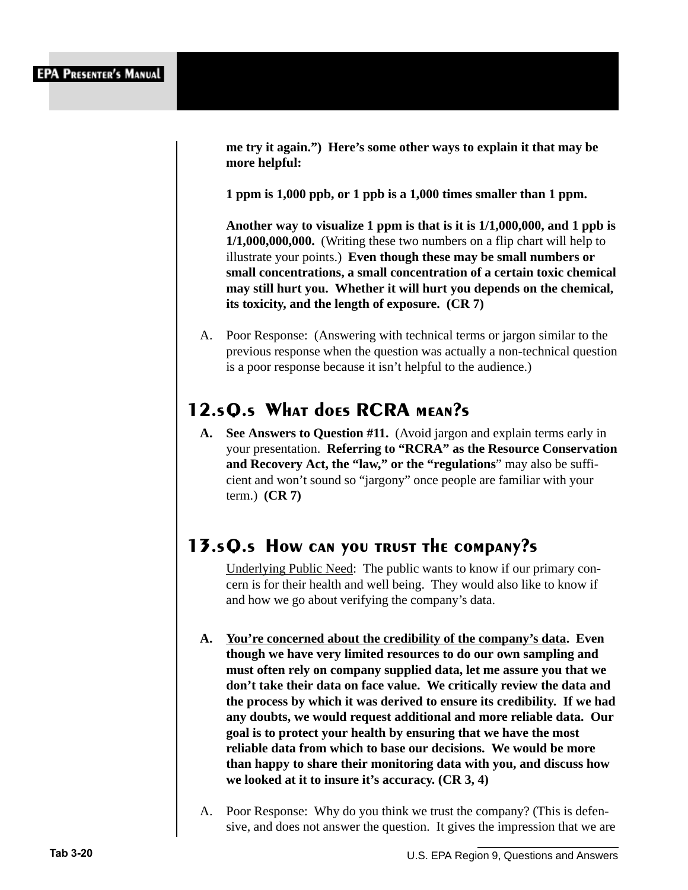me try it again.") Here's some other ways to explain it that may be more helpful:

1 ppm is 1,000 ppb, or 1 ppb is a 1,000 times smaller than 1 ppm.

Another way to visualize 1 ppm is that is it is  $1/1,000,000$ , and 1 ppb is  $1/1,000,000,000$ . (Writing these two numbers on a flip chart will help to illustrate your points.) Even though these may be small numbers or small concentrations, a small concentration of a certain toxic chemical may still hurt you. Whether it will hurt you depends on the chemical, its toxicity, and the length of exposure.  $(CR 7)$ 

A. Poor Response: (Answering with technical terms or jargon similar to the previous response when the question was actually a non-technical question is a poor response because it isn't helpful to the audience.)

## 12.50.5 WHAT does RCRA MEAN?S

See Answers to Question #11. (Avoid jargon and explain terms early in  $A_{\bullet}$ your presentation. Referring to "RCRA" as the Resource Conservation and Recovery Act, the "law," or the "regulations" may also be sufficient and won't sound so "jargony" once people are familiar with your term.)  $(CR 7)$ 

## 13.50.5 How can you TRUST THE COMDANY?S

Underlying Public Need: The public wants to know if our primary concern is for their health and well being. They would also like to know if and how we go about verifying the company's data.

- You're concerned about the credibility of the company's data. Even **A.** though we have very limited resources to do our own sampling and must often rely on company supplied data, let me assure you that we don't take their data on face value. We critically review the data and the process by which it was derived to ensure its credibility. If we had any doubts, we would request additional and more reliable data. Our goal is to protect your health by ensuring that we have the most reliable data from which to base our decisions. We would be more than happy to share their monitoring data with you, and discuss how we looked at it to insure it's accuracy.  $(CR 3, 4)$
- Poor Response: Why do you think we trust the company? (This is defen-А. sive, and does not answer the question. It gives the impression that we are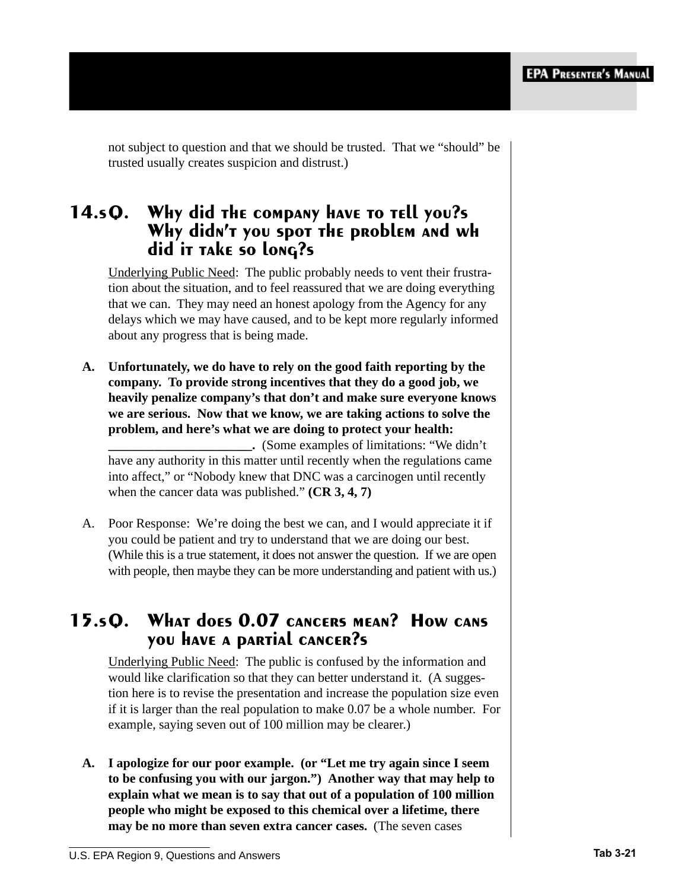not subject to question and that we should be trusted. That we "should" be trusted usually creates suspicion and distrust.)

## 14.50. Why did the company have to tell you?s Why didn't you spot the problem and wh did it take so long?s

Underlying Public Need: The public probably needs to vent their frustration about the situation, and to feel reassured that we are doing everything that we can. They may need an honest apology from the Agency for any delays which we may have caused, and to be kept more regularly informed about any progress that is being made.

A. Unfortunately, we do have to rely on the good faith reporting by the company. To provide strong incentives that they do a good job, we heavily penalize company's that don't and make sure everyone knows we are serious. Now that we know, we are taking actions to solve the problem, and here's what we are doing to protect your health: . (Some examples of limitations: "We didn't

have any authority in this matter until recently when the regulations came into affect," or "Nobody knew that DNC was a carcinogen until recently when the cancer data was published."  $(CR 3, 4, 7)$ 

A. Poor Response: We're doing the best we can, and I would appreciate it if you could be patient and try to understand that we are doing our best. (While this is a true statement, it does not answer the question. If we are open with people, then maybe they can be more understanding and patient with us.)

## 15.50. What does 0.07 CANCERS MEAN? How CANS **YOU HAVE A DARTIAL CANCER?S**

Underlying Public Need: The public is confused by the information and would like clarification so that they can better understand it. (A suggestion here is to revise the presentation and increase the population size even if it is larger than the real population to make 0.07 be a whole number. For example, saying seven out of 100 million may be clearer.)

A. I apologize for our poor example. (or "Let me try again since I seem to be confusing you with our jargon.") Another way that may help to explain what we mean is to say that out of a population of 100 million people who might be exposed to this chemical over a lifetime, there may be no more than seven extra cancer cases. (The seven cases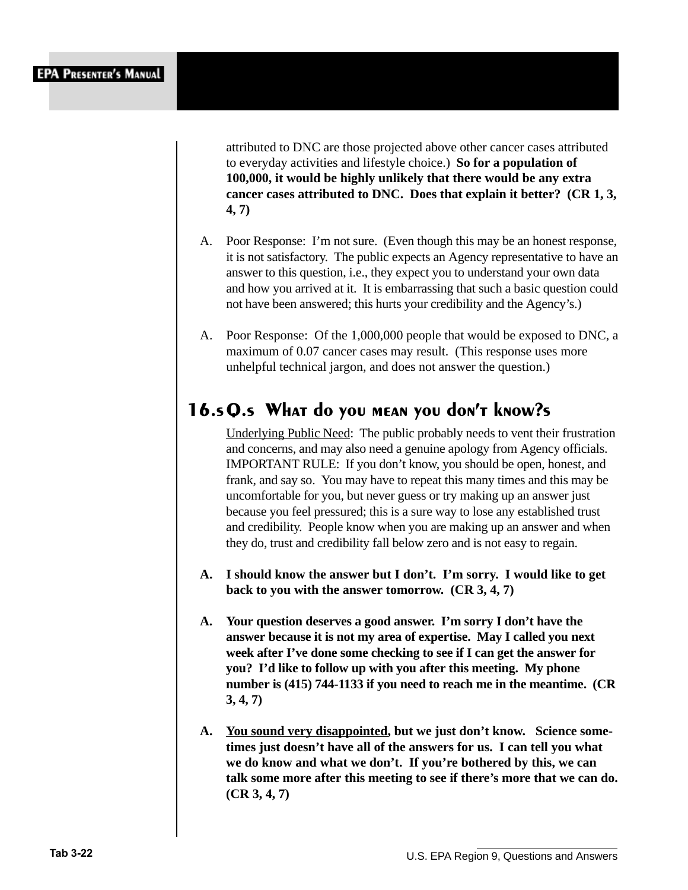attributed to DNC are those projected above other cancer cases attributed to everyday activities and lifestyle choice.) **So for a population of 100,000, it would be highly unlikely that there would be any extra cancer cases attributed to DNC. Does that explain it better? (CR 1, 3, 4, 7)** 

- A. Poor Response: I'm not sure. (Even though this may be an honest response, it is not satisfactory. The public expects an Agency representative to have an answer to this question, i.e., they expect you to understand your own data and how you arrived at it. It is embarrassing that such a basic question could not have been answered; this hurts your credibility and the Agency's.)
- A. Poor Response: Of the 1,000,000 people that would be exposed to DNC, a maximum of 0.07 cancer cases may result. (This response uses more unhelpful technical jargon, and does not answer the question.)

## 16.50.5 What do you mean you don't know?s

Underlying Public Need: The public probably needs to vent their frustration and concerns, and may also need a genuine apology from Agency officials. IMPORTANT RULE: If you don't know, you should be open, honest, and frank, and say so. You may have to repeat this many times and this may be uncomfortable for you, but never guess or try making up an answer just because you feel pressured; this is a sure way to lose any established trust and credibility. People know when you are making up an answer and when they do, trust and credibility fall below zero and is not easy to regain.

- **A. I should know the answer but I don't. I'm sorry. I would like to get back to you with the answer tomorrow. (CR 3, 4, 7)**
- **A. Your question deserves a good answer. I'm sorry I don't have the answer because it is not my area of expertise. May I called you next week after I've done some checking to see if I can get the answer for you? I'd like to follow up with you after this meeting. My phone number is (415) 744-1133 if you need to reach me in the meantime. (CR 3, 4, 7)**
- A. You sound very disappointed, but we just don't know. Science some**times just doesn't have all of the answers for us. I can tell you what we do know and what we don't. If you're bothered by this, we can talk some more after this meeting to see if there's more that we can do. (CR 3, 4, 7)**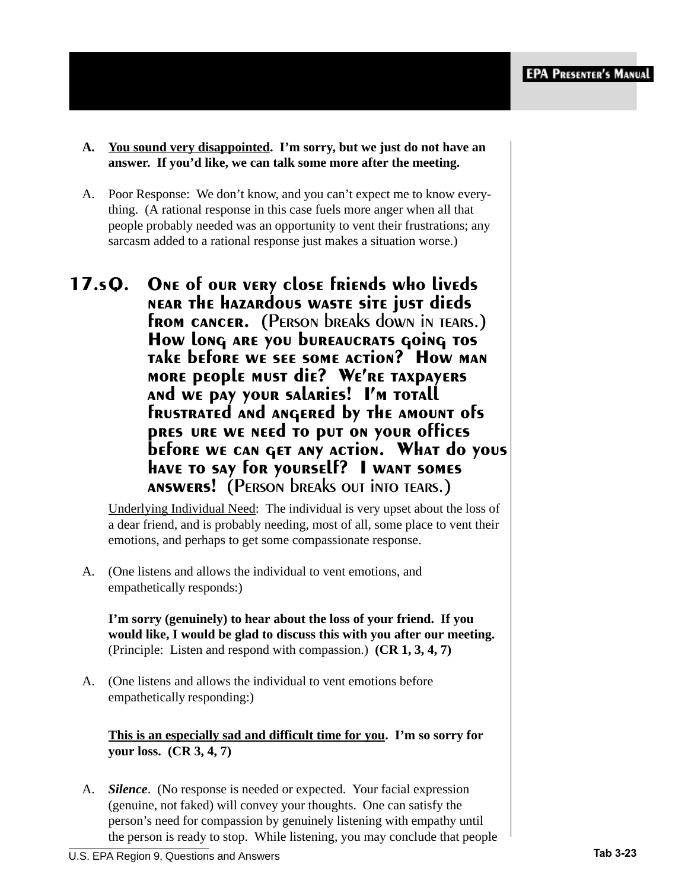- A. You sound very disappointed. I'm sorry, but we just do not have an answer. If you'd like, we can talk some more after the meeting.
- A. Poor Response: We don't know, and you can't expect me to know everything. (A rational response in this case fuels more anger when all that people probably needed was an opportunity to vent their frustrations; any sarcasm added to a rational response just makes a situation worse.)
- ONE of our very close friends who liveds  $17.5Q.$ **NEAR THE HAZARDOUS WASTE SITE JUST dieds FROM CANCER.** (PERSON **breaks** down in TEARS.) How long ARE YOU bUREAUCRATS GOING TOS TAKE DEFORE WE SEE SOME ACTION? How MAN MORE DEODLE MUST die? WE'RE TAXDAYERS AND WE PAY YOUR SALARIES! I'M TOTALL **FRUSTRATED AND ANGERED by THE AMOUNT OFS DRES URE WE NEED TO DUT ON YOUR OFFICES before WE CAN GET ANY ACTION. WHAT do yous** HAVE TO SAY FOR YOURSELF? I WANT SOMES **ANSWERS!** (PERSON **breaks** out into tears.)

Underlying Individual Need: The individual is very upset about the loss of a dear friend, and is probably needing, most of all, some place to vent their emotions, and perhaps to get some compassionate response.

A. (One listens and allows the individual to vent emotions, and empathetically responds:)

I'm sorry (genuinely) to hear about the loss of your friend. If you would like, I would be glad to discuss this with you after our meeting. (Principle: Listen and respond with compassion.)  $(CR 1, 3, 4, 7)$ 

A. (One listens and allows the individual to vent emotions before empathetically responding:)

#### This is an especially sad and difficult time for you. I'm so sorry for your loss.  $(CR 3, 4, 7)$

A. Silence. (No response is needed or expected. Your facial expression (genuine, not faked) will convey your thoughts. One can satisfy the person's need for compassion by genuinely listening with empathy until the person is ready to stop. While listening, you may conclude that people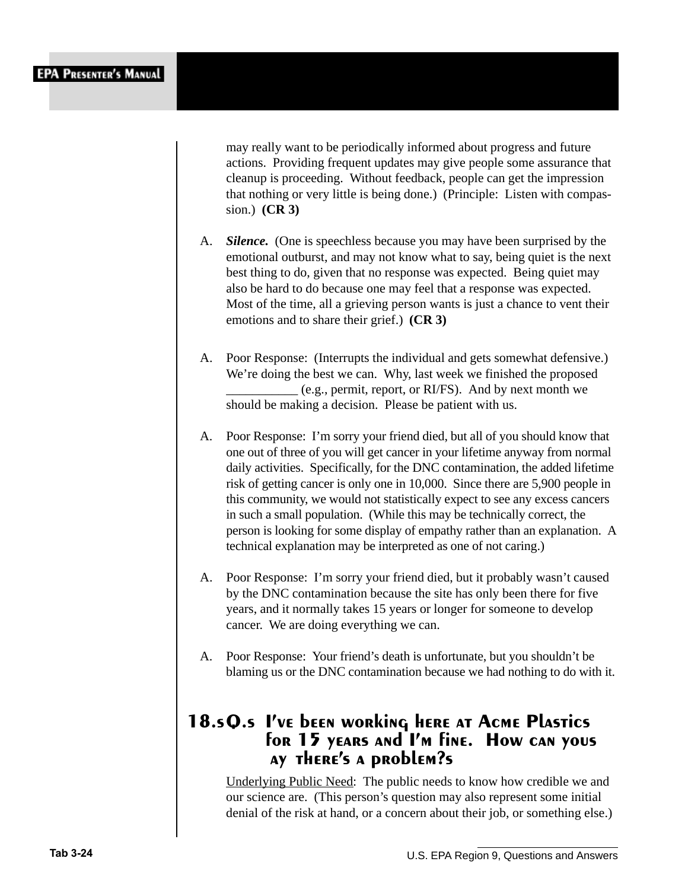may really want to be periodically informed about progress and future actions. Providing frequent updates may give people some assurance that cleanup is proceeding. Without feedback, people can get the impression that nothing or very little is being done.) (Principle: Listen with compassion.)  $(CR 3)$ 

- Silence. (One is speechless because you may have been surprised by the A. emotional outburst, and may not know what to say, being quiet is the next best thing to do, given that no response was expected. Being quiet may also be hard to do because one may feel that a response was expected. Most of the time, all a grieving person wants is just a chance to vent their emotions and to share their grief.)  $(CR 3)$
- $A_{\cdot}$ Poor Response: (Interrupts the individual and gets somewhat defensive.) We're doing the best we can. Why, last week we finished the proposed (e.g., permit, report, or RI/FS). And by next month we should be making a decision. Please be patient with us.
- A. Poor Response: I'm sorry your friend died, but all of you should know that one out of three of you will get cancer in your lifetime anyway from normal daily activities. Specifically, for the DNC contamination, the added lifetime risk of getting cancer is only one in 10,000. Since there are 5,900 people in this community, we would not statistically expect to see any excess cancers in such a small population. (While this may be technically correct, the person is looking for some display of empathy rather than an explanation. A technical explanation may be interpreted as one of not caring.)
- Poor Response: I'm sorry your friend died, but it probably wasn't caused A. by the DNC contamination because the site has only been there for five years, and it normally takes 15 years or longer for someone to develop cancer. We are doing everything we can.
- Poor Response: Your friend's death is unfortunate, but you shouldn't be A. blaming us or the DNC contamination because we had nothing to do with it.

## 18.50.5 I've been working Here AT ACME Plastics for 15 years and I'm fine. How can yous AY THERE'S A DROblEM?S

Underlying Public Need: The public needs to know how credible we and our science are. (This person's question may also represent some initial denial of the risk at hand, or a concern about their job, or something else.)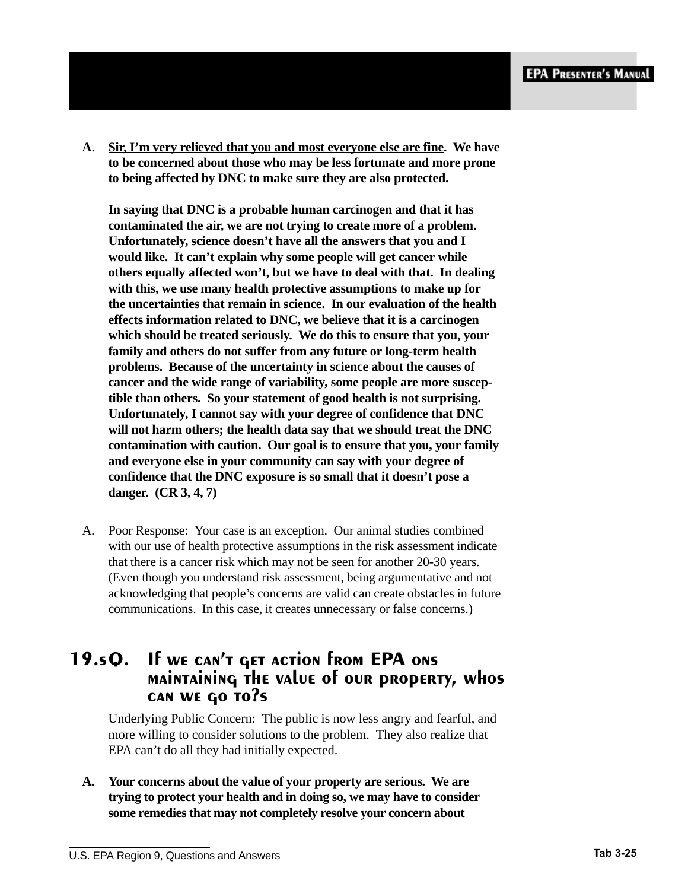A. Sir, I'm very relieved that you and most everyone else are fine. We have to be concerned about those who may be less fortunate and more prone to being affected by DNC to make sure they are also protected.

In saying that DNC is a probable human carcinogen and that it has contaminated the air, we are not trying to create more of a problem. Unfortunately, science doesn't have all the answers that you and I would like. It can't explain why some people will get cancer while others equally affected won't, but we have to deal with that. In dealing with this, we use many health protective assumptions to make up for the uncertainties that remain in science. In our evaluation of the health effects information related to DNC, we believe that it is a carcinogen which should be treated seriously. We do this to ensure that you, your family and others do not suffer from any future or long-term health problems. Because of the uncertainty in science about the causes of cancer and the wide range of variability, some people are more susceptible than others. So your statement of good health is not surprising. Unfortunately, I cannot say with your degree of confidence that DNC will not harm others; the health data say that we should treat the DNC contamination with caution. Our goal is to ensure that you, your family and everyone else in your community can say with your degree of confidence that the DNC exposure is so small that it doesn't pose a danger.  $(CR 3, 4, 7)$ 

A. Poor Response: Your case is an exception. Our animal studies combined with our use of health protective assumptions in the risk assessment indicate that there is a cancer risk which may not be seen for another 20-30 years. (Even though you understand risk assessment, being argumentative and not acknowledging that people's concerns are valid can create obstacles in future communications. In this case, it creates unnecessary or false concerns.)

#### If WE CAN'T GET ACTION FROM EPA ONS  $19.50.$ MAINTAINING THE VALUE OF OUR PROPERTY, WHOS CAN WE GO TO?S

Underlying Public Concern: The public is now less angry and fearful, and more willing to consider solutions to the problem. They also realize that EPA can't do all they had initially expected.

A. Your concerns about the value of your property are serious. We are trying to protect your health and in doing so, we may have to consider some remedies that may not completely resolve your concern about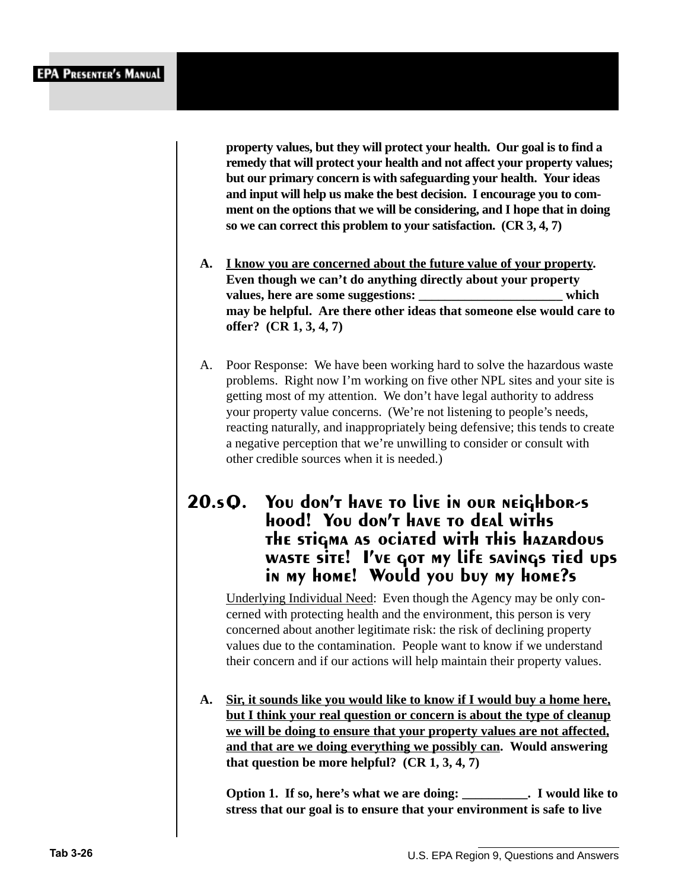property values, but they will protect your health. Our goal is to find a remedy that will protect your health and not affect your property values; but our primary concern is with safeguarding your health. Your ideas and input will help us make the best decision. I encourage you to comment on the options that we will be considering, and I hope that in doing so we can correct this problem to your satisfaction. (CR 3, 4, 7)

- A. I know you are concerned about the future value of your property. Even though we can't do anything directly about your property values, here are some suggestions: which may be helpful. Are there other ideas that someone else would care to offer?  $(CR 1, 3, 4, 7)$
- Poor Response: We have been working hard to solve the hazardous waste A. problems. Right now I'm working on five other NPL sites and your site is getting most of my attention. We don't have legal authority to address your property value concerns. (We're not listening to people's needs, reacting naturally, and inappropriately being defensive; this tends to create a negative perception that we're unwilling to consider or consult with other credible sources when it is needed.)

#### $20.50.$ You don't have to live in our neighbor-s **Hood!** You don't have to deal withs THE STIGMA AS OCIATED WITH THIS HAZARDOUS WASTE SITE! I'VE GOT MY life SAVINGS TIED UPS in my home! Would you buy my home?s

Underlying Individual Need: Even though the Agency may be only concerned with protecting health and the environment, this person is very concerned about another legitimate risk: the risk of declining property values due to the contamination. People want to know if we understand their concern and if our actions will help maintain their property values.

Sir, it sounds like you would like to know if I would buy a home here, **A.** but I think your real question or concern is about the type of cleanup we will be doing to ensure that your property values are not affected, and that are we doing everything we possibly can. Would answering that question be more helpful?  $(CR 1, 3, 4, 7)$ 

Option 1. If so, here's what we are doing: [1]. I would like to stress that our goal is to ensure that your environment is safe to live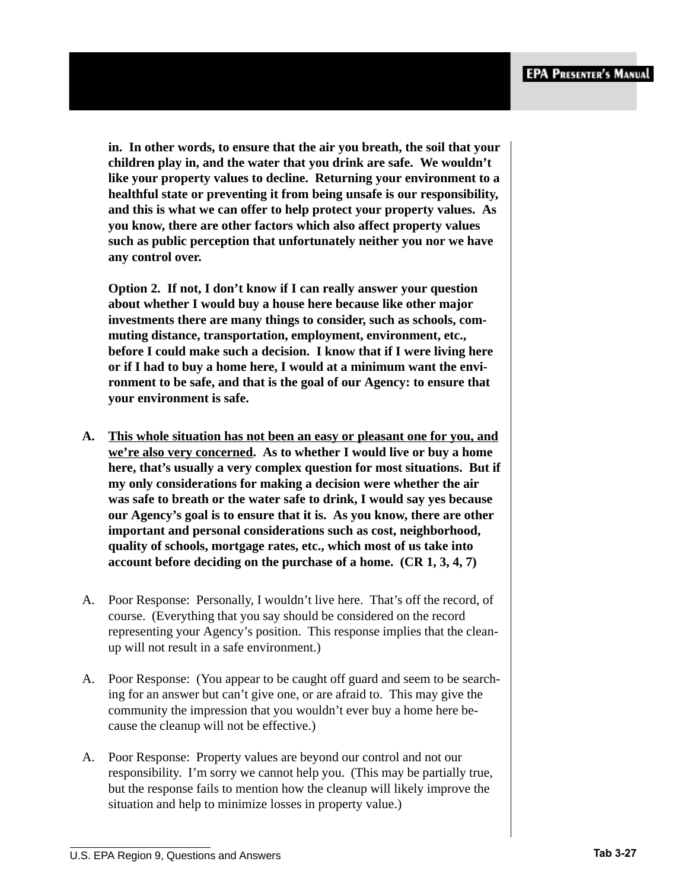**in. In other words, to ensure that the air you breath, the soil that your children play in, and the water that you drink are safe. We wouldn't like your property values to decline. Returning your environment to a healthful state or preventing it from being unsafe is our responsibility, and this is what we can offer to help protect your property values. As you know, there are other factors which also affect property values such as public perception that unfortunately neither you nor we have any control over.** 

**Option 2. If not, I don't know if I can really answer your question about whether I would buy a house here because like other major investments there are many things to consider, such as schools, commuting distance, transportation, employment, environment, etc., before I could make such a decision. I know that if I were living here or if I had to buy a home here, I would at a minimum want the environment to be safe, and that is the goal of our Agency: to ensure that your environment is safe.** 

- **A. This whole situation has not been an easy or pleasant one for you, and we're also very concerned. As to whether I would live or buy a home here, that's usually a very complex question for most situations. But if my only considerations for making a decision were whether the air was safe to breath or the water safe to drink, I would say yes because our Agency's goal is to ensure that it is. As you know, there are other important and personal considerations such as cost, neighborhood, quality of schools, mortgage rates, etc., which most of us take into account before deciding on the purchase of a home. (CR 1, 3, 4, 7)**
- A. Poor Response: Personally, I wouldn't live here. That's off the record, of course. (Everything that you say should be considered on the record representing your Agency's position. This response implies that the cleanup will not result in a safe environment.)
- A. Poor Response: (You appear to be caught off guard and seem to be searching for an answer but can't give one, or are afraid to. This may give the community the impression that you wouldn't ever buy a home here because the cleanup will not be effective.)
- A. Poor Response: Property values are beyond our control and not our responsibility. I'm sorry we cannot help you. (This may be partially true, but the response fails to mention how the cleanup will likely improve the situation and help to minimize losses in property value.)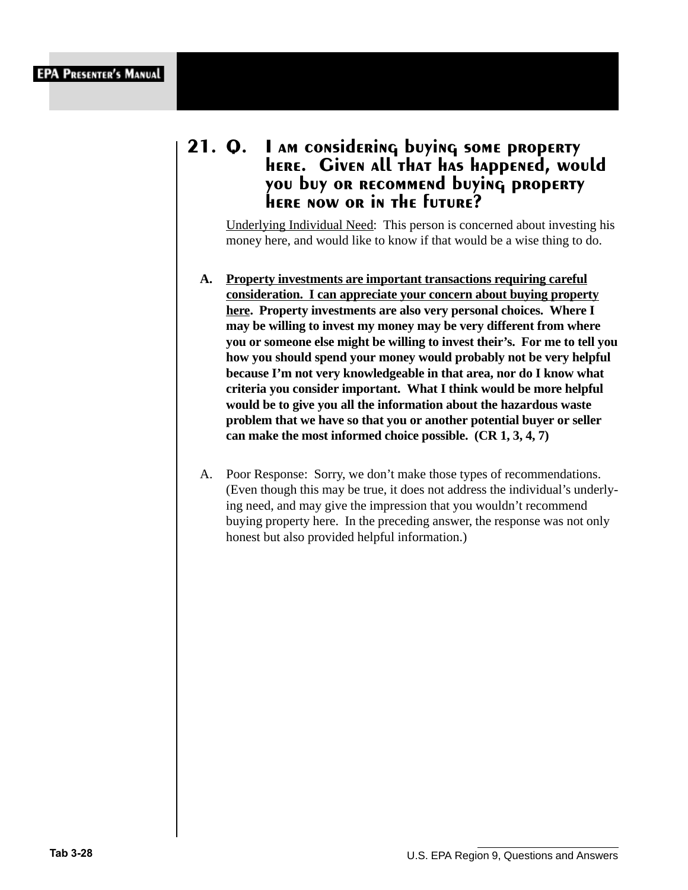#### 21. Q. I AM CONSIDERING buying SOME PROPERTY HERE. GIVEN All THAT HAS HADDENED, WOULD you buy or RECOMMEND buying property HERE NOW OR IN THE FUTURE?

Underlying Individual Need: This person is concerned about investing his money here, and would like to know if that would be a wise thing to do.

- A. Property investments are important transactions requiring careful consideration. I can appreciate your concern about buying property here. Property investments are also very personal choices. Where I may be willing to invest my money may be very different from where you or someone else might be willing to invest their's. For me to tell you how you should spend your money would probably not be very helpful because I'm not very knowledgeable in that area, nor do I know what criteria you consider important. What I think would be more helpful would be to give you all the information about the hazardous waste problem that we have so that you or another potential buyer or seller can make the most informed choice possible.  $(CR 1, 3, 4, 7)$
- A. Poor Response: Sorry, we don't make those types of recommendations. (Even though this may be true, it does not address the individual's underlying need, and may give the impression that you wouldn't recommend buying property here. In the preceding answer, the response was not only honest but also provided helpful information.)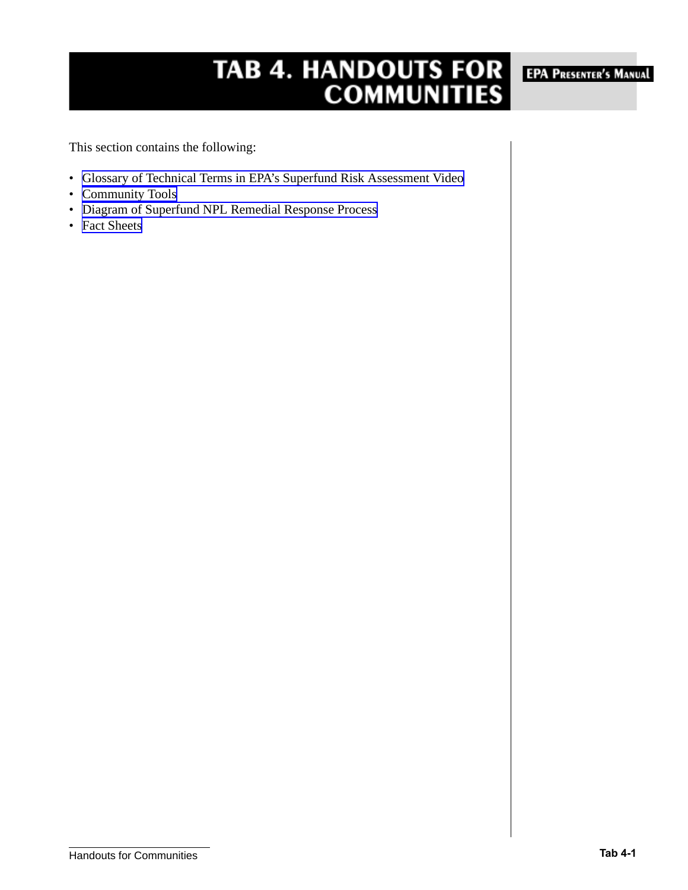# **TAB 4. HANDOUTS FOR<br>COMMUNITIES**

**EPA PRESENTER'S MANUAL** 

This section contains the following:

- [Glossary of Technical Terms in EPA's Superfund Risk Assessment Video](#page-63-0)
- [Community Tools](#page-67-0)
- [Diagram of Superfund NPL Remedial Response Process](#page-72-0)
- [Fact Sheets](#page-73-0)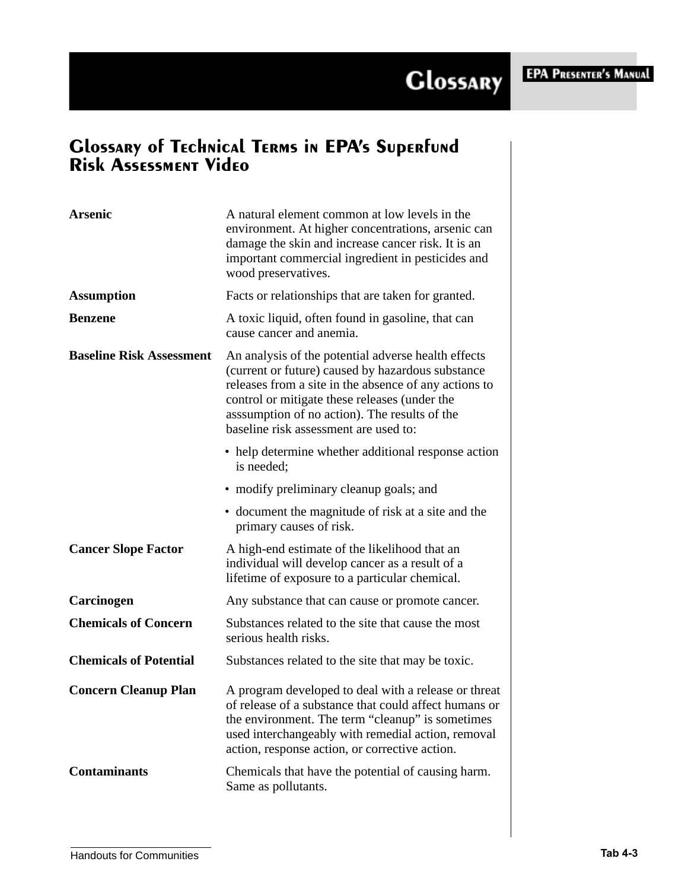**Glossary** 

## <span id="page-63-0"></span>**Glossary of Technical Terms in EPA's Superfund<br>Risk Assessment Video**

| <b>Arsenic</b>                  | A natural element common at low levels in the<br>environment. At higher concentrations, arsenic can<br>damage the skin and increase cancer risk. It is an<br>important commercial ingredient in pesticides and<br>wood preservatives.                                                                       |
|---------------------------------|-------------------------------------------------------------------------------------------------------------------------------------------------------------------------------------------------------------------------------------------------------------------------------------------------------------|
| <b>Assumption</b>               | Facts or relationships that are taken for granted.                                                                                                                                                                                                                                                          |
| <b>Benzene</b>                  | A toxic liquid, often found in gasoline, that can<br>cause cancer and anemia.                                                                                                                                                                                                                               |
| <b>Baseline Risk Assessment</b> | An analysis of the potential adverse health effects<br>(current or future) caused by hazardous substance<br>releases from a site in the absence of any actions to<br>control or mitigate these releases (under the<br>assumption of no action). The results of the<br>baseline risk assessment are used to: |
|                                 | • help determine whether additional response action<br>is needed;                                                                                                                                                                                                                                           |
|                                 | • modify preliminary cleanup goals; and                                                                                                                                                                                                                                                                     |
|                                 | • document the magnitude of risk at a site and the<br>primary causes of risk.                                                                                                                                                                                                                               |
| <b>Cancer Slope Factor</b>      | A high-end estimate of the likelihood that an<br>individual will develop cancer as a result of a<br>lifetime of exposure to a particular chemical.                                                                                                                                                          |
| Carcinogen                      | Any substance that can cause or promote cancer.                                                                                                                                                                                                                                                             |
| <b>Chemicals of Concern</b>     | Substances related to the site that cause the most<br>serious health risks.                                                                                                                                                                                                                                 |
| <b>Chemicals of Potential</b>   | Substances related to the site that may be toxic.                                                                                                                                                                                                                                                           |
| <b>Concern Cleanup Plan</b>     | A program developed to deal with a release or threat<br>of release of a substance that could affect humans or<br>the environment. The term "cleanup" is sometimes<br>used interchangeably with remedial action, removal<br>action, response action, or corrective action.                                   |
| <b>Contaminants</b>             | Chemicals that have the potential of causing harm.<br>Same as pollutants.                                                                                                                                                                                                                                   |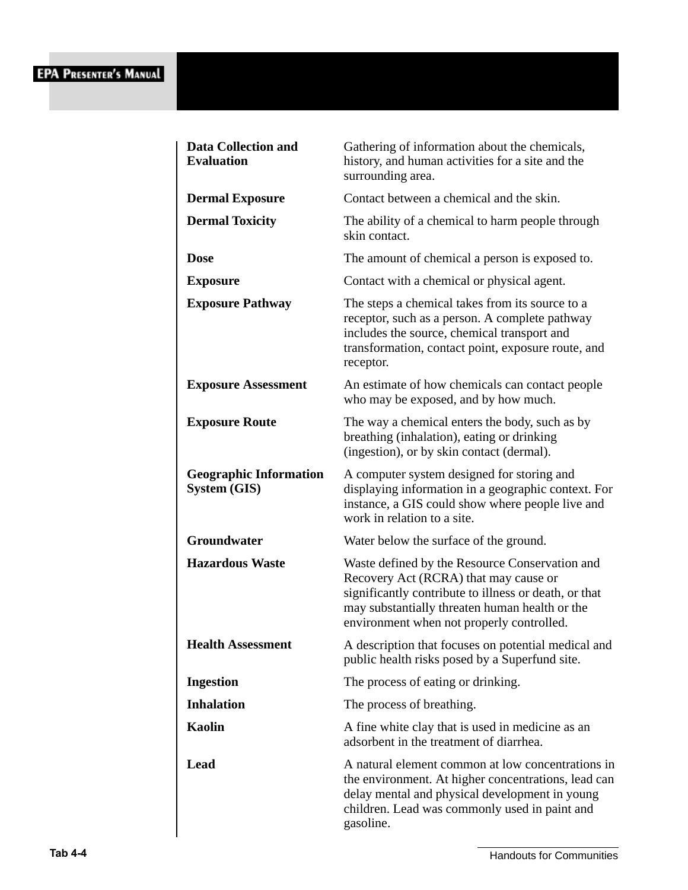| <b>Data Collection and</b><br><b>Evaluation</b>      | Gathering of information about the chemicals,<br>history, and human activities for a site and the<br>surrounding area.                                                                                                                          |
|------------------------------------------------------|-------------------------------------------------------------------------------------------------------------------------------------------------------------------------------------------------------------------------------------------------|
| <b>Dermal Exposure</b>                               | Contact between a chemical and the skin.                                                                                                                                                                                                        |
| <b>Dermal Toxicity</b>                               | The ability of a chemical to harm people through<br>skin contact.                                                                                                                                                                               |
| <b>Dose</b>                                          | The amount of chemical a person is exposed to.                                                                                                                                                                                                  |
| <b>Exposure</b>                                      | Contact with a chemical or physical agent.                                                                                                                                                                                                      |
| <b>Exposure Pathway</b>                              | The steps a chemical takes from its source to a<br>receptor, such as a person. A complete pathway<br>includes the source, chemical transport and<br>transformation, contact point, exposure route, and<br>receptor.                             |
| <b>Exposure Assessment</b>                           | An estimate of how chemicals can contact people<br>who may be exposed, and by how much.                                                                                                                                                         |
| <b>Exposure Route</b>                                | The way a chemical enters the body, such as by<br>breathing (inhalation), eating or drinking<br>(ingestion), or by skin contact (dermal).                                                                                                       |
| <b>Geographic Information</b><br><b>System (GIS)</b> | A computer system designed for storing and<br>displaying information in a geographic context. For<br>instance, a GIS could show where people live and<br>work in relation to a site.                                                            |
| <b>Groundwater</b>                                   | Water below the surface of the ground.                                                                                                                                                                                                          |
| <b>Hazardous Waste</b>                               | Waste defined by the Resource Conservation and<br>Recovery Act (RCRA) that may cause or<br>significantly contribute to illness or death, or that<br>may substantially threaten human health or the<br>environment when not properly controlled. |
| <b>Health Assessment</b>                             | A description that focuses on potential medical and<br>public health risks posed by a Superfund site.                                                                                                                                           |
| <b>Ingestion</b>                                     | The process of eating or drinking.                                                                                                                                                                                                              |
| <b>Inhalation</b>                                    | The process of breathing.                                                                                                                                                                                                                       |
| Kaolin                                               | A fine white clay that is used in medicine as an<br>adsorbent in the treatment of diarrhea.                                                                                                                                                     |
| Lead                                                 | A natural element common at low concentrations in<br>the environment. At higher concentrations, lead can<br>delay mental and physical development in young<br>children. Lead was commonly used in paint and<br>gasoline.                        |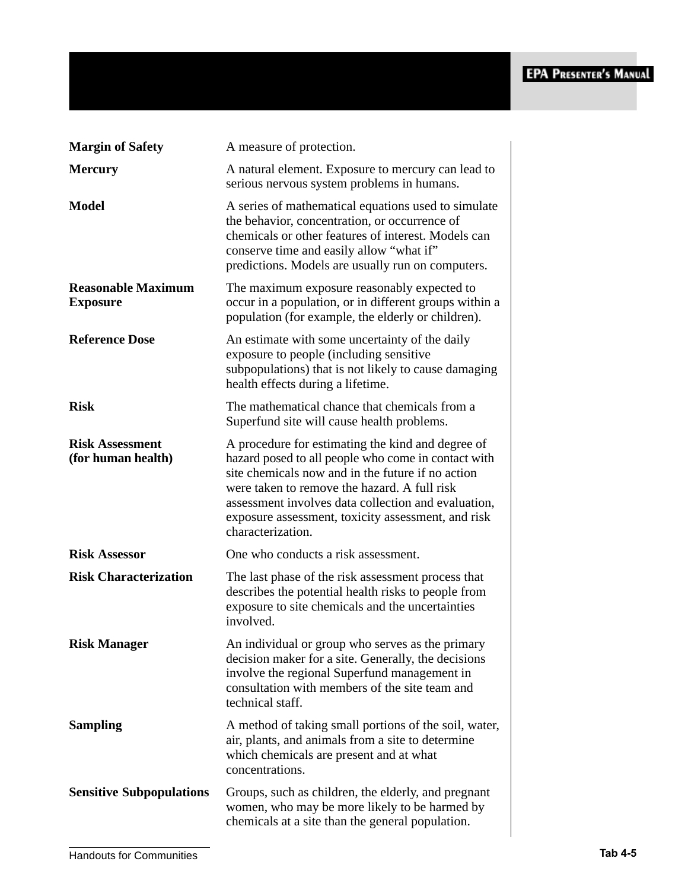| <b>Margin of Safety</b>                      | A measure of protection.                                                                                                                                                                                                                                                                                                                        |
|----------------------------------------------|-------------------------------------------------------------------------------------------------------------------------------------------------------------------------------------------------------------------------------------------------------------------------------------------------------------------------------------------------|
| <b>Mercury</b>                               | A natural element. Exposure to mercury can lead to<br>serious nervous system problems in humans.                                                                                                                                                                                                                                                |
| <b>Model</b>                                 | A series of mathematical equations used to simulate<br>the behavior, concentration, or occurrence of<br>chemicals or other features of interest. Models can<br>conserve time and easily allow "what if"<br>predictions. Models are usually run on computers.                                                                                    |
| <b>Reasonable Maximum</b><br><b>Exposure</b> | The maximum exposure reasonably expected to<br>occur in a population, or in different groups within a<br>population (for example, the elderly or children).                                                                                                                                                                                     |
| <b>Reference Dose</b>                        | An estimate with some uncertainty of the daily<br>exposure to people (including sensitive<br>subpopulations) that is not likely to cause damaging<br>health effects during a lifetime.                                                                                                                                                          |
| <b>Risk</b>                                  | The mathematical chance that chemicals from a<br>Superfund site will cause health problems.                                                                                                                                                                                                                                                     |
| <b>Risk Assessment</b><br>(for human health) | A procedure for estimating the kind and degree of<br>hazard posed to all people who come in contact with<br>site chemicals now and in the future if no action<br>were taken to remove the hazard. A full risk<br>assessment involves data collection and evaluation,<br>exposure assessment, toxicity assessment, and risk<br>characterization. |
| <b>Risk Assessor</b>                         | One who conducts a risk assessment.                                                                                                                                                                                                                                                                                                             |
| <b>Risk Characterization</b>                 | The last phase of the risk assessment process that<br>describes the potential health risks to people from<br>exposure to site chemicals and the uncertainties<br>involved.                                                                                                                                                                      |
| <b>Risk Manager</b>                          | An individual or group who serves as the primary<br>decision maker for a site. Generally, the decisions<br>involve the regional Superfund management in<br>consultation with members of the site team and<br>technical staff.                                                                                                                   |
| <b>Sampling</b>                              | A method of taking small portions of the soil, water,<br>air, plants, and animals from a site to determine<br>which chemicals are present and at what<br>concentrations.                                                                                                                                                                        |
| <b>Sensitive Subpopulations</b>              | Groups, such as children, the elderly, and pregnant<br>women, who may be more likely to be harmed by<br>chemicals at a site than the general population.                                                                                                                                                                                        |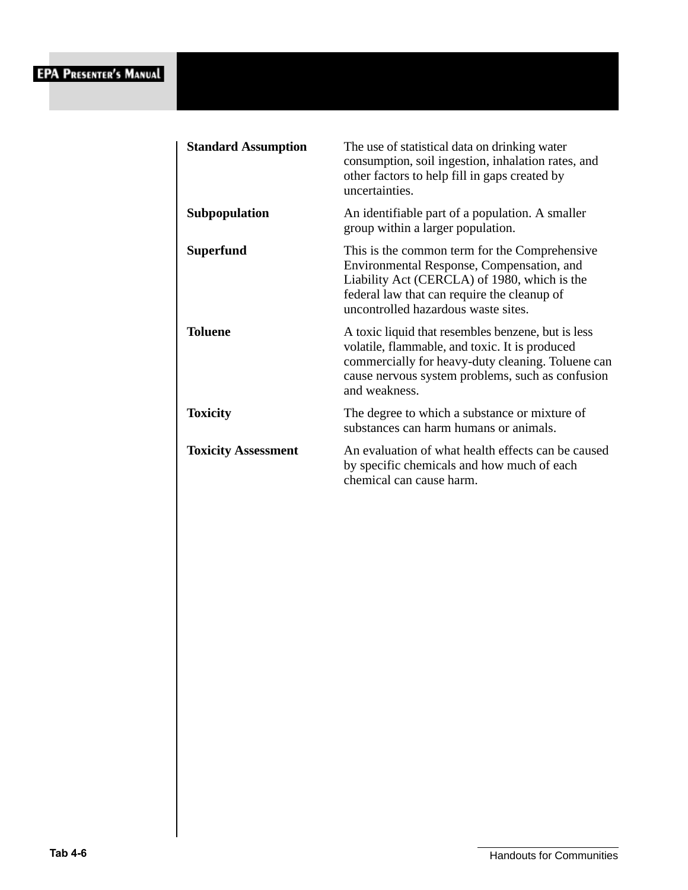| <b>Standard Assumption</b> | The use of statistical data on drinking water<br>consumption, soil ingestion, inhalation rates, and<br>other factors to help fill in gaps created by<br>uncertainties.                                                           |
|----------------------------|----------------------------------------------------------------------------------------------------------------------------------------------------------------------------------------------------------------------------------|
| Subpopulation              | An identifiable part of a population. A smaller<br>group within a larger population.                                                                                                                                             |
| <b>Superfund</b>           | This is the common term for the Comprehensive<br>Environmental Response, Compensation, and<br>Liability Act (CERCLA) of 1980, which is the<br>federal law that can require the cleanup of<br>uncontrolled hazardous waste sites. |
| <b>Toluene</b>             | A toxic liquid that resembles benzene, but is less<br>volatile, flammable, and toxic. It is produced<br>commercially for heavy-duty cleaning. Toluene can<br>cause nervous system problems, such as confusion<br>and weakness.   |
| <b>Toxicity</b>            | The degree to which a substance or mixture of<br>substances can harm humans or animals.                                                                                                                                          |
| <b>Toxicity Assessment</b> | An evaluation of what health effects can be caused<br>by specific chemicals and how much of each<br>chemical can cause harm.                                                                                                     |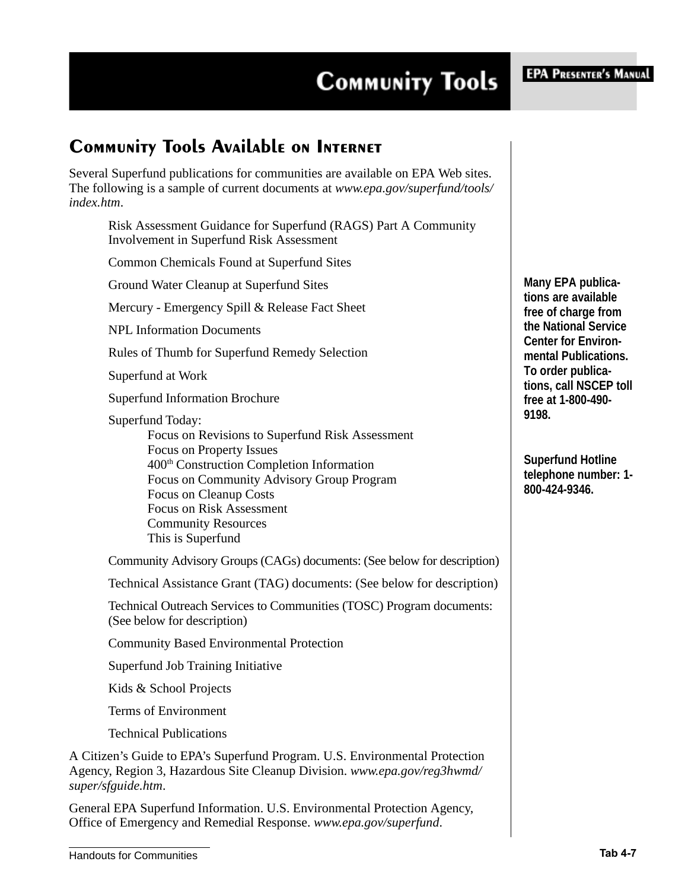## **COMMUNITY TOOLS**

## <span id="page-67-0"></span>COMMUNITY TOOLS Available ON INTERNET

Several Superfund publications for communities are available on EPA Web sites. The following is a sample of current documents at *www.epa.gov/superfund/tools/ index.htm*.

Risk Assessment Guidance for Superfund (RAGS) Part A Community Involvement in Superfund Risk Assessment Common Chemicals Found at Superfund Sites Ground Water Cleanup at Superfund Sites Mercury - Emergency Spill & Release Fact Sheet NPL Information Documents Rules of Thumb for Superfund Remedy Selection Superfund at Work Superfund Information Brochure Superfund Today: Focus on Revisions to Superfund Risk Assessment Focus on Property Issues 400th Construction Completion Information Focus on Community Advisory Group Program Focus on Cleanup Costs Focus on Risk Assessment Community Resources This is Superfund Community Advisory Groups (CAGs) documents: (See below for description) Technical Assistance Grant (TAG) documents: (See below for description) Technical Outreach Services to Communities (TOSC) Program documents: (See below for description) Community Based Environmental Protection Superfund Job Training Initiative Kids & School Projects Terms of Environment Technical Publications A Citizen's Guide to EPA's Superfund Program. U.S. Environmental Protection Agency, Region 3, Hazardous Site Cleanup Division. *www.epa.gov/reg3hwmd/ super/sfguide.htm*.

General EPA Superfund Information. U.S. Environmental Protection Agency, Office of Emergency and Remedial Response. *www.epa.gov/superfund*.

**Many EPA publications are available free of charge from the National Service Center for Environmental Publications. To order publications, call NSCEP toll free at 1-800-490- 9198.** 

**Superfund Hotline telephone number: 1- 800-424-9346.** 

#### **EPA PRESENTER'S MANUAL**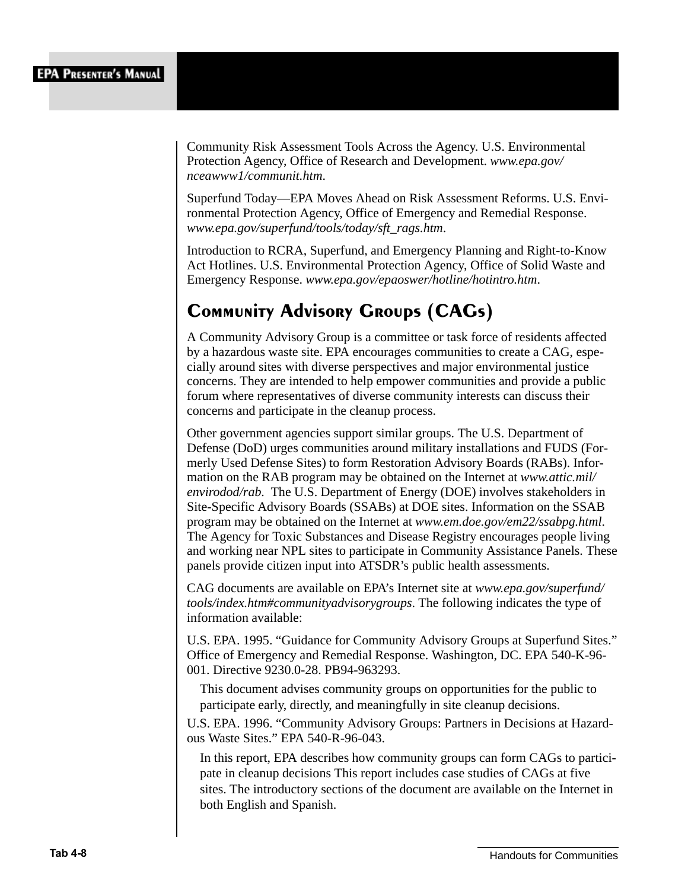Community Risk Assessment Tools Across the Agency. U.S. Environmental Protection Agency, Office of Research and Development. *www.epa.gov/ nceawww1/communit.htm*.

Superfund Today—EPA Moves Ahead on Risk Assessment Reforms. U.S. Environmental Protection Agency, Office of Emergency and Remedial Response. *www.epa.gov/superfund/tools/today/sft\_rags.htm*.

Introduction to RCRA, Superfund, and Emergency Planning and Right-to-Know Act Hotlines. U.S. Environmental Protection Agency, Office of Solid Waste and Emergency Response. *www.epa.gov/epaoswer/hotline/hotintro.htm*.

## COMMUNITY Advisory Groups (CAGs)

A Community Advisory Group is a committee or task force of residents affected by a hazardous waste site. EPA encourages communities to create a CAG, especially around sites with diverse perspectives and major environmental justice concerns. They are intended to help empower communities and provide a public forum where representatives of diverse community interests can discuss their concerns and participate in the cleanup process.

Other government agencies support similar groups. The U.S. Department of Defense (DoD) urges communities around military installations and FUDS (Formerly Used Defense Sites) to form Restoration Advisory Boards (RABs). Information on the RAB program may be obtained on the Internet at *www.attic.mil/ envirodod/rab*. The U.S. Department of Energy (DOE) involves stakeholders in Site-Specific Advisory Boards (SSABs) at DOE sites. Information on the SSAB program may be obtained on the Internet at *www.em.doe.gov/em22/ssabpg.html*. The Agency for Toxic Substances and Disease Registry encourages people living and working near NPL sites to participate in Community Assistance Panels. These panels provide citizen input into ATSDR's public health assessments.

CAG documents are available on EPA's Internet site at *www.epa.gov/superfund/ tools/index.htm#communityadvisorygroups*. The following indicates the type of information available:

U.S. EPA. 1995. "Guidance for Community Advisory Groups at Superfund Sites." Office of Emergency and Remedial Response. Washington, DC. EPA 540-K-96- 001. Directive 9230.0-28. PB94-963293.

This document advises community groups on opportunities for the public to participate early, directly, and meaningfully in site cleanup decisions.

U.S. EPA. 1996. "Community Advisory Groups: Partners in Decisions at Hazardous Waste Sites." EPA 540-R-96-043.

In this report, EPA describes how community groups can form CAGs to participate in cleanup decisions This report includes case studies of CAGs at five sites. The introductory sections of the document are available on the Internet in both English and Spanish.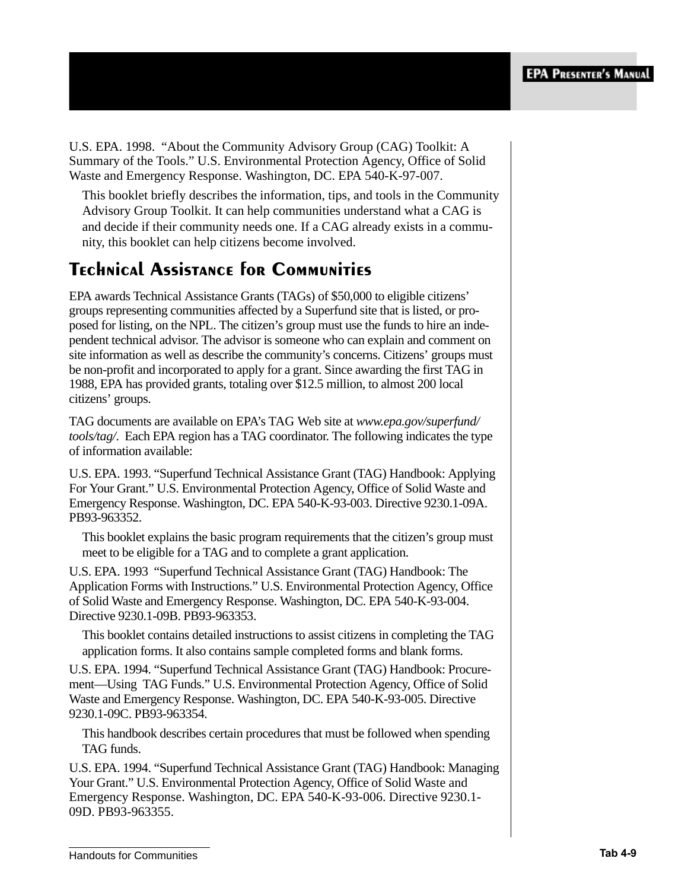U.S. EPA. 1998. "About the Community Advisory Group (CAG) Toolkit: A Summary of the Tools." U.S. Environmental Protection Agency, Office of Solid Waste and Emergency Response. Washington, DC. EPA 540-K-97-007.

This booklet briefly describes the information, tips, and tools in the Community Advisory Group Toolkit. It can help communities understand what a CAG is and decide if their community needs one. If a CAG already exists in a community, this booklet can help citizens become involved.

## TECHNICAL ASSISTANCE FOR COMMUNITIES

EPA awards Technical Assistance Grants (TAGs) of \$50,000 to eligible citizens' groups representing communities affected by a Superfund site that is listed, or proposed for listing, on the NPL. The citizen's group must use the funds to hire an independent technical advisor. The advisor is someone who can explain and comment on site information as well as describe the community's concerns. Citizens' groups must be non-profit and incorporated to apply for a grant. Since awarding the first TAG in 1988, EPA has provided grants, totaling over \$12.5 million, to almost 200 local citizens' groups.

TAG documents are available on EPA's TAG Web site at *www.epa.gov/superfund/ tools/tag/*. Each EPA region has a TAG coordinator. The following indicates the type of information available:

U.S. EPA. 1993. "Superfund Technical Assistance Grant (TAG) Handbook: Applying For Your Grant." U.S. Environmental Protection Agency, Office of Solid Waste and Emergency Response. Washington, DC. EPA 540-K-93-003. Directive 9230.1-09A. PB93-963352.

This booklet explains the basic program requirements that the citizen's group must meet to be eligible for a TAG and to complete a grant application.

U.S. EPA. 1993 "Superfund Technical Assistance Grant (TAG) Handbook: The Application Forms with Instructions." U.S. Environmental Protection Agency, Office of Solid Waste and Emergency Response. Washington, DC. EPA 540-K-93-004. Directive 9230.1-09B. PB93-963353.

This booklet contains detailed instructions to assist citizens in completing the TAG application forms. It also contains sample completed forms and blank forms.

U.S. EPA. 1994. "Superfund Technical Assistance Grant (TAG) Handbook: Procurement—Using TAG Funds." U.S. Environmental Protection Agency, Office of Solid Waste and Emergency Response. Washington, DC. EPA 540-K-93-005. Directive 9230.1-09C. PB93-963354.

This handbook describes certain procedures that must be followed when spending TAG funds.

U.S. EPA. 1994. "Superfund Technical Assistance Grant (TAG) Handbook: Managing Your Grant." U.S. Environmental Protection Agency, Office of Solid Waste and Emergency Response. Washington, DC. EPA 540-K-93-006. Directive 9230.1- 09D. PB93-963355.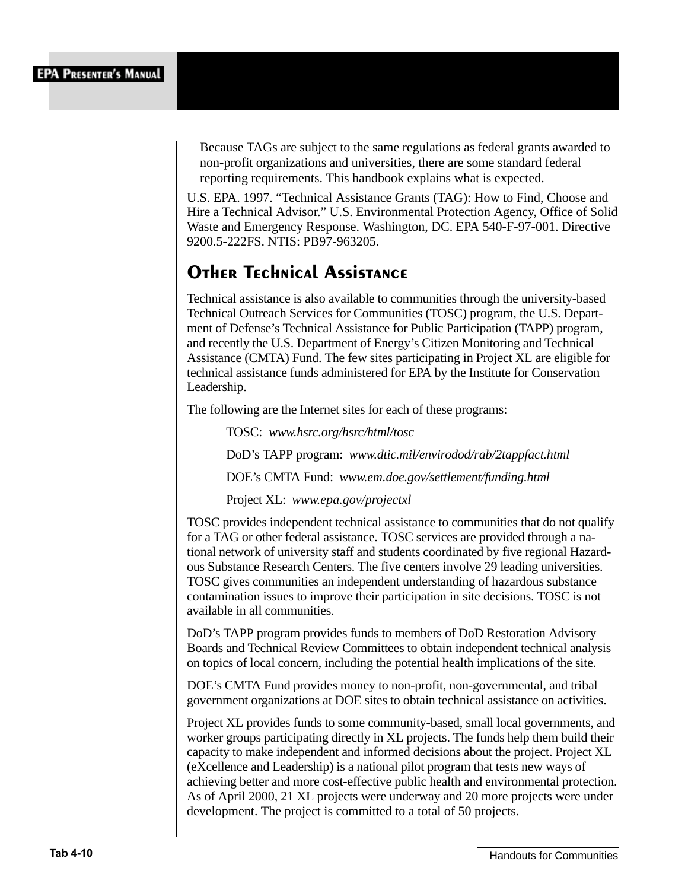Because TAGs are subject to the same regulations as federal grants awarded to non-profit organizations and universities, there are some standard federal reporting requirements. This handbook explains what is expected.

U.S. EPA. 1997. "Technical Assistance Grants (TAG): How to Find, Choose and Hire a Technical Advisor." U.S. Environmental Protection Agency, Office of Solid Waste and Emergency Response. Washington, DC. EPA 540-F-97-001. Directive 9200.5-222FS. NTIS: PB97-963205.

## OTHER TECHNICAL ASSISTANCE

Technical assistance is also available to communities through the university-based Technical Outreach Services for Communities (TOSC) program, the U.S. Department of Defense's Technical Assistance for Public Participation (TAPP) program, and recently the U.S. Department of Energy's Citizen Monitoring and Technical Assistance (CMTA) Fund. The few sites participating in Project XL are eligible for technical assistance funds administered for EPA by the Institute for Conservation Leadership.

The following are the Internet sites for each of these programs:

TOSC: *www.hsrc.org/hsrc/html/tosc* 

DoD's TAPP program: *www.dtic.mil/envirodod/rab/2tappfact.html* 

DOE's CMTA Fund: *www.em.doe.gov/settlement/funding.html* 

Project XL: *www.epa.gov/projectxl* 

TOSC provides independent technical assistance to communities that do not qualify for a TAG or other federal assistance. TOSC services are provided through a national network of university staff and students coordinated by five regional Hazardous Substance Research Centers. The five centers involve 29 leading universities. TOSC gives communities an independent understanding of hazardous substance contamination issues to improve their participation in site decisions. TOSC is not available in all communities.

DoD's TAPP program provides funds to members of DoD Restoration Advisory Boards and Technical Review Committees to obtain independent technical analysis on topics of local concern, including the potential health implications of the site.

DOE's CMTA Fund provides money to non-profit, non-governmental, and tribal government organizations at DOE sites to obtain technical assistance on activities.

Project XL provides funds to some community-based, small local governments, and worker groups participating directly in XL projects. The funds help them build their capacity to make independent and informed decisions about the project. Project XL (eXcellence and Leadership) is a national pilot program that tests new ways of achieving better and more cost-effective public health and environmental protection. As of April 2000, 21 XL projects were underway and 20 more projects were under development. The project is committed to a total of 50 projects.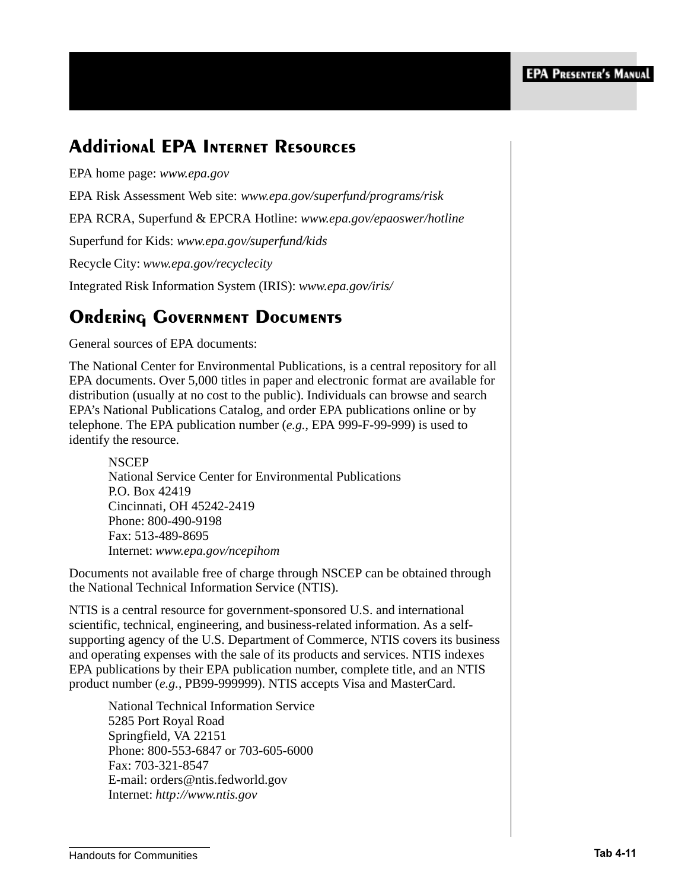## **Additional EPA INTERNET RESOURCES**

EPA home page: www.epa.gov

EPA Risk Assessment Web site: www.epa.gov/superfund/programs/risk

EPA RCRA, Superfund & EPCRA Hotline: www.epa.gov/epaoswer/hotline

Superfund for Kids: www.epa.gov/superfund/kids

Recycle City: www.epa.gov/recyclecity

Integrated Risk Information System (IRIS): www.epa.gov/iris/

## **ORDERING GOVERNMENT DOCUMENTS**

General sources of EPA documents:

The National Center for Environmental Publications, is a central repository for all EPA documents. Over 5,000 titles in paper and electronic format are available for distribution (usually at no cost to the public). Individuals can browse and search EPA's National Publications Catalog, and order EPA publications online or by telephone. The EPA publication number  $(e.g., EPA 999-F-99-999)$  is used to identify the resource.

**NSCEP National Service Center for Environmental Publications** P.O. Box 42419 Cincinnati, OH 45242-2419 Phone: 800-490-9198 Fax: 513-489-8695 Internet: www.epa.gov/ncepihom

Documents not available free of charge through NSCEP can be obtained through the National Technical Information Service (NTIS).

NTIS is a central resource for government-sponsored U.S. and international scientific, technical, engineering, and business-related information. As a selfsupporting agency of the U.S. Department of Commerce, NTIS covers its business and operating expenses with the sale of its products and services. NTIS indexes EPA publications by their EPA publication number, complete title, and an NTIS product number (e.g., PB99-999999). NTIS accepts Visa and MasterCard.

**National Technical Information Service** 5285 Port Royal Road Springfield, VA 22151 Phone: 800-553-6847 or 703-605-6000 Fax: 703-321-8547 E-mail: orders@ntis.fedworld.gov Internet: http://www.ntis.gov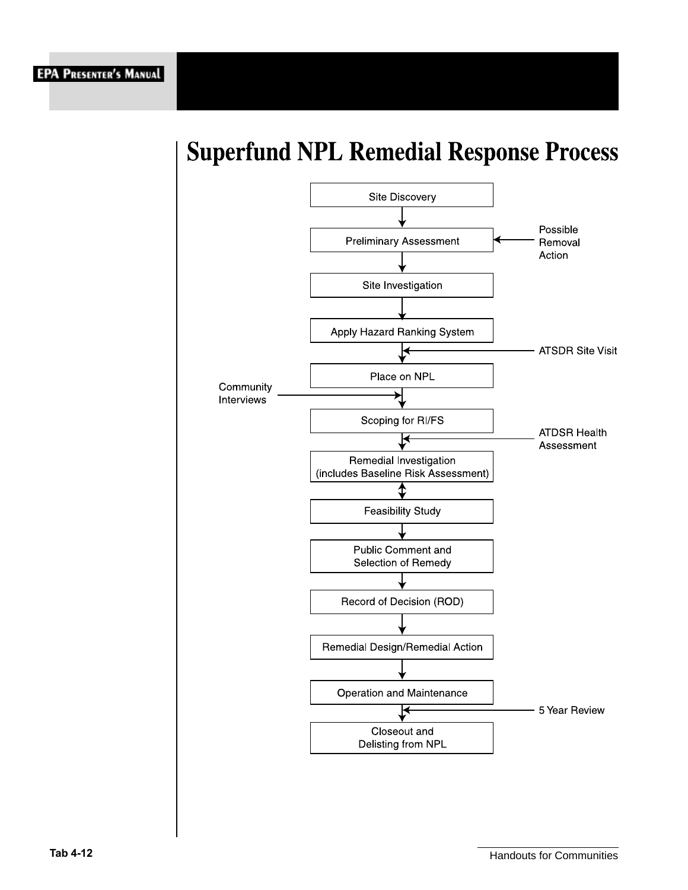# **Superfund NPL Remedial Response Process**

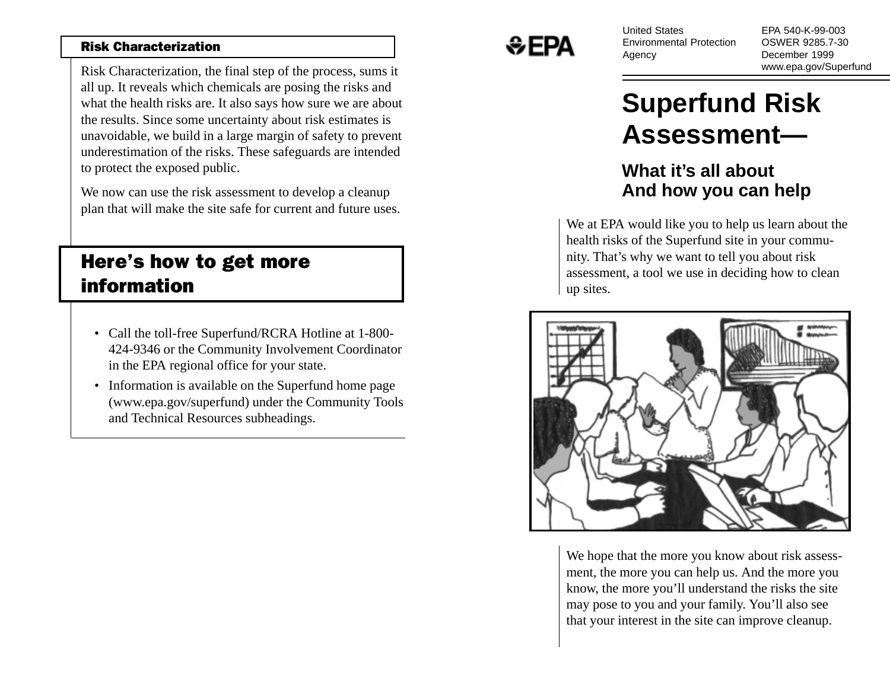#### **Risk Characterization**

Risk Characterization, the final step of the process, sums it all up. It reveals which chemicals are posing the risks and what the health risks are. It also says how sure we are about the results. Since some uncertainty about risk estimates is unavoidable, we build in a large margin of safety to prevent underestimation of the risks. These safeguards are intended to protect the exposed public.

We now can use the risk assessment to develop a cleanup plan that will make the site safe for current and future uses.

## **Here's how to get more information**

- Call the toll-free Superfund/RCRA Hotline at 1-800-424-9346 or the Community Involvement Coordinator in the EPA regional office for your state.
- Information is available on the Superfund home page (www.epa.gov/superfund) under the Community Tools and Technical Resources subheadings.



**United States Environmental Protection** Agency

# **Superfund Risk** Assessment-

## What it's all about And how you can help

We at EPA would like you to help us learn about the health risks of the Superfund site in your community. That's why we want to tell you about risk assessment, a tool we use in deciding how to clean up sites.



We hope that the more you know about risk assessment, the more you can help us. And the more you know, the more you'll understand the risks the site may pose to you and your family. You'll also see that your interest in the site can improve cleanup.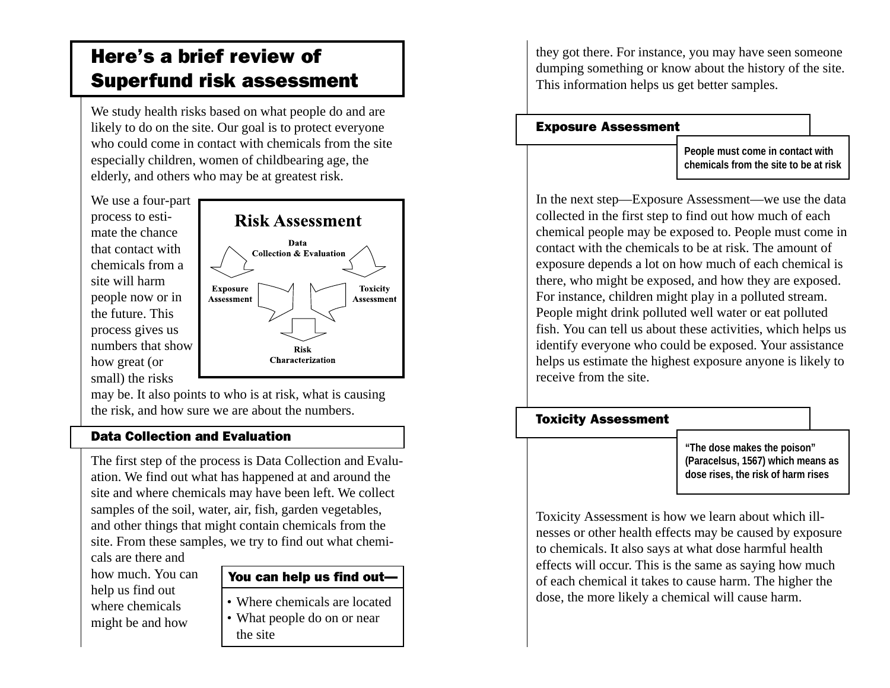## Here's a brief review of **Superfund risk assessment**

We study health risks based on what people do and are likely to do on the site. Our goal is to protect everyone who could come in contact with chemicals from the site especially children, women of childbearing age, the elderly, and others who may be at greatest risk.

We use a four-part process to estimate the chance that contact with chemicals from a site will harm people now or in the future. This process gives us numbers that show how great (or small) the risks



may be. It also points to who is at risk, what is causing the risk, and how sure we are about the numbers.

### **Data Collection and Evaluation**

The first step of the process is Data Collection and Evaluation. We find out what has happened at and around the site and where chemicals may have been left. We collect samples of the soil, water, air, fish, garden vegetables, and other things that might contain chemicals from the site. From these samples, we try to find out what chemi-

cals are there and how much. You can help us find out where chemicals might be and how

### You can help us find out-

- Where chemicals are located
- What people do on or near the site

they got there. For instance, you may have seen someone dumping something or know about the history of the site. This information helps us get better samples.

#### **Exposure Assessment**

People must come in contact with chemicals from the site to be at risk

In the next step—Exposure Assessment—we use the data collected in the first step to find out how much of each chemical people may be exposed to. People must come in contact with the chemicals to be at risk. The amount of exposure depends a lot on how much of each chemical is there, who might be exposed, and how they are exposed. For instance, children might play in a polluted stream. People might drink polluted well water or eat polluted fish. You can tell us about these activities, which helps us identify everyone who could be exposed. Your assistance helps us estimate the highest exposure anyone is likely to receive from the site.

### **Toxicity Assessment**

"The dose makes the poison" (Paracelsus, 1567) which means as dose rises, the risk of harm rises

Toxicity Assessment is how we learn about which illnesses or other health effects may be caused by exposure to chemicals. It also says at what dose harmful health effects will occur. This is the same as saying how much of each chemical it takes to cause harm. The higher the dose, the more likely a chemical will cause harm.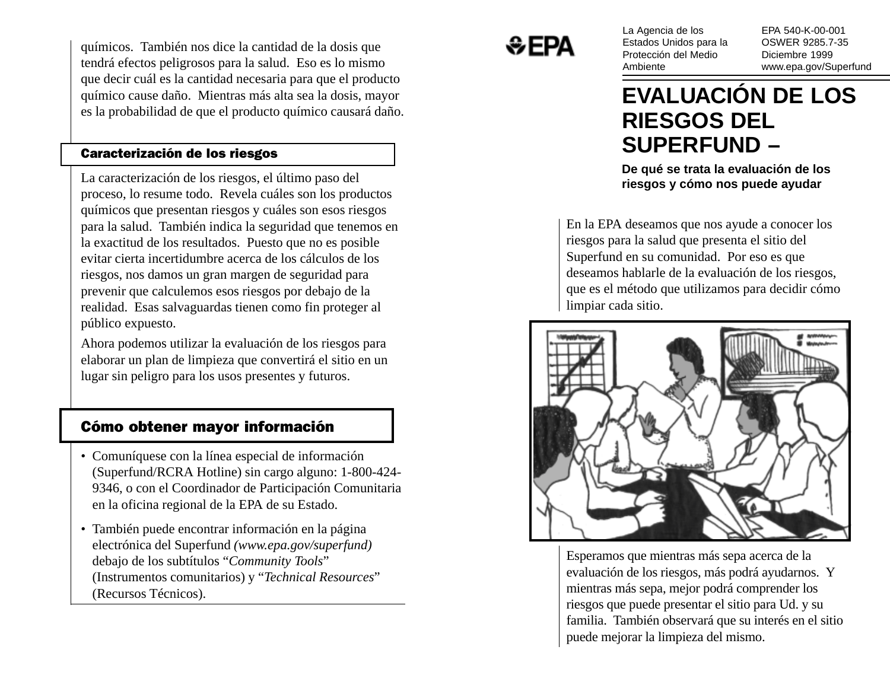químicos. También nos dice la cantidad de la dosis que tendrá efectos peligrosos para la salud. Eso es lo mismo que decir cuál es la cantidad necesaria para que el producto químico cause daño. Mientras más alta sea la dosis, mayor es la probabilidad de que el producto químico causará daño.

#### Caracterización de los riesgos

La caracterización de los riesgos, el último paso del proceso, lo resume todo. Revela cuáles son los productos químicos que presentan riesgos y cuáles son esos riesgos para la salud. También indica la seguridad que tenemos en la exactitud de los resultados. Puesto que no es posible evitar cierta incertidumbre acerca de los cálculos de los riesgos, nos damos un gran margen de seguridad para prevenir que calculemos esos riesgos por debajo de la realidad. Esas salvaguardas tienen como fin proteger al público expuesto.

Ahora podemos utilizar la evaluación de los riesgos para elaborar un plan de limpieza que convertirá el sitio en un lugar sin peligro para los usos presentes y futuros.

### Cómo obtener mayor información

- Comuníquese con la línea especial de información (Superfund/RCRA Hotline) sin cargo alguno: 1-800-424- 9346, o con el Coordinador de Participación Comunitaria en la oficina regional de la EPA de su Estado.
- También puede encontrar información en la página electrónica del Superfund *(www.epa.gov/superfund)*  debajo de los subtítulos "*Community Tools*" (Instrumentos comunitarios) y "*Technical Resources*" (Recursos Técnicos).



La Agencia de los EPA 540-K-00-001 Estados Unidos para la OSWER 9285.7-35 Protección del Medio **Diciembre 1999** 

Ambiente www.epa.gov/Superfund

# **EVALUACIÓN DE LOS RIESGOS DEL SUPERFUND –**

**De qué se trata la evaluación de los riesgos y cómo nos puede ayudar**

En la EPA deseamos que nos ayude a conocer los riesgos para la salud que presenta el sitio del Superfund en su comunidad. Por eso es que deseamos hablarle de la evaluación de los riesgos, que es el método que utilizamos para decidir cómo limpiar cada sitio.



Esperamos que mientras más sepa acerca de la evaluación de los riesgos, más podrá ayudarnos. Y mientras más sepa, mejor podrá comprender los riesgos que puede presentar el sitio para Ud. y su familia. También observará que su interés en el sitio puede mejorar la limpieza del mismo.